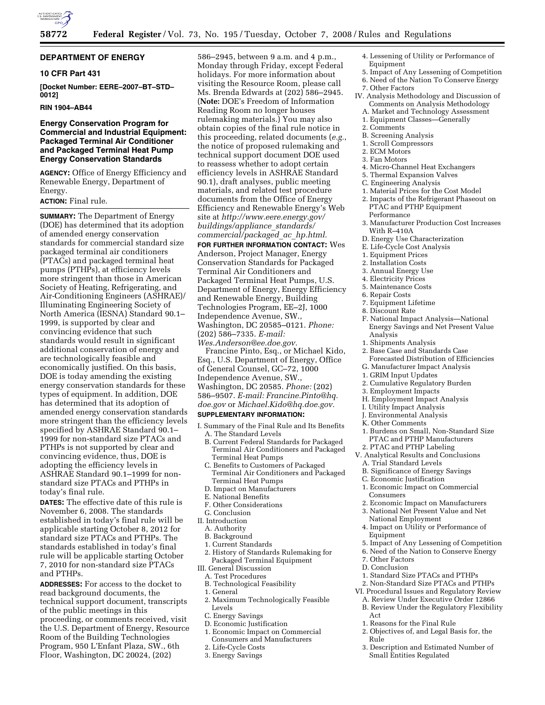

# **DEPARTMENT OF ENERGY**

# **10 CFR Part 431**

**[Docket Number: EERE–2007–BT–STD– 0012]** 

## **RIN 1904–AB44**

# **Energy Conservation Program for Commercial and Industrial Equipment: Packaged Terminal Air Conditioner and Packaged Terminal Heat Pump Energy Conservation Standards**

**AGENCY:** Office of Energy Efficiency and Renewable Energy, Department of Energy.

# **ACTION:** Final rule.

**SUMMARY:** The Department of Energy (DOE) has determined that its adoption of amended energy conservation standards for commercial standard size packaged terminal air conditioners (PTACs) and packaged terminal heat pumps (PTHPs), at efficiency levels more stringent than those in American Society of Heating, Refrigerating, and Air-Conditioning Engineers (ASHRAE)/ Illuminating Engineering Society of North America (IESNA) Standard 90.1– 1999, is supported by clear and convincing evidence that such standards would result in significant additional conservation of energy and are technologically feasible and economically justified. On this basis, DOE is today amending the existing energy conservation standards for these types of equipment. In addition, DOE has determined that its adoption of amended energy conservation standards more stringent than the efficiency levels specified by ASHRAE Standard 90.1-1999 for non-standard size PTACs and PTHPs is not supported by clear and convincing evidence, thus, DOE is adopting the efficiency levels in ASHRAE Standard 90.1–1999 for nonstandard size PTACs and PTHPs in today's final rule.

**DATES:** The effective date of this rule is November 6, 2008. The standards established in today's final rule will be applicable starting October 8, 2012 for standard size PTACs and PTHPs. The standards established in today's final rule will be applicable starting October 7, 2010 for non-standard size PTACs and PTHPs.

**ADDRESSES:** For access to the docket to read background documents, the technical support document, transcripts of the public meetings in this proceeding, or comments received, visit the U.S. Department of Energy, Resource Room of the Building Technologies Program, 950 L'Enfant Plaza, SW., 6th Floor, Washington, DC 20024, (202)

586–2945, between 9 a.m. and 4 p.m., Monday through Friday, except Federal holidays. For more information about visiting the Resource Room, please call Ms. Brenda Edwards at (202) 586–2945. (**Note:** DOE's Freedom of Information Reading Room no longer houses rulemaking materials.) You may also obtain copies of the final rule notice in this proceeding, related documents (*e.g.*, the notice of proposed rulemaking and technical support document DOE used to reassess whether to adopt certain efficiency levels in ASHRAE Standard 90.1), draft analyses, public meeting materials, and related test procedure documents from the Office of Energy Efficiency and Renewable Energy's Web site at *http://www.eere.energy.gov/ buildings/appliance*\_*standards/ commercial/packaged*\_*ac*\_*hp.html.* 

**FOR FURTHER INFORMATION CONTACT:** Wes Anderson, Project Manager, Energy Conservation Standards for Packaged Terminal Air Conditioners and Packaged Terminal Heat Pumps, U.S. Department of Energy, Energy Efficiency and Renewable Energy, Building Technologies Program, EE–2J, 1000 Independence Avenue, SW., Washington, DC 20585–0121. *Phone:*  (202) 586–7335. *E-mail: Wes.Anderson@ee.doe.gov.* 

Francine Pinto, Esq., or Michael Kido, Esq., U.S. Department of Energy, Office of General Counsel, GC–72, 1000 Independence Avenue, SW., Washington, DC 20585. *Phone:* (202) 586–9507. *E-mail: Francine.Pinto@hq. doe.gov* or *Michael.Kido@hq.doe.gov.* 

## **SUPPLEMENTARY INFORMATION:**

- I. Summary of the Final Rule and Its Benefits A. The Standard Levels
	- B. Current Federal Standards for Packaged Terminal Air Conditioners and Packaged Terminal Heat Pumps
	- C. Benefits to Customers of Packaged
	- Terminal Air Conditioners and Packaged Terminal Heat Pumps
	- D. Impact on Manufacturers
	- E. National Benefits
	- F. Other Considerations
- G. Conclusion
- II. Introduction
	- A. Authority
	- B. Background
	- 1. Current Standards
	- 2. History of Standards Rulemaking for Packaged Terminal Equipment
- III. General Discussion
	- A. Test Procedures
- B. Technological Feasibility
- 1. General
- 2. Maximum Technologically Feasible Levels
- C. Energy Savings
- D. Economic Justification
- 1. Economic Impact on Commercial Consumers and Manufacturers
- 2. Life-Cycle Costs
- 3. Energy Savings
- 4. Lessening of Utility or Performance of Equipment
- 5. Impact of Any Lessening of Competition
- 6. Need of the Nation To Conserve Energy
- 7. Other Factors
- IV. Analysis Methodology and Discussion of Comments on Analysis Methodology
	- A. Market and Technology Assessment 1. Equipment Classes—Generally
	- 2. Comments
	- B. Screening Analysis
	- 1. Scroll Compressors
	- 2. ECM Motors
	- 3. Fan Motors
	- 4. Micro-Channel Heat Exchangers
	- 5. Thermal Expansion Valves
	- C. Engineering Analysis
	- 1. Material Prices for the Cost Model
	- 2. Impacts of the Refrigerant Phaseout on PTAC and PTHP Equipment Performance
	- 3. Manufacturer Production Cost Increases With R–410A
	- D. Energy Use Characterization
	- E. Life-Cycle Cost Analysis
	- 1. Equipment Prices
	- 2. Installation Costs
	- 3. Annual Energy Use
	- 4. Electricity Prices
	- 5. Maintenance Costs
	- 6. Repair Costs
	- 7. Equipment Lifetime
	- 8. Discount Rate
	- F. National Impact Analysis—National Energy Savings and Net Present Value Analysis
	- 1. Shipments Analysis
	- 2. Base Case and Standards Case Forecasted Distribution of Efficiencies
	- G. Manufacturer Impact Analysis
	- 1. GRIM Input Updates
	- 2. Cumulative Regulatory Burden
	- 3. Employment Impacts
	- H. Employment Impact Analysis
	- I. Utility Impact Analysis
	- J. Environmental Analysis
	- K. Other Comments
	- 1. Burdens on Small, Non-Standard Size PTAC and PTHP Manufacturers
- 2. PTAC and PTHP Labeling
- V. Analytical Results and Conclusions A. Trial Standard Levels
- B. Significance of Energy Savings
- 
- C. Economic Justification
- 1. Economic Impact on Commercial Consumers
- 2. Economic Impact on Manufacturers
- 3. National Net Present Value and Net
- National Employment 4. Impact on Utility or Performance of Equipment
- 5. Impact of Any Lessening of Competition
- 6. Need of the Nation to Conserve Energy
- 7. Other Factors
- D. Conclusion
- 1. Standard Size PTACs and PTHPs
- 2. Non-Standard Size PTACs and PTHPs
- VI. Procedural Issues and Regulatory Review
- A. Review Under Executive Order 12866
- B. Review Under the Regulatory Flexibility Act
- 1. Reasons for the Final Rule
- 2. Objectives of, and Legal Basis for, the Rule
- 3. Description and Estimated Number of Small Entities Regulated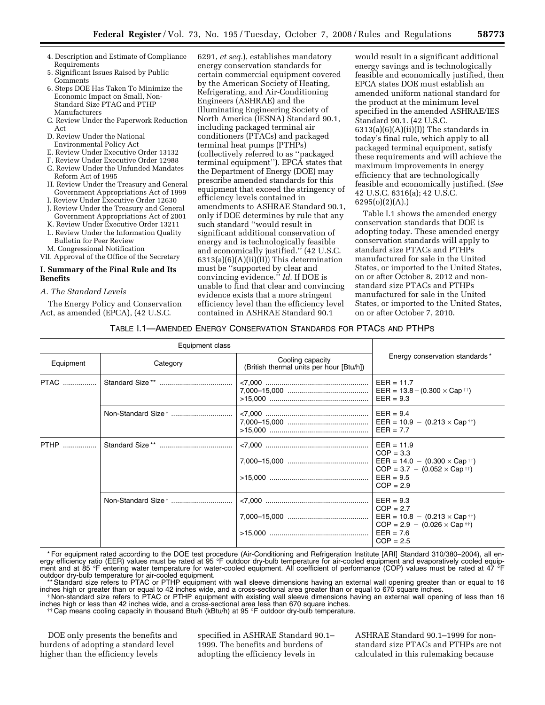- 4. Description and Estimate of Compliance Requirements
- 5. Significant Issues Raised by Public Comments
- 6. Steps DOE Has Taken To Minimize the Economic Impact on Small, Non-Standard Size PTAC and PTHP Manufacturers
- C. Review Under the Paperwork Reduction Act
- D. Review Under the National Environmental Policy Act
- E. Review Under Executive Order 13132
- F. Review Under Executive Order 12988
- G. Review Under the Unfunded Mandates
- Reform Act of 1995 H. Review Under the Treasury and General
- Government Appropriations Act of 1999 I. Review Under Executive Order 12630
- J. Review Under the Treasury and General Government Appropriations Act of 2001
- K. Review Under Executive Order 13211
- L. Review Under the Information Quality
- Bulletin for Peer Review
- M. Congressional Notification

# VII. Approval of the Office of the Secretary

# **I. Summary of the Final Rule and Its Benefits**

# *A. The Standard Levels*

The Energy Policy and Conservation Act, as amended (EPCA), (42 U.S.C.

6291, *et seq.*), establishes mandatory energy conservation standards for certain commercial equipment covered by the American Society of Heating, Refrigerating, and Air-Conditioning Engineers (ASHRAE) and the Illuminating Engineering Society of North America (IESNA) Standard 90.1, including packaged terminal air conditioners (PTACs) and packaged terminal heat pumps (PTHPs) (collectively referred to as ''packaged terminal equipment''). EPCA states that the Department of Energy (DOE) may prescribe amended standards for this equipment that exceed the stringency of efficiency levels contained in amendments to ASHRAE Standard 90.1, only if DOE determines by rule that any such standard ''would result in significant additional conservation of energy and is technologically feasible and economically justified.'' (42 U.S.C. 6313(a)(6)(A)(ii)(II)) This determination must be ''supported by clear and convincing evidence.'' *Id*. If DOE is unable to find that clear and convincing evidence exists that a more stringent efficiency level than the efficiency level contained in ASHRAE Standard 90.1

would result in a significant additional energy savings and is technologically feasible and economically justified, then EPCA states DOE must establish an amended uniform national standard for the product at the minimum level specified in the amended ASHRAE/IES Standard 90.1. (42 U.S.C.  $6313(a)(6)(A)(ii)(I)$  The standards in today's final rule, which apply to all packaged terminal equipment, satisfy these requirements and will achieve the maximum improvements in energy efficiency that are technologically feasible and economically justified. (*See*  42 U.S.C. 6316(a); 42 U.S.C. 6295(o)(2)(A).)

Table I.1 shows the amended energy conservation standards that DOE is adopting today. These amended energy conservation standards will apply to standard size PTACs and PTHPs manufactured for sale in the United States, or imported to the United States, on or after October 8, 2012 and nonstandard size PTACs and PTHPs manufactured for sale in the United States, or imported to the United States, on or after October 7, 2010.

# TABLE I.1—AMENDED ENERGY CONSERVATION STANDARDS FOR PTACS AND PTHPS

|             | Equipment class |                                                              |                                                                                                    |  |
|-------------|-----------------|--------------------------------------------------------------|----------------------------------------------------------------------------------------------------|--|
| Equipment   | Category        | Cooling capacity<br>(British thermal units per hour [Btu/h]) | Energy conservation standards*                                                                     |  |
| <b>PTAC</b> |                 |                                                              | $EER = 11.7$<br>EER = $13.8 - (0.300 \times Cap \dagger \dagger)$<br>$EER = 9.3$                   |  |
|             |                 |                                                              | $EER = 9.4$<br>$EER = 10.9 - (0.213 \times Cap^{+1})$<br>$EER = 7.7$                               |  |
|             |                 |                                                              | $EER = 11.9$<br>$COP = 3.3$<br>$COP = 3.7 - (0.052 \times Cap^{++})$<br>$EER = 9.5$<br>$COP = 2.9$ |  |
|             |                 |                                                              | $EER = 9.3$<br>$COP = 2.7$<br>$COP = 2.9 - (0.026 \times Cap^{+1})$<br>$EER = 7.6$<br>$COP = 2.5$  |  |

\* For equipment rated according to the DOE test procedure (Air-Conditioning and Refrigeration Institute [ARI] Standard 310/380–2004), all energy efficiency ratio (EER) values must be rated at 95 °F outdoor dry-bulb temperature for air-cooled equipment and evaporatively cooled equipment and at 85 °F entering water temperature for water-cooled equipment. All coefficient of performance (COP) values must be rated at 47 °F outdoor dry-bulb temperature for air-cooled equipment.

\*\* Standard size refers to PTAC or PTHP equipment with wall sleeve dimensions having an external wall opening greater than or equal to 16

inches high or greater than or equal to 42 inches wide, and a cross-sectional area greater than or equal to 670 square inches.<br>Non-standard size refers to PTAC or PTHP equipment with existing wall sleeve dimensions having

inches high or less than 42 inches wide, and a cross-sectional area less than 670 square inches. †† Cap means cooling capacity in thousand Btu/h (kBtu/h) at 95 °F outdoor dry-bulb temperature.

DOE only presents the benefits and burdens of adopting a standard level higher than the efficiency levels

specified in ASHRAE Standard 90.1– 1999. The benefits and burdens of adopting the efficiency levels in

ASHRAE Standard 90.1–1999 for nonstandard size PTACs and PTHPs are not calculated in this rulemaking because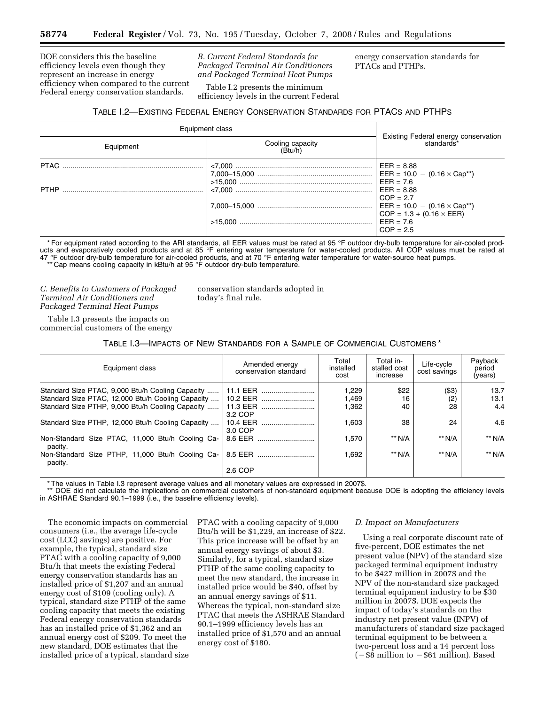DOE considers this the baseline efficiency levels even though they represent an increase in energy efficiency when compared to the current Federal energy conservation standards.

*B. Current Federal Standards for Packaged Terminal Air Conditioners and Packaged Terminal Heat Pumps* 

Table I.2 presents the minimum

energy conservation standards for PTACs and PTHPs.

efficiency levels in the current Federal TABLE I.2—EXISTING FEDERAL ENERGY CONSERVATION STANDARDS FOR PTACS AND PTHPS

| Equipment class                          | Existing Federal energy conservation<br>standards* |                                                                                    |
|------------------------------------------|----------------------------------------------------|------------------------------------------------------------------------------------|
| Cooling capacity<br>(Btu/h)<br>Equipment |                                                    |                                                                                    |
|                                          |                                                    | $EER = 8.88$                                                                       |
|                                          |                                                    | EER = $10.0 - (0.16 \times Cap^{*})$<br>$EER = 7.6$<br>$EER = 8.88$<br>$COP = 2.7$ |
|                                          |                                                    | $EER = 10.0 - (0.16 \times Cap^{**})$<br>$COP = 1.3 + (0.16 \times EER)$           |
|                                          |                                                    | $EER = 7.6$<br>$COP = 2.5$                                                         |

\* For equipment rated according to the ARI standards, all EER values must be rated at 95 °F outdoor dry-bulb temperature for air-cooled products and evaporatively cooled products and at 85 °F entering water temperature for water-cooled products. All COP values must be rated at 47 °F outdoor dry-bulb temperature for air-cooled products, and at 70 °F entering water temperature for water-source heat pumps. \*\* Cap means cooling capacity in kBtu/h at 95 °F outdoor dry-bulb temperature.

*C. Benefits to Customers of Packaged Terminal Air Conditioners and Packaged Terminal Heat Pumps* 

conservation standards adopted in today's final rule.

Table I.3 presents the impacts on commercial customers of the energy

TABLE I.3—IMPACTS OF NEW STANDARDS FOR A SAMPLE OF COMMERCIAL CUSTOMERS \*

| Equipment class                                             | Amended energy<br>conservation standard | Total<br>installed<br>cost | Total in-<br>stalled cost<br>increase | Life-cycle<br>cost savings | Payback<br>period<br>(years) |
|-------------------------------------------------------------|-----------------------------------------|----------------------------|---------------------------------------|----------------------------|------------------------------|
| Standard Size PTAC, 9,000 Btu/h Cooling Capacity            | 11.1 EER                                | 1.229                      | \$22                                  | (\$3)                      | 13.7                         |
| Standard Size PTAC, 12,000 Btu/h Cooling Capacity           | 10.2 EER                                | 1,469                      | 16                                    | (2)                        | 13.1                         |
| Standard Size PTHP, 9,000 Btu/h Cooling Capacity            | 11.3 EER                                | 1,362                      | 40                                    | 28                         | 4.4                          |
|                                                             | 3.2 COP                                 |                            |                                       |                            |                              |
| Standard Size PTHP, 12,000 Btu/h Cooling Capacity           | 10.4 EER                                | 1.603                      | 38                                    | 24                         | 4.6                          |
|                                                             | 3.0 COP                                 |                            |                                       |                            |                              |
| Non-Standard Size PTAC, 11,000 Btu/h Cooling Ca-<br>pacity. | 8.6 EER                                 | 1,570                      | ** N/A                                | ** N/A                     | ** N/A                       |
| Non-Standard Size PTHP, 11,000 Btu/h Cooling Ca-<br>pacity. | 8.5 EER                                 | 1.692                      | $**$ N/A                              | $**$ N/A                   | ** N/A                       |
|                                                             | 2.6 COP                                 |                            |                                       |                            |                              |

\* The values in Table I.3 represent average values and all monetary values are expressed in 2007\$.

\*\* DOE did not calculate the implications on commercial customers of non-standard equipment because DOE is adopting the efficiency levels in ASHRAE Standard 90.1–1999 (i.e., the baseline efficiency levels).

The economic impacts on commercial consumers (i.e., the average life-cycle cost (LCC) savings) are positive. For example, the typical, standard size PTAC with a cooling capacity of 9,000 Btu/h that meets the existing Federal energy conservation standards has an installed price of \$1,207 and an annual energy cost of \$109 (cooling only). A typical, standard size PTHP of the same cooling capacity that meets the existing Federal energy conservation standards has an installed price of \$1,362 and an annual energy cost of \$209. To meet the new standard, DOE estimates that the installed price of a typical, standard size

PTAC with a cooling capacity of 9,000 Btu/h will be \$1,229, an increase of \$22. This price increase will be offset by an annual energy savings of about \$3. Similarly, for a typical, standard size PTHP of the same cooling capacity to meet the new standard, the increase in installed price would be \$40, offset by an annual energy savings of \$11. Whereas the typical, non-standard size PTAC that meets the ASHRAE Standard 90.1–1999 efficiency levels has an installed price of \$1,570 and an annual energy cost of \$180.

## *D. Impact on Manufacturers*

Using a real corporate discount rate of five-percent, DOE estimates the net present value (NPV) of the standard size packaged terminal equipment industry to be \$427 million in 2007\$ and the NPV of the non-standard size packaged terminal equipment industry to be \$30 million in 2007\$. DOE expects the impact of today's standards on the industry net present value (INPV) of manufacturers of standard size packaged terminal equipment to be between a two-percent loss and a 14 percent loss  $(-\$8$  million to  $-\$61$  million). Based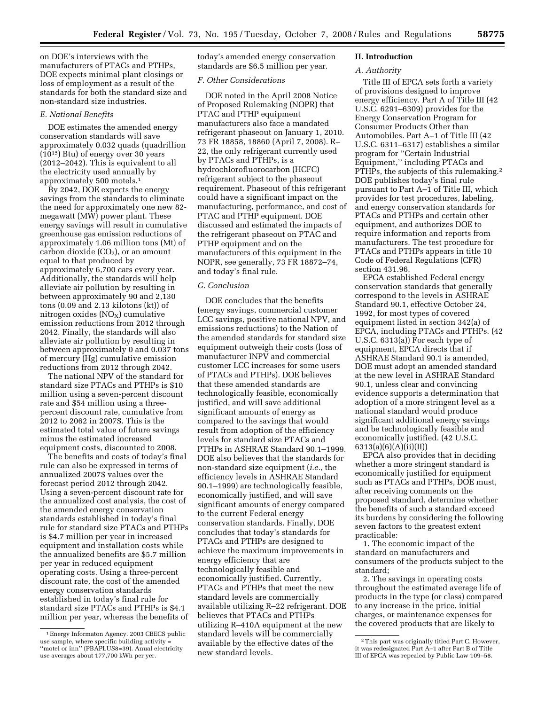on DOE's interviews with the manufacturers of PTACs and PTHPs, DOE expects minimal plant closings or loss of employment as a result of the standards for both the standard size and non-standard size industries.

## *E. National Benefits*

DOE estimates the amended energy conservation standards will save approximately 0.032 quads (quadrillion (1015) Btu) of energy over 30 years (2012–2042). This is equivalent to all the electricity used annually by approximately 500 motels.1

By 2042, DOE expects the energy savings from the standards to eliminate the need for approximately one new 82 megawatt (MW) power plant. These energy savings will result in cumulative greenhouse gas emission reductions of approximately 1.06 million tons (Mt) of  $c$ arbon dioxide (CO<sub>2</sub>), or an amount equal to that produced by approximately 6,700 cars every year. Additionally, the standards will help alleviate air pollution by resulting in between approximately 90 and 2,130 tons (0.09 and 2.13 kilotons (kt)) of nitrogen oxides  $(NO<sub>X</sub>)$  cumulative emission reductions from 2012 through 2042. Finally, the standards will also alleviate air pollution by resulting in between approximately 0 and 0.037 tons of mercury (Hg) cumulative emission reductions from 2012 through 2042.

The national NPV of the standard for standard size PTACs and PTHPs is \$10 million using a seven-percent discount rate and \$54 million using a threepercent discount rate, cumulative from 2012 to 2062 in 2007\$. This is the estimated total value of future savings minus the estimated increased equipment costs, discounted to 2008.

The benefits and costs of today's final rule can also be expressed in terms of annualized 2007\$ values over the forecast period 2012 through 2042. Using a seven-percent discount rate for the annualized cost analysis, the cost of the amended energy conservation standards established in today's final rule for standard size PTACs and PTHPs is \$4.7 million per year in increased equipment and installation costs while the annualized benefits are \$5.7 million per year in reduced equipment operating costs. Using a three-percent discount rate, the cost of the amended energy conservation standards established in today's final rule for standard size PTACs and PTHPs is \$4.1 million per year, whereas the benefits of today's amended energy conservation standards are \$6.5 million per year.

#### *F. Other Considerations*

DOE noted in the April 2008 Notice of Proposed Rulemaking (NOPR) that PTAC and PTHP equipment manufacturers also face a mandated refrigerant phaseout on January 1, 2010. 73 FR 18858, 18860 (April 7, 2008). R– 22, the only refrigerant currently used by PTACs and PTHPs, is a hydrochlorofluorocarbon (HCFC) refrigerant subject to the phaseout requirement. Phaseout of this refrigerant could have a significant impact on the manufacturing, performance, and cost of PTAC and PTHP equipment. DOE discussed and estimated the impacts of the refrigerant phaseout on PTAC and PTHP equipment and on the manufacturers of this equipment in the NOPR, see generally, 73 FR 18872–74, and today's final rule.

#### *G. Conclusion*

DOE concludes that the benefits (energy savings, commercial customer LCC savings, positive national NPV, and emissions reductions) to the Nation of the amended standards for standard size equipment outweigh their costs (loss of manufacturer INPV and commercial customer LCC increases for some users of PTACs and PTHPs). DOE believes that these amended standards are technologically feasible, economically justified, and will save additional significant amounts of energy as compared to the savings that would result from adoption of the efficiency levels for standard size PTACs and PTHPs in ASHRAE Standard 90.1–1999. DOE also believes that the standards for non-standard size equipment (*i.e.*, the efficiency levels in ASHRAE Standard 90.1–1999) are technologically feasible, economically justified, and will save significant amounts of energy compared to the current Federal energy conservation standards. Finally, DOE concludes that today's standards for PTACs and PTHPs are designed to achieve the maximum improvements in energy efficiency that are technologically feasible and economically justified. Currently, PTACs and PTHPs that meet the new standard levels are commercially available utilizing R–22 refrigerant. DOE believes that PTACs and PTHPs utilizing R–410A equipment at the new standard levels will be commercially available by the effective dates of the new standard levels.

#### **II. Introduction**

#### *A. Authority*

Title III of EPCA sets forth a variety of provisions designed to improve energy efficiency. Part A of Title III (42 U.S.C. 6291–6309) provides for the Energy Conservation Program for Consumer Products Other than Automobiles. Part A–1 of Title III (42 U.S.C. 6311–6317) establishes a similar program for ''Certain Industrial Equipment,'' including PTACs and PTHPs, the subjects of this rulemaking.2 DOE publishes today's final rule pursuant to Part A–1 of Title III, which provides for test procedures, labeling, and energy conservation standards for PTACs and PTHPs and certain other equipment, and authorizes DOE to require information and reports from manufacturers. The test procedure for PTACs and PTHPs appears in title 10 Code of Federal Regulations (CFR) section 431.96.

EPCA established Federal energy conservation standards that generally correspond to the levels in ASHRAE Standard 90.1, effective October 24, 1992, for most types of covered equipment listed in section 342(a) of EPCA, including PTACs and PTHPs. (42 U.S.C. 6313(a)) For each type of equipment, EPCA directs that if ASHRAE Standard 90.1 is amended, DOE must adopt an amended standard at the new level in ASHRAE Standard 90.1, unless clear and convincing evidence supports a determination that adoption of a more stringent level as a national standard would produce significant additional energy savings and be technologically feasible and economically justified. (42 U.S.C. 6313(a)(6)(A)(ii)(II))

EPCA also provides that in deciding whether a more stringent standard is economically justified for equipment such as PTACs and PTHPs, DOE must, after receiving comments on the proposed standard, determine whether the benefits of such a standard exceed its burdens by considering the following seven factors to the greatest extent practicable:

1. The economic impact of the standard on manufacturers and consumers of the products subject to the standard;

2. The savings in operating costs throughout the estimated average life of products in the type (or class) compared to any increase in the price, initial charges, or maintenance expenses for the covered products that are likely to

<sup>1</sup>Energy Informaton Agency. 2003 CBECS public use sample, where specific building activity = ''motel or inn'' (PBAPLUS8=39). Anual electricity use averages about 177,700 kWh per yer.

<sup>2</sup>This part was originally titled Part C. However, it was redesignated Part A–1 after Part B of Title III of EPCA was repealed by Public Law 109–58.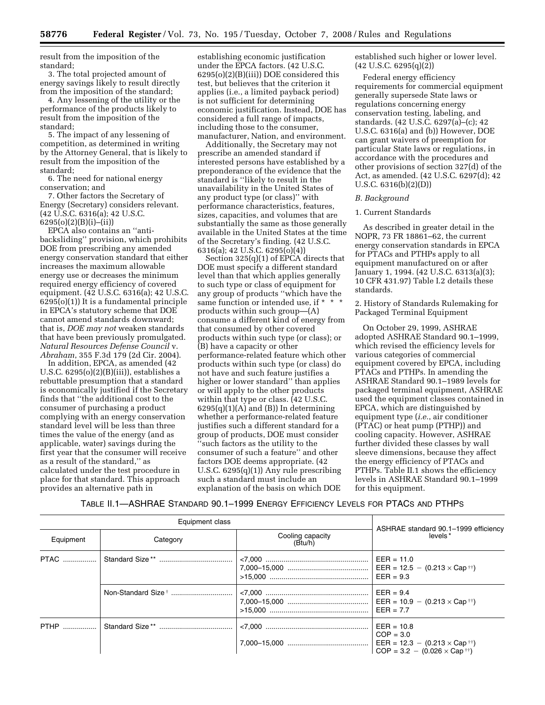result from the imposition of the standard;

3. The total projected amount of energy savings likely to result directly from the imposition of the standard;

4. Any lessening of the utility or the performance of the products likely to result from the imposition of the standard;

5. The impact of any lessening of competition, as determined in writing by the Attorney General, that is likely to result from the imposition of the standard;

6. The need for national energy conservation; and

7. Other factors the Secretary of Energy (Secretary) considers relevant. (42 U.S.C. 6316(a); 42 U.S.C. 6295(o)(2)(B)(i)–(ii))

EPCA also contains an ''antibacksliding'' provision, which prohibits DOE from prescribing any amended energy conservation standard that either increases the maximum allowable energy use or decreases the minimum required energy efficiency of covered equipment. (42 U.S.C. 6316(a); 42 U.S.C. 6295(o)(1)) It is a fundamental principle in EPCA's statutory scheme that DOE cannot amend standards downward; that is, *DOE may not* weaken standards that have been previously promulgated. *Natural Resources Defense Council* v. *Abraham*, 355 F.3d 179 (2d Cir. 2004).

In addition, EPCA, as amended (42 U.S.C. 6295(o)(2)(B)(iii)), establishes a rebuttable presumption that a standard is economically justified if the Secretary finds that ''the additional cost to the consumer of purchasing a product complying with an energy conservation standard level will be less than three times the value of the energy (and as applicable, water) savings during the first year that the consumer will receive as a result of the standard,'' as calculated under the test procedure in place for that standard. This approach provides an alternative path in

establishing economic justification under the EPCA factors. (42 U.S.C. 6295(o)(2)(B)(iii)) DOE considered this test, but believes that the criterion it applies (i.e., a limited payback period) is not sufficient for determining economic justification. Instead, DOE has considered a full range of impacts, including those to the consumer, manufacturer, Nation, and environment.

Additionally, the Secretary may not prescribe an amended standard if interested persons have established by a preponderance of the evidence that the standard is ''likely to result in the unavailability in the United States of any product type (or class)'' with performance characteristics, features, sizes, capacities, and volumes that are substantially the same as those generally available in the United States at the time of the Secretary's finding. (42 U.S.C. 6316(a); 42 U.S.C. 6295(o)(4))

Section  $325(q)(1)$  of EPCA directs that DOE must specify a different standard level than that which applies generally to such type or class of equipment for any group of products ''which have the same function or intended use, if \* \* \* products within such group—(A) consume a different kind of energy from that consumed by other covered products within such type (or class); or (B) have a capacity or other performance-related feature which other products within such type (or class) do not have and such feature justifies a higher or lower standard'' than applies or will apply to the other products within that type or class. (42 U.S.C.  $6295(q)(1)(A)$  and  $(B)$ ) In determining whether a performance-related feature justifies such a different standard for a group of products, DOE must consider 'such factors as the utility to the consumer of such a feature'' and other factors DOE deems appropriate. (42 U.S.C. 6295(q)(1)) Any rule prescribing such a standard must include an explanation of the basis on which DOE

established such higher or lower level.  $(42 \text{ U.S.C. } 6295(q)(2))$ 

Federal energy efficiency requirements for commercial equipment generally supersede State laws or regulations concerning energy conservation testing, labeling, and standards. (42 U.S.C. 6297(a)–(c); 42 U.S.C. 6316(a) and (b)) However, DOE can grant waivers of preemption for particular State laws or regulations, in accordance with the procedures and other provisions of section 327(d) of the Act, as amended. (42 U.S.C. 6297(d); 42 U.S.C. 6316(b)(2)(D))

## *B. Background*

#### 1. Current Standards

As described in greater detail in the NOPR, 73 FR 18861–62, the current energy conservation standards in EPCA for PTACs and PTHPs apply to all equipment manufactured on or after January 1, 1994. (42 U.S.C. 6313(a)(3); 10 CFR 431.97) Table I.2 details these standards.

2. History of Standards Rulemaking for Packaged Terminal Equipment

On October 29, 1999, ASHRAE adopted ASHRAE Standard 90.1–1999, which revised the efficiency levels for various categories of commercial equipment covered by EPCA, including PTACs and PTHPs. In amending the ASHRAE Standard 90.1–1989 levels for packaged terminal equipment, ASHRAE used the equipment classes contained in EPCA, which are distinguished by equipment type (*i.e.*, air conditioner (PTAC) or heat pump (PTHP)) and cooling capacity. However, ASHRAE further divided these classes by wall sleeve dimensions, because they affect the energy efficiency of PTACs and PTHPs. Table II.1 shows the efficiency levels in ASHRAE Standard 90.1–1999 for this equipment.

# TABLE II.1—ASHRAE STANDARD 90.1–1999 ENERGY EFFICIENCY LEVELS FOR PTACS AND PTHPS

| Equipment class |                                         |  |                                                                      |  |
|-----------------|-----------------------------------------|--|----------------------------------------------------------------------|--|
| Equipment       | Cooling capacity<br>Category<br>(Btu/h) |  | ASHRAE standard 90.1-1999 efficiency<br>levels <sup>*</sup>          |  |
|                 |                                         |  | $EER = 11.0$<br>$EER = 9.3$                                          |  |
|                 |                                         |  | $EER = 9.4$<br>$EER = 7.7$                                           |  |
| <b>PTHP</b>     |                                         |  | $EER = 10.8$<br>$COP = 3.0$<br>$COP = 3.2 - (0.026 \times Cap^{++})$ |  |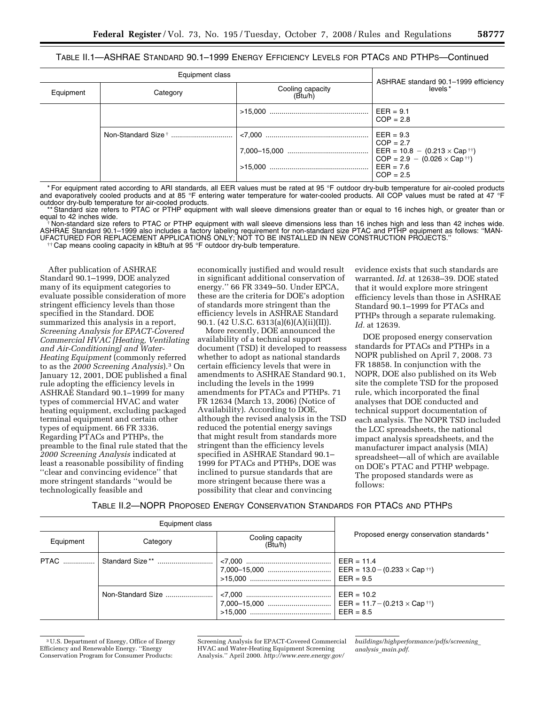# TABLE II.1—ASHRAE STANDARD 90.1–1999 ENERGY EFFICIENCY LEVELS FOR PTACS AND PTHPS—Continued

| Equipment class |                                         |  |                                                                                                                                                                       |
|-----------------|-----------------------------------------|--|-----------------------------------------------------------------------------------------------------------------------------------------------------------------------|
| Equipment       | Cooling capacity<br>(Btu/h)<br>Category |  | ASHRAE standard 90.1-1999 efficiency<br>levels*                                                                                                                       |
|                 |                                         |  | $EER = 9.1$<br>$COP = 2.8$                                                                                                                                            |
|                 |                                         |  | $EER = 9.3$<br>$COP = 2.7$<br>$\text{EER} = 10.8 - (0.213 \times \text{Cap}^{\dagger\dagger})$<br>$COP = 2.9 - (0.026 \times Cap^{++})$<br>$EER = 7.6$<br>$COP = 2.5$ |

\* For equipment rated according to ARI standards, all EER values must be rated at 95 °F outdoor dry-bulb temperature for air-cooled products and evaporatively cooled products and at 85 °F entering water temperature for water-cooled products. All COP values must be rated at 47 °F outdoor dry-bulb temperature for air-cooled products.

\*\* Standard size refers to PTAC or PTHP equipment with wall sleeve dimensions greater than or equal to 16 inches high, or greater than or equal to 42 inches wide.

Non-standard size refers to PTAC or PTHP equipment with wall sleeve dimensions less than 16 inches high and less than 42 inches wide. ASHRAE Standard 90.1–1999 also includes a factory labeling requirement for non-standard size PTAC and PTHP equipment as follows: ''MAN-UFACTURED FOR REPLACEMENT APPLICATIONS ONLY; NOT TO BE INSTALLED IN NEW CONSTRUCTION PROJECTS.'' †† Cap means cooling capacity in kBtu/h at 95 °F outdoor dry-bulb temperature.

After publication of ASHRAE Standard 90.1–1999, DOE analyzed many of its equipment categories to evaluate possible consideration of more stringent efficiency levels than those specified in the Standard. DOE summarized this analysis in a report, *Screening Analysis for EPACT-Covered Commercial HVAC [Heating, Ventilating and Air-Conditioning] and Water-Heating Equipment* (commonly referred to as the *2000 Screening Analysis*).3 On January 12, 2001, DOE published a final rule adopting the efficiency levels in ASHRAE Standard 90.1–1999 for many types of commercial HVAC and water heating equipment, excluding packaged terminal equipment and certain other types of equipment. 66 FR 3336. Regarding PTACs and PTHPs, the preamble to the final rule stated that the *2000 Screening Analysis* indicated at least a reasonable possibility of finding ''clear and convincing evidence'' that more stringent standards ''would be technologically feasible and

economically justified and would result in significant additional conservation of energy.'' 66 FR 3349–50. Under EPCA, these are the criteria for DOE's adoption of standards more stringent than the efficiency levels in ASHRAE Standard 90.1. (42 U.S.C. 6313(a)(6)(A)(ii)(II)).

More recently, DOE announced the availability of a technical support document (TSD) it developed to reassess whether to adopt as national standards certain efficiency levels that were in amendments to ASHRAE Standard 90.1, including the levels in the 1999 amendments for PTACs and PTHPs. 71 FR 12634 (March 13, 2006) (Notice of Availability). According to DOE, although the revised analysis in the TSD reduced the potential energy savings that might result from standards more stringent than the efficiency levels specified in ASHRAE Standard 90.1– 1999 for PTACs and PTHPs, DOE was inclined to pursue standards that are more stringent because there was a possibility that clear and convincing

evidence exists that such standards are warranted. *Id.* at 12638–39. DOE stated that it would explore more stringent efficiency levels than those in ASHRAE Standard 90.1–1999 for PTACs and PTHPs through a separate rulemaking. *Id.* at 12639.

DOE proposed energy conservation standards for PTACs and PTHPs in a NOPR published on April 7, 2008. 73 FR 18858. In conjunction with the NOPR, DOE also published on its Web site the complete TSD for the proposed rule, which incorporated the final analyses that DOE conducted and technical support documentation of each analysis. The NOPR TSD included the LCC spreadsheets, the national impact analysis spreadsheets, and the manufacturer impact analysis (MIA) spreadsheet—all of which are available on DOE's PTAC and PTHP webpage. The proposed standards were as follows:

TABLE II.2—NOPR PROPOSED ENERGY CONSERVATION STANDARDS FOR PTACS AND PTHPS

| Equipment class |                   |                             |                                         |
|-----------------|-------------------|-----------------------------|-----------------------------------------|
| Equipment       | Category          | Cooling capacity<br>(Btu/h) | Proposed energy conservation standards* |
|                 |                   |                             |                                         |
|                 | Non-Standard Size |                             | $EER = 10.2$<br>$EER = 8.5$             |

<sup>3</sup>U.S. Department of Energy, Office of Energy Efficiency and Renewable Energy. ''Energy Conservation Program for Consumer Products:

*buildings/highperformance/pdfs/screening*\_ *analysis*\_*main.pdf.* 

Screening Analysis for EPACT-Covered Commercial HVAC and Water-Heating Equipment Screening Analysis.'' April 2000. *http://www.eere.energy.gov/*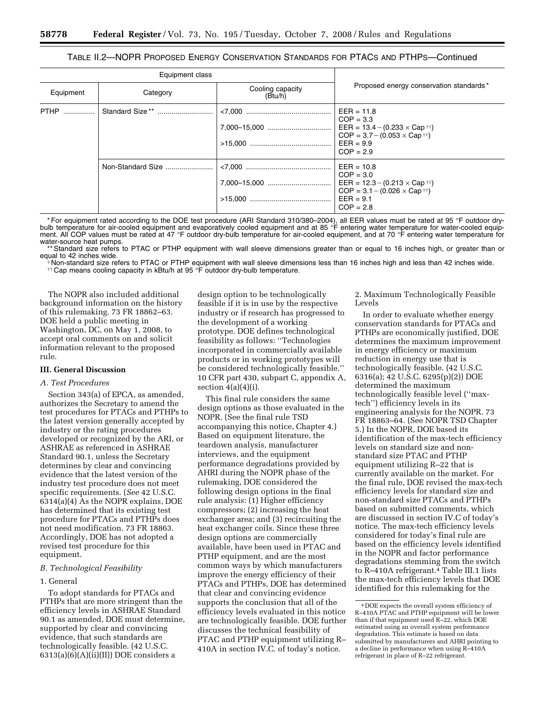| TABLE II.2—NOPR PROPOSED ENERGY CONSERVATION STANDARDS FOR PTACS AND PTHPS—Continued |  |
|--------------------------------------------------------------------------------------|--|
|--------------------------------------------------------------------------------------|--|

| Equipment class |                             |                             |                                                                                                                                                                                                                    |
|-----------------|-----------------------------|-----------------------------|--------------------------------------------------------------------------------------------------------------------------------------------------------------------------------------------------------------------|
| Equipment       | Category                    | Cooling capacity<br>(Btu/h) | Proposed energy conservation standards*                                                                                                                                                                            |
| <b>PTHP</b>     | Standard Size <sup>**</sup> |                             | $EER = 11.8$<br>$COP = 3.3$<br>EER = $13.4 - (0.233 \times Cap \text{ } \text{ }^{\text{}}\text{ }^{\text{}}\text{+)}$<br>$COP = 3.7 - (0.053 \times Cap \text{ }^{\dagger\dagger})$<br>$EER = 9.9$<br>$COP = 2.9$ |
|                 | Non-Standard Size           |                             | $EER = 10.8$<br>$COP = 3.0$<br>EER = $12.3 - (0.213 \times Cap \text{ th})$<br>$COP = 3.1 - (0.026 \times Cap \dagger \dagger)$<br>$EER = 9.1$<br>$COP = 2.8$                                                      |

\* For equipment rated according to the DOE test procedure (ARI Standard 310/380–2004), all EER values must be rated at 95 °F outdoor drybulb temperature for air-cooled equipment and evaporatively cooled equipment and at 85 °F entering water temperature for water-cooled equipment. All COP values must be rated at 47 °F outdoor dry-bulb temperature for air-cooled equipment, and at 70 °F entering water temperature for water-source heat pumps.

\*\* Standard size refers to PTAC or PTHP equipment with wall sleeve dimensions greater than or equal to 16 inches high, or greater than or equal to 42 inches wide.

the standard size refers to PTAC or PTHP equipment with wall sleeve dimensions less than 16 inches high and less than 42 inches wide.<br>#Non-standard size refers to PTAC or PTHP equipment with wall sleeve dimensions less tha

The NOPR also included additional background information on the history of this rulemaking. 73 FR 18862–63. DOE held a public meeting in Washington, DC, on May 1, 2008, to accept oral comments on and solicit information relevant to the proposed rule.

#### **III. General Discussion**

## *A. Test Procedures*

Section 343(a) of EPCA, as amended, authorizes the Secretary to amend the test procedures for PTACs and PTHPs to the latest version generally accepted by industry or the rating procedures developed or recognized by the ARI, or ASHRAE as referenced in ASHRAE Standard 90.1, unless the Secretary determines by clear and convincing evidence that the latest version of the industry test procedure does not meet specific requirements. (*See* 42 U.S.C. 6314(a)(4) As the NOPR explains, DOE has determined that its existing test procedure for PTACs and PTHPs does not need modification. 73 FR 18863. Accordingly, DOE has not adopted a revised test procedure for this equipment.

## *B. Technological Feasibility*

#### 1. General

To adopt standards for PTACs and PTHPs that are more stringent than the efficiency levels in ASHRAE Standard 90.1 as amended, DOE must determine, supported by clear and convincing evidence, that such standards are technologically feasible. (42 U.S.C.  $6313(a)(6)(A)(ii)(II))$  DOE considers a

design option to be technologically feasible if it is in use by the respective industry or if research has progressed to the development of a working prototype. DOE defines technological feasibility as follows: ''Technologies incorporated in commercially available products or in working prototypes will be considered technologically feasible.'' 10 CFR part 430, subpart C, appendix A, section  $4(a)(4)(i)$ .

This final rule considers the same design options as those evaluated in the NOPR. (See the final rule TSD accompanying this notice, Chapter 4.) Based on equipment literature, the teardown analysis, manufacturer interviews, and the equipment performance degradations provided by AHRI during the NOPR phase of the rulemaking, DOE considered the following design options in the final rule analysis: (1) Higher efficiency compressors; (2) increasing the heat exchanger area; and (3) recircuiting the heat exchanger coils. Since these three design options are commercially available, have been used in PTAC and PTHP equipment, and are the most common ways by which manufacturers improve the energy efficiency of their PTACs and PTHPs, DOE has determined that clear and convincing evidence supports the conclusion that all of the efficiency levels evaluated in this notice are technologically feasible. DOE further discusses the technical feasibility of PTAC and PTHP equipment utilizing R– 410A in section IV.C. of today's notice.

2. Maximum Technologically Feasible Levels

In order to evaluate whether energy conservation standards for PTACs and PTHPs are economically justified, DOE determines the maximum improvement in energy efficiency or maximum reduction in energy use that is technologically feasible. (42 U.S.C. 6316(a); 42 U.S.C. 6295(p)(2)) DOE determined the maximum technologically feasible level (''maxtech'') efficiency levels in its engineering analysis for the NOPR. 73 FR 18863–64. (See NOPR TSD Chapter 5.) In the NOPR, DOE based its identification of the max-tech efficiency levels on standard size and nonstandard size PTAC and PTHP equipment utilizing R–22 that is currently available on the market. For the final rule, DOE revised the max-tech efficiency levels for standard size and non-standard size PTACs and PTHPs based on submitted comments, which are discussed in section IV.C of today's notice. The max-tech efficiency levels considered for today's final rule are based on the efficiency levels identified in the NOPR and factor performance degradations stemming from the switch to R–410A refrigerant.4 Table III.1 lists the max-tech efficiency levels that DOE identified for this rulemaking for the

<sup>4</sup> DOE expects the overall system efficiency of R–410A PTAC and PTHP equipment will be lower than if that equipment used R–22, which DOE estimated using an overall system performance degradation. This estimate is based on data submitted by manufacturers and AHRI pointing to a decline in performance when using R–410A refrigerant in place of R–22 refrigerant.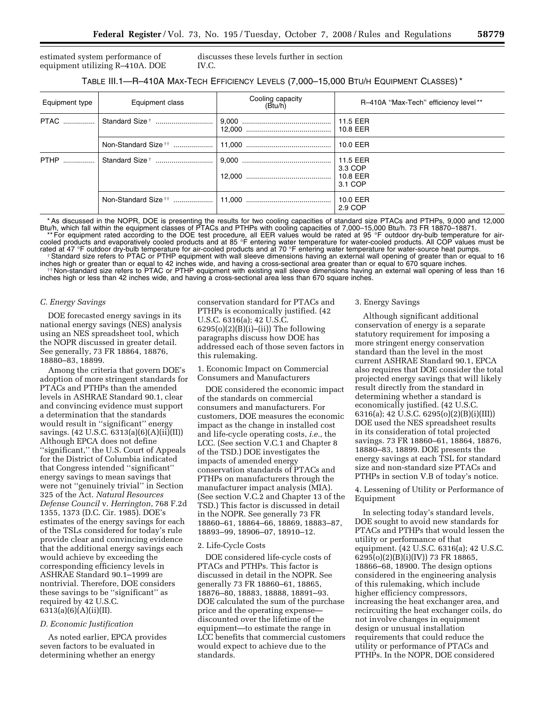estimated system performance of equipment utilizing R–410A. DOE discusses these levels further in section IV.C.

# TABLE III.1—R–410A MAX-TECH EFFICIENCY LEVELS (7,000–15,000 BTU/H EQUIPMENT CLASSES) \*

| Equipment type | Equipment class | Cooling capacity<br>(Btu/h) | R-410A "Max-Tech" efficiency level**       |
|----------------|-----------------|-----------------------------|--------------------------------------------|
|                |                 |                             | 11.5 EER<br>10.8 EER                       |
|                |                 |                             | 10.0 EER                                   |
|                |                 |                             | 11.5 EER<br>3.3 COP<br>10.8 EER<br>3.1 COP |
|                |                 |                             | 10.0 EER<br>2.9 COP                        |

\* As discussed in the NOPR, DOE is presenting the results for two cooling capacities of standard size PTACs and PTHPs, 9,000 and 12,000 Btu/h, which fall within the equipment classes of PTACs and PTHPs with cooling capacities of 7,000–15,000 Btu/h. 73 FR 18870–18871. \*\* For equipment rated according to the DOE test procedure, all EER values would be rated at 95 °F outdoor dry-bulb temperature for air-

cooled products and evaporatively cooled products and at 85 °F entering water temperature for water-cooled products. All COP values must be rated at 47 °F outdoor dry-bulb temperature for air-cooled products and at 70 °F entering water temperature for water-source heat pumps.<br>Standard size refers to PTAC or PTHP equipment with wall sleeve dimensions having an

inches high or greater than or equal to 42 inches wide, and having a cross-sectional area greater than or equal to 670 square inches.<br>The strain of the strain or equal to 42 inches wide, and having a cross-sectional area g inches high or less than 42 inches wide, and having a cross-sectional area less than 670 square inches.

#### *C. Energy Savings*

DOE forecasted energy savings in its national energy savings (NES) analysis using an NES spreadsheet tool, which the NOPR discussed in greater detail. See generally, 73 FR 18864, 18876, 18880–83, 18899.

Among the criteria that govern DOE's adoption of more stringent standards for PTACs and PTHPs than the amended levels in ASHRAE Standard 90.1, clear and convincing evidence must support a determination that the standards would result in ''significant'' energy savings. (42 U.S.C. 6313(a)(6)(A)(ii)(II)) Although EPCA does not define ''significant,'' the U.S. Court of Appeals for the District of Columbia indicated that Congress intended ''significant'' energy savings to mean savings that were not ''genuinely trivial'' in Section 325 of the Act. *Natural Resources Defense Council* v. *Herrington*, 768 F.2d 1355, 1373 (D.C. Cir. 1985). DOE's estimates of the energy savings for each of the TSLs considered for today's rule provide clear and convincing evidence that the additional energy savings each would achieve by exceeding the corresponding efficiency levels in ASHRAE Standard 90.1–1999 are nontrivial. Therefore, DOE considers these savings to be ''significant'' as required by 42 U.S.C. 6313(a)(6)(A)(ii)(II).

#### *D. Economic Justification*

As noted earlier, EPCA provides seven factors to be evaluated in determining whether an energy

conservation standard for PTACs and PTHPs is economically justified. (42 U.S.C. 6316(a); 42 U.S.C.  $6295(o)(2)(B)(i)–(ii))$  The following paragraphs discuss how DOE has addressed each of those seven factors in this rulemaking.

1. Economic Impact on Commercial Consumers and Manufacturers

DOE considered the economic impact of the standards on commercial consumers and manufacturers. For customers, DOE measures the economic impact as the change in installed cost and life-cycle operating costs, *i.e.*, the LCC. (See section V.C.1 and Chapter 8 of the TSD.) DOE investigates the impacts of amended energy conservation standards of PTACs and PTHPs on manufacturers through the manufacturer impact analysis (MIA). (See section V.C.2 and Chapter 13 of the TSD.) This factor is discussed in detail in the NOPR. See generally 73 FR 18860–61, 18864–66, 18869, 18883–87, 18893–99, 18906–07, 18910–12.

#### 2. Life-Cycle Costs

DOE considered life-cycle costs of PTACs and PTHPs. This factor is discussed in detail in the NOPR. See generally 73 FR 18860–61, 18865, 18876–80, 18883, 18888, 18891–93. DOE calculated the sum of the purchase price and the operating expense discounted over the lifetime of the equipment—to estimate the range in LCC benefits that commercial customers would expect to achieve due to the standards.

#### 3. Energy Savings

Although significant additional conservation of energy is a separate statutory requirement for imposing a more stringent energy conservation standard than the level in the most current ASHRAE Standard 90.1, EPCA also requires that DOE consider the total projected energy savings that will likely result directly from the standard in determining whether a standard is economically justified. (42 U.S.C. 6316(a); 42 U.S.C. 6295(o)(2)(B)(i)(III)) DOE used the NES spreadsheet results in its consideration of total projected savings. 73 FR 18860–61, 18864, 18876, 18880–83, 18899. DOE presents the energy savings at each TSL for standard size and non-standard size PTACs and PTHPs in section V.B of today's notice.

4. Lessening of Utility or Performance of Equipment

In selecting today's standard levels, DOE sought to avoid new standards for PTACs and PTHPs that would lessen the utility or performance of that equipment. (42 U.S.C. 6316(a); 42 U.S.C.  $6295(0)(2)(B)(i)(IV)$  73 FR 18865, 18866–68, 18900. The design options considered in the engineering analysis of this rulemaking, which include higher efficiency compressors, increasing the heat exchanger area, and recircuiting the heat exchanger coils, do not involve changes in equipment design or unusual installation requirements that could reduce the utility or performance of PTACs and PTHPs. In the NOPR, DOE considered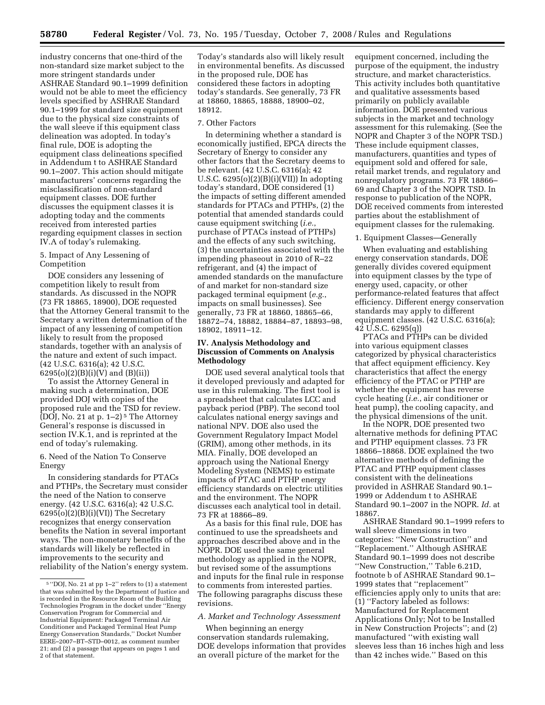industry concerns that one-third of the non-standard size market subject to the more stringent standards under ASHRAE Standard 90.1–1999 definition would not be able to meet the efficiency levels specified by ASHRAE Standard 90.1–1999 for standard size equipment due to the physical size constraints of the wall sleeve if this equipment class delineation was adopted. In today's final rule, DOE is adopting the equipment class delineations specified in Addendum t to ASHRAE Standard 90.1–2007. This action should mitigate manufacturers' concerns regarding the misclassification of non-standard equipment classes. DOE further discusses the equipment classes it is adopting today and the comments received from interested parties regarding equipment classes in section IV.A of today's rulemaking.

## 5. Impact of Any Lessening of Competition

DOE considers any lessening of competition likely to result from standards. As discussed in the NOPR (73 FR 18865, 18900), DOE requested that the Attorney General transmit to the Secretary a written determination of the impact of any lessening of competition likely to result from the proposed standards, together with an analysis of the nature and extent of such impact. (42 U.S.C. 6316(a); 42 U.S.C.  $6295(o)(2)(B)(i)(V)$  and  $(B)(ii)$ 

To assist the Attorney General in making such a determination, DOE provided DOJ with copies of the proposed rule and the TSD for review. (DOJ, No. 21 at p.  $1-2$ )<sup>5</sup> The Attorney General's response is discussed in section IV.K.1, and is reprinted at the end of today's rulemaking.

# 6. Need of the Nation To Conserve Energy

In considering standards for PTACs and PTHPs, the Secretary must consider the need of the Nation to conserve energy. (42 U.S.C. 6316(a); 42 U.S.C.  $6295(o)(2)(B)(i)(VI))$  The Secretary recognizes that energy conservation benefits the Nation in several important ways. The non-monetary benefits of the standards will likely be reflected in improvements to the security and reliability of the Nation's energy system.

Today's standards also will likely result in environmental benefits. As discussed in the proposed rule, DOE has considered these factors in adopting today's standards. See generally, 73 FR at 18860, 18865, 18888, 18900–02, 18912.

# 7. Other Factors

In determining whether a standard is economically justified, EPCA directs the Secretary of Energy to consider any other factors that the Secretary deems to be relevant. (42 U.S.C. 6316(a); 42 U.S.C.  $6295(o)(2)(B)(i)(VII)$  In adopting today's standard, DOE considered (1) the impacts of setting different amended standards for PTACs and PTHPs, (2) the potential that amended standards could cause equipment switching (*i.e.*, purchase of PTACs instead of PTHPs) and the effects of any such switching, (3) the uncertainties associated with the impending phaseout in 2010 of R–22 refrigerant, and (4) the impact of amended standards on the manufacture of and market for non-standard size packaged terminal equipment (*e.g.*, impacts on small businesses). See generally, 73 FR at 18860, 18865–66, 18872–74, 18882, 18884–87, 18893–98, 18902, 18911–12.

# **IV. Analysis Methodology and Discussion of Comments on Analysis Methodology**

DOE used several analytical tools that it developed previously and adapted for use in this rulemaking. The first tool is a spreadsheet that calculates LCC and payback period (PBP). The second tool calculates national energy savings and national NPV. DOE also used the Government Regulatory Impact Model (GRIM), among other methods, in its MIA. Finally, DOE developed an approach using the National Energy Modeling System (NEMS) to estimate impacts of PTAC and PTHP energy efficiency standards on electric utilities and the environment. The NOPR discusses each analytical tool in detail. 73 FR at 18866–89.

As a basis for this final rule, DOE has continued to use the spreadsheets and approaches described above and in the NOPR. DOE used the same general methodology as applied in the NOPR, but revised some of the assumptions and inputs for the final rule in response to comments from interested parties. The following paragraphs discuss these revisions.

#### *A. Market and Technology Assessment*

When beginning an energy conservation standards rulemaking, DOE develops information that provides an overall picture of the market for the

equipment concerned, including the purpose of the equipment, the industry structure, and market characteristics. This activity includes both quantitative and qualitative assessments based primarily on publicly available information. DOE presented various subjects in the market and technology assessment for this rulemaking. (See the NOPR and Chapter 3 of the NOPR TSD.) These include equipment classes, manufacturers, quantities and types of equipment sold and offered for sale, retail market trends, and regulatory and nonregulatory programs. 73 FR 18866– 69 and Chapter 3 of the NOPR TSD. In response to publication of the NOPR, DOE received comments from interested parties about the establishment of equipment classes for the rulemaking.

# 1. Equipment Classes—Generally

When evaluating and establishing energy conservation standards, DOE generally divides covered equipment into equipment classes by the type of energy used, capacity, or other performance-related features that affect efficiency. Different energy conservation standards may apply to different equipment classes. (42 U.S.C. 6316(a); 42 U.S.C. 6295(q))

PTACs and PTHPs can be divided into various equipment classes categorized by physical characteristics that affect equipment efficiency. Key characteristics that affect the energy efficiency of the PTAC or PTHP are whether the equipment has reverse cycle heating (*i.e.*, air conditioner or heat pump), the cooling capacity, and the physical dimensions of the unit.

In the NOPR, DOE presented two alternative methods for defining PTAC and PTHP equipment classes. 73 FR 18866–18868. DOE explained the two alternative methods of defining the PTAC and PTHP equipment classes consistent with the delineations provided in ASHRAE Standard 90.1– 1999 or Addendum t to ASHRAE Standard 90.1–2007 in the NOPR. *Id.* at 18867.

ASHRAE Standard 90.1–1999 refers to wall sleeve dimensions in two categories: ''New Construction'' and ''Replacement.'' Although ASHRAE Standard 90.1–1999 does not describe ''New Construction,'' Table 6.21D, footnote b of ASHRAE Standard 90.1– 1999 states that ''replacement'' efficiencies apply only to units that are: (1) ''Factory labeled as follows: Manufactured for Replacement Applications Only; Not to be Installed in New Construction Projects''; and (2) manufactured ''with existing wall sleeves less than 16 inches high and less than 42 inches wide.'' Based on this

<sup>5</sup> ''DOJ, No. 21 at pp 1–2'' refers to (1) a statement that was submitted by the Department of Justice and is recorded in the Resource Room of the Building Technologies Program in the docket under ''Energy Conservation Program for Commercial and Industrial Equipment: Packaged Terminal Air Conditioner and Packaged Terminal Heat Pump Energy Conservation Standards,'' Docket Number EERE–2007–BT–STD–0012, as comment number 21; and (2) a passage that appears on pages 1 and 2 of that statement.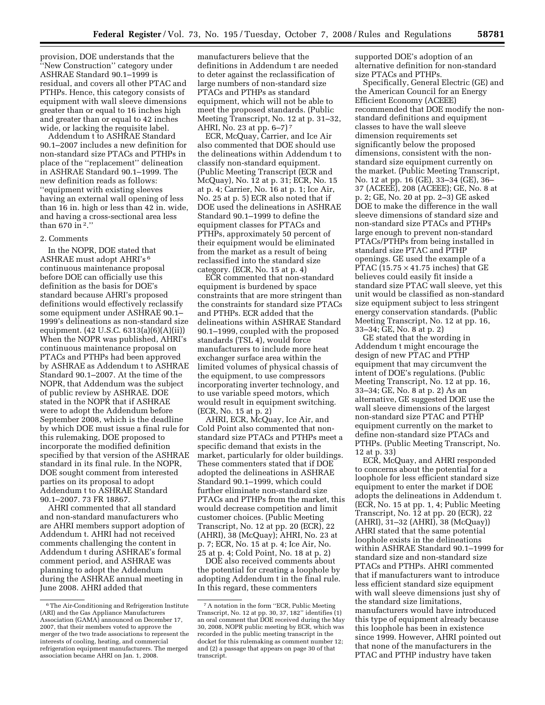provision, DOE understands that the ''New Construction'' category under ASHRAE Standard 90.1–1999 is residual, and covers all other PTAC and PTHPs. Hence, this category consists of equipment with wall sleeve dimensions greater than or equal to 16 inches high and greater than or equal to 42 inches wide, or lacking the requisite label.

Addendum t to ASHRAE Standard 90.1–2007 includes a new definition for non-standard size PTACs and PTHPs in place of the ''replacement'' delineation in ASHRAE Standard 90.1–1999. The new definition reads as follows: ''equipment with existing sleeves having an external wall opening of less than 16 in. high or less than 42 in. wide, and having a cross-sectional area less than 670 in 2.''

### 2. Comments

In the NOPR, DOE stated that ASHRAE must adopt AHRI's 6 continuous maintenance proposal before DOE can officially use this definition as the basis for DOE's standard because AHRI's proposed definitions would effectively reclassify some equipment under ASHRAE 90.1– 1999's delineations as non-standard size equipment. (42 U.S.C. 6313(a)(6)(A)(ii)) When the NOPR was published, AHRI's continuous maintenance proposal on PTACs and PTHPs had been approved by ASHRAE as Addendum t to ASHRAE Standard 90.1–2007. At the time of the NOPR, that Addendum was the subject of public review by ASHRAE. DOE stated in the NOPR that if ASHRAE were to adopt the Addendum before September 2008, which is the deadline by which DOE must issue a final rule for this rulemaking, DOE proposed to incorporate the modified definition specified by that version of the ASHRAE standard in its final rule. In the NOPR, DOE sought comment from interested parties on its proposal to adopt Addendum t to ASHRAE Standard 90.1–2007. 73 FR 18867.

AHRI commented that all standard and non-standard manufacturers who are AHRI members support adoption of Addendum t. AHRI had not received comments challenging the content in Addendum t during ASHRAE's formal comment period, and ASHRAE was planning to adopt the Addendum during the ASHRAE annual meeting in June 2008. AHRI added that

manufacturers believe that the definitions in Addendum t are needed to deter against the reclassification of large numbers of non-standard size PTACs and PTHPs as standard equipment, which will not be able to meet the proposed standards. (Public Meeting Transcript, No. 12 at p. 31–32, AHRI, No. 23 at pp. 6–7) 7

ECR, McQuay, Carrier, and Ice Air also commented that DOE should use the delineations within Addendum t to classify non-standard equipment. (Public Meeting Transcript (ECR and McQuay), No. 12 at p. 31; ECR, No. 15 at p. 4; Carrier, No. 16 at p. 1; Ice Air, No. 25 at p. 5) ECR also noted that if DOE used the delineations in ASHRAE Standard 90.1–1999 to define the equipment classes for PTACs and PTHPs, approximately 50 percent of their equipment would be eliminated from the market as a result of being reclassified into the standard size category. (ECR, No. 15 at p. 4)

ECR commented that non-standard equipment is burdened by space constraints that are more stringent than the constraints for standard size PTACs and PTHPs. ECR added that the delineations within ASHRAE Standard 90.1–1999, coupled with the proposed standards (TSL 4), would force manufacturers to include more heat exchanger surface area within the limited volumes of physical chassis of the equipment, to use compressors incorporating inverter technology, and to use variable speed motors, which would result in equipment switching. (ECR, No. 15 at p. 2)

AHRI, ECR, McQuay, Ice Air, and Cold Point also commented that nonstandard size PTACs and PTHPs meet a specific demand that exists in the market, particularly for older buildings. These commenters stated that if DOE adopted the delineations in ASHRAE Standard 90.1–1999, which could further eliminate non-standard size PTACs and PTHPs from the market, this would decrease competition and limit customer choices. (Public Meeting Transcript, No. 12 at pp. 20 (ECR), 22 (AHRI), 38 (McQuay); AHRI, No. 23 at p. 7; ECR, No. 15 at p. 4; Ice Air, No. 25 at p. 4; Cold Point, No. 18 at p. 2)

DOE also received comments about the potential for creating a loophole by adopting Addendum t in the final rule. In this regard, these commenters

supported DOE's adoption of an alternative definition for non-standard size PTACs and PTHPs.

Specifically, General Electric (GE) and the American Council for an Energy Efficient Economy (ACEEE) recommended that DOE modify the nonstandard definitions and equipment classes to have the wall sleeve dimension requirements set significantly below the proposed dimensions, consistent with the nonstandard size equipment currently on the market. (Public Meeting Transcript, No. 12 at pp. 16 (GE), 33–34 (GE), 36– 37 (ACEEE), 208 (ACEEE); GE, No. 8 at p. 2; GE, No. 20 at pp. 2–3) GE asked DOE to make the difference in the wall sleeve dimensions of standard size and non-standard size PTACs and PTHPs large enough to prevent non-standard PTACs/PTHPs from being installed in standard size PTAC and PTHP openings. GE used the example of a PTAC (15.75  $\times$  41.75 inches) that GE believes could easily fit inside a standard size PTAC wall sleeve, yet this unit would be classified as non-standard size equipment subject to less stringent energy conservation standards. (Public Meeting Transcript, No. 12 at pp. 16, 33–34; GE, No. 8 at p. 2)

GE stated that the wording in Addendum t might encourage the design of new PTAC and PTHP equipment that may circumvent the intent of DOE's regulations. (Public Meeting Transcript, No. 12 at pp. 16, 33–34; GE, No. 8 at p. 2) As an alternative, GE suggested DOE use the wall sleeve dimensions of the largest non-standard size PTAC and PTHP equipment currently on the market to define non-standard size PTACs and PTHPs. (Public Meeting Transcript, No. 12 at p. 33)

ECR, McQuay, and AHRI responded to concerns about the potential for a loophole for less efficient standard size equipment to enter the market if DOE adopts the delineations in Addendum t. (ECR, No. 15 at pp. 1, 4; Public Meeting Transcript, No. 12 at pp. 20 (ECR), 22 (AHRI), 31–32 (AHRI), 38 (McQuay)) AHRI stated that the same potential loophole exists in the delineations within ASHRAE Standard 90.1–1999 for standard size and non-standard size PTACs and PTHPs. AHRI commented that if manufacturers want to introduce less efficient standard size equipment with wall sleeve dimensions just shy of the standard size limitations, manufacturers would have introduced this type of equipment already because this loophole has been in existence since 1999. However, AHRI pointed out that none of the manufacturers in the PTAC and PTHP industry have taken

<sup>6</sup>The Air-Conditioning and Refrigeration Institute (ARI) and the Gas Appliance Manufacturers Association (GAMA) announced on December 17, 2007, that their members voted to approve the merger of the two trade associations to represent the interests of cooling, heating, and commercial refrigeration equipment manufacturers. The merged association became AHRI on Jan. 1, 2008.

<sup>7</sup>A notation in the form ''ECR, Public Meeting Transcript, No. 12 at pp. 30, 37, 182'' identifies (1) an oral comment that DOE received during the May 30, 2008, NOPR public meeting by ECR, which was recorded in the public meeting transcript in the docket for this rulemaking as comment number 12; and (2) a passage that appears on page 30 of that transcript.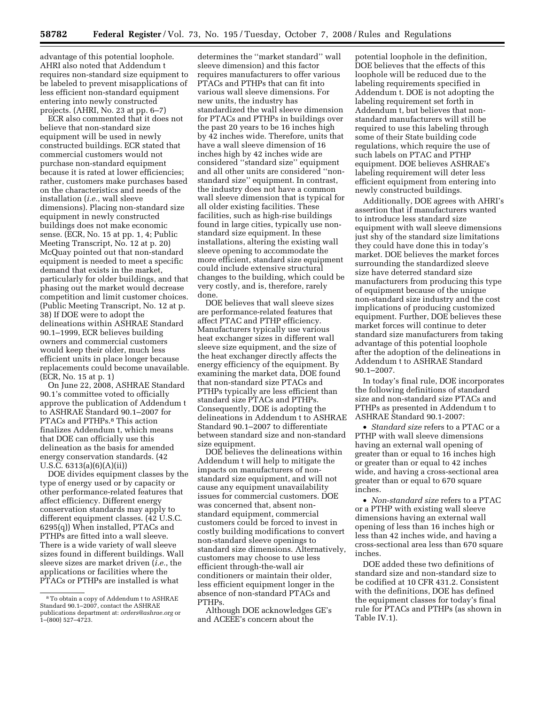advantage of this potential loophole. AHRI also noted that Addendum t requires non-standard size equipment to be labeled to prevent misapplications of less efficient non-standard equipment entering into newly constructed projects. (AHRI, No. 23 at pp. 6–7)

ECR also commented that it does not believe that non-standard size equipment will be used in newly constructed buildings. ECR stated that commercial customers would not purchase non-standard equipment because it is rated at lower efficiencies; rather, customers make purchases based on the characteristics and needs of the installation (*i.e.*, wall sleeve dimensions). Placing non-standard size equipment in newly constructed buildings does not make economic sense. (ECR, No. 15 at pp. 1, 4; Public Meeting Transcript, No. 12 at p. 20) McQuay pointed out that non-standard equipment is needed to meet a specific demand that exists in the market, particularly for older buildings, and that phasing out the market would decrease competition and limit customer choices. (Public Meeting Transcript, No. 12 at p. 38) If DOE were to adopt the delineations within ASHRAE Standard 90.1–1999, ECR believes building owners and commercial customers would keep their older, much less efficient units in place longer because replacements could become unavailable. (ECR, No. 15 at p. 1)

On June 22, 2008, ASHRAE Standard 90.1's committee voted to officially approve the publication of Addendum t to ASHRAE Standard 90.1–2007 for PTACs and PTHPs.8 This action finalizes Addendum t, which means that DOE can officially use this delineation as the basis for amended energy conservation standards. (42 U.S.C. 6313(a)(6)(A)(ii))

DOE divides equipment classes by the type of energy used or by capacity or other performance-related features that affect efficiency. Different energy conservation standards may apply to different equipment classes. (42 U.S.C. 6295(q)) When installed, PTACs and PTHPs are fitted into a wall sleeve. There is a wide variety of wall sleeve sizes found in different buildings. Wall sleeve sizes are market driven (*i.e.*, the applications or facilities where the PTACs or PTHPs are installed is what

determines the ''market standard'' wall sleeve dimension) and this factor requires manufacturers to offer various PTACs and PTHPs that can fit into various wall sleeve dimensions. For new units, the industry has standardized the wall sleeve dimension for PTACs and PTHPs in buildings over the past 20 years to be 16 inches high by 42 inches wide. Therefore, units that have a wall sleeve dimension of 16 inches high by 42 inches wide are considered ''standard size'' equipment and all other units are considered ''nonstandard size'' equipment. In contrast, the industry does not have a common wall sleeve dimension that is typical for all older existing facilities. These facilities, such as high-rise buildings found in large cities, typically use nonstandard size equipment. In these installations, altering the existing wall sleeve opening to accommodate the more efficient, standard size equipment could include extensive structural changes to the building, which could be very costly, and is, therefore, rarely done.

DOE believes that wall sleeve sizes are performance-related features that affect PTAC and PTHP efficiency. Manufacturers typically use various heat exchanger sizes in different wall sleeve size equipment, and the size of the heat exchanger directly affects the energy efficiency of the equipment. By examining the market data, DOE found that non-standard size PTACs and PTHPs typically are less efficient than standard size PTACs and PTHPs. Consequently, DOE is adopting the delineations in Addendum t to ASHRAE Standard 90.1–2007 to differentiate between standard size and non-standard size equipment.

DOE believes the delineations within Addendum t will help to mitigate the impacts on manufacturers of nonstandard size equipment, and will not cause any equipment unavailability issues for commercial customers. DOE was concerned that, absent nonstandard equipment, commercial customers could be forced to invest in costly building modifications to convert non-standard sleeve openings to standard size dimensions. Alternatively, customers may choose to use less efficient through-the-wall air conditioners or maintain their older, less efficient equipment longer in the absence of non-standard PTACs and PTHPs.

Although DOE acknowledges GE's and ACEEE's concern about the

potential loophole in the definition, DOE believes that the effects of this loophole will be reduced due to the labeling requirements specified in Addendum t. DOE is not adopting the labeling requirement set forth in Addendum t, but believes that nonstandard manufacturers will still be required to use this labeling through some of their State building code regulations, which require the use of such labels on PTAC and PTHP equipment. DOE believes ASHRAE's labeling requirement will deter less efficient equipment from entering into newly constructed buildings.

Additionally, DOE agrees with AHRI's assertion that if manufacturers wanted to introduce less standard size equipment with wall sleeve dimensions just shy of the standard size limitations they could have done this in today's market. DOE believes the market forces surrounding the standardized sleeve size have deterred standard size manufacturers from producing this type of equipment because of the unique non-standard size industry and the cost implications of producing customized equipment. Further, DOE believes these market forces will continue to deter standard size manufacturers from taking advantage of this potential loophole after the adoption of the delineations in Addendum t to ASHRAE Standard 90.1–2007.

In today's final rule, DOE incorporates the following definitions of standard size and non-standard size PTACs and PTHPs as presented in Addendum t to ASHRAE Standard 90.1-2007:

• *Standard size* refers to a PTAC or a PTHP with wall sleeve dimensions having an external wall opening of greater than or equal to 16 inches high or greater than or equal to 42 inches wide, and having a cross-sectional area greater than or equal to 670 square inches.

• *Non-standard size* refers to a PTAC or a PTHP with existing wall sleeve dimensions having an external wall opening of less than 16 inches high or less than 42 inches wide, and having a cross-sectional area less than 670 square inches.

DOE added these two definitions of standard size and non-standard size to be codified at 10 CFR 431.2. Consistent with the definitions, DOE has defined the equipment classes for today's final rule for PTACs and PTHPs (as shown in Table IV.1).

<sup>8</sup>To obtain a copy of Addendum t to ASHRAE Standard 90.1–2007, contact the ASHRAE publications department at: *orders@ashrae.org* or  $1-$ (800) 527 $-$ 4723.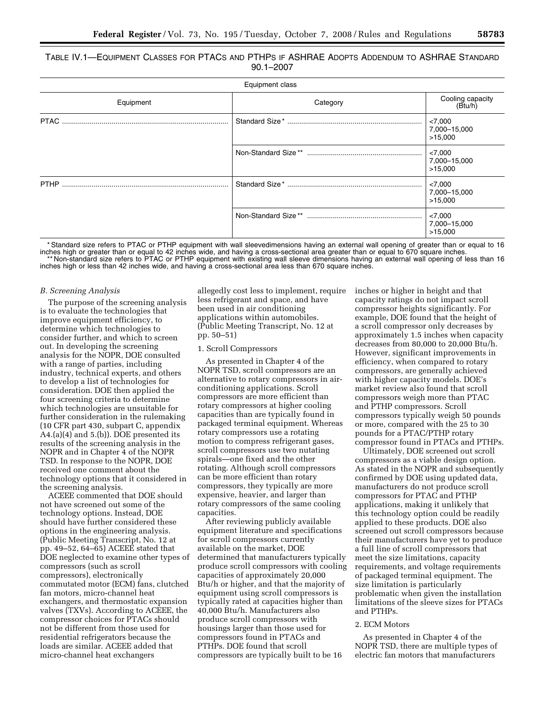TABLE IV.1—EQUIPMENT CLASSES FOR PTACS AND PTHPS IF ASHRAE ADOPTS ADDENDUM TO ASHRAE STANDARD 90.1–2007

| Equipment class |          |                                    |  |
|-----------------|----------|------------------------------------|--|
| Equipment       | Category | Cooling capacity<br>(Btu/h)        |  |
|                 |          | < 7,000<br>7,000-15,000<br>>15.000 |  |
|                 |          | < 7,000<br>7,000-15,000<br>>15.000 |  |
|                 |          | < 7,000<br>7,000-15,000<br>>15.000 |  |
|                 |          | < 7,000<br>7,000-15,000<br>>15,000 |  |

\* Standard size refers to PTAC or PTHP equipment with wall sleevedimensions having an external wall opening of greater than or equal to 16 inches high or greater than or equal to 42 inches wide, and having a cross-sectional area greater than or equal to 670 square inches. \* Non-standard size refers to PTAC or PTHP equipment with existing wall sleeve dimensions having an external wall opening of less than 16 inches high or less than 42 inches wide, and having a cross-sectional area less than 670 square inches.

#### *B. Screening Analysis*

The purpose of the screening analysis is to evaluate the technologies that improve equipment efficiency, to determine which technologies to consider further, and which to screen out. In developing the screening analysis for the NOPR, DOE consulted with a range of parties, including industry, technical experts, and others to develop a list of technologies for consideration. DOE then applied the four screening criteria to determine which technologies are unsuitable for further consideration in the rulemaking (10 CFR part 430, subpart C, appendix A4.(a)(4) and 5.(b)). DOE presented its results of the screening analysis in the NOPR and in Chapter 4 of the NOPR TSD. In response to the NOPR, DOE received one comment about the technology options that it considered in the screening analysis.

ACEEE commented that DOE should not have screened out some of the technology options. Instead, DOE should have further considered these options in the engineering analysis. (Public Meeting Transcript, No. 12 at pp. 49–52, 64–65) ACEEE stated that DOE neglected to examine other types of compressors (such as scroll compressors), electronically commutated motor (ECM) fans, clutched fan motors, micro-channel heat exchangers, and thermostatic expansion valves (TXVs). According to ACEEE, the compressor choices for PTACs should not be different from those used for residential refrigerators because the loads are similar. ACEEE added that micro-channel heat exchangers

allegedly cost less to implement, require less refrigerant and space, and have been used in air conditioning applications within automobiles. (Public Meeting Transcript, No. 12 at pp. 50–51)

#### 1. Scroll Compressors

As presented in Chapter 4 of the NOPR TSD, scroll compressors are an alternative to rotary compressors in airconditioning applications. Scroll compressors are more efficient than rotary compressors at higher cooling capacities than are typically found in packaged terminal equipment. Whereas rotary compressors use a rotating motion to compress refrigerant gases, scroll compressors use two nutating spirals—one fixed and the other rotating. Although scroll compressors can be more efficient than rotary compressors, they typically are more expensive, heavier, and larger than rotary compressors of the same cooling capacities.

After reviewing publicly available equipment literature and specifications for scroll compressors currently available on the market, DOE determined that manufacturers typically produce scroll compressors with cooling capacities of approximately 20,000 Btu/h or higher, and that the majority of equipment using scroll compressors is typically rated at capacities higher than 40,000 Btu/h. Manufacturers also produce scroll compressors with housings larger than those used for compressors found in PTACs and PTHPs. DOE found that scroll compressors are typically built to be 16

inches or higher in height and that capacity ratings do not impact scroll compressor heights significantly. For example, DOE found that the height of a scroll compressor only decreases by approximately 1.5 inches when capacity decreases from 80,000 to 20,000 Btu/h. However, significant improvements in efficiency, when compared to rotary compressors, are generally achieved with higher capacity models. DOE's market review also found that scroll compressors weigh more than PTAC and PTHP compressors. Scroll compressors typically weigh 50 pounds or more, compared with the 25 to 30 pounds for a PTAC/PTHP rotary compressor found in PTACs and PTHPs.

Ultimately, DOE screened out scroll compressors as a viable design option. As stated in the NOPR and subsequently confirmed by DOE using updated data, manufacturers do not produce scroll compressors for PTAC and PTHP applications, making it unlikely that this technology option could be readily applied to these products. DOE also screened out scroll compressors because their manufacturers have yet to produce a full line of scroll compressors that meet the size limitations, capacity requirements, and voltage requirements of packaged terminal equipment. The size limitation is particularly problematic when given the installation limitations of the sleeve sizes for PTACs and PTHPs.

#### 2. ECM Motors

As presented in Chapter 4 of the NOPR TSD, there are multiple types of electric fan motors that manufacturers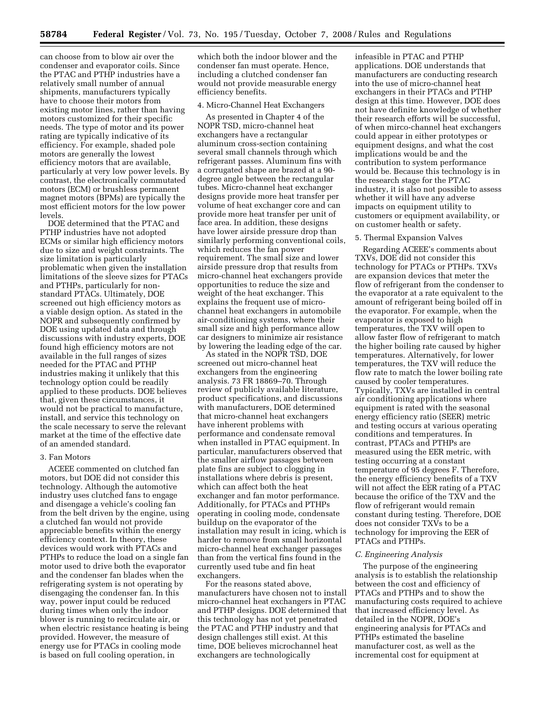can choose from to blow air over the condenser and evaporator coils. Since the PTAC and PTHP industries have a relatively small number of annual shipments, manufacturers typically have to choose their motors from existing motor lines, rather than having motors customized for their specific needs. The type of motor and its power rating are typically indicative of its efficiency. For example, shaded pole motors are generally the lowest efficiency motors that are available, particularly at very low power levels. By contrast, the electronically commutated motors (ECM) or brushless permanent magnet motors (BPMs) are typically the most efficient motors for the low power levels.

DOE determined that the PTAC and PTHP industries have not adopted ECMs or similar high efficiency motors due to size and weight constraints. The size limitation is particularly problematic when given the installation limitations of the sleeve sizes for PTACs and PTHPs, particularly for nonstandard PTACs. Ultimately, DOE screened out high efficiency motors as a viable design option. As stated in the NOPR and subsequently confirmed by DOE using updated data and through discussions with industry experts, DOE found high efficiency motors are not available in the full ranges of sizes needed for the PTAC and PTHP industries making it unlikely that this technology option could be readily applied to these products. DOE believes that, given these circumstances, it would not be practical to manufacture, install, and service this technology on the scale necessary to serve the relevant market at the time of the effective date of an amended standard.

#### 3. Fan Motors

ACEEE commented on clutched fan motors, but DOE did not consider this technology. Although the automotive industry uses clutched fans to engage and disengage a vehicle's cooling fan from the belt driven by the engine, using a clutched fan would not provide appreciable benefits within the energy efficiency context. In theory, these devices would work with PTACs and PTHPs to reduce the load on a single fan motor used to drive both the evaporator and the condenser fan blades when the refrigerating system is not operating by disengaging the condenser fan. In this way, power input could be reduced during times when only the indoor blower is running to recirculate air, or when electric resistance heating is being provided. However, the measure of energy use for PTACs in cooling mode is based on full cooling operation, in

which both the indoor blower and the condenser fan must operate. Hence, including a clutched condenser fan would not provide measurable energy efficiency benefits.

#### 4. Micro-Channel Heat Exchangers

As presented in Chapter 4 of the NOPR TSD, micro-channel heat exchangers have a rectangular aluminum cross-section containing several small channels through which refrigerant passes. Aluminum fins with a corrugated shape are brazed at a 90 degree angle between the rectangular tubes. Micro-channel heat exchanger designs provide more heat transfer per volume of heat exchanger core and can provide more heat transfer per unit of face area. In addition, these designs have lower airside pressure drop than similarly performing conventional coils, which reduces the fan power requirement. The small size and lower airside pressure drop that results from micro-channel heat exchangers provide opportunities to reduce the size and weight of the heat exchanger. This explains the frequent use of microchannel heat exchangers in automobile air-conditioning systems, where their small size and high performance allow car designers to minimize air resistance by lowering the leading edge of the car.

As stated in the NOPR TSD, DOE screened out micro-channel heat exchangers from the engineering analysis. 73 FR 18869–70. Through review of publicly available literature, product specifications, and discussions with manufacturers, DOE determined that micro-channel heat exchangers have inherent problems with performance and condensate removal when installed in PTAC equipment. In particular, manufacturers observed that the smaller airflow passages between plate fins are subject to clogging in installations where debris is present, which can affect both the heat exchanger and fan motor performance. Additionally, for PTACs and PTHPs operating in cooling mode, condensate buildup on the evaporator of the installation may result in icing, which is harder to remove from small horizontal micro-channel heat exchanger passages than from the vertical fins found in the currently used tube and fin heat exchangers.

For the reasons stated above, manufacturers have chosen not to install micro-channel heat exchangers in PTAC and PTHP designs. DOE determined that this technology has not yet penetrated the PTAC and PTHP industry and that design challenges still exist. At this time, DOE believes microchannel heat exchangers are technologically

infeasible in PTAC and PTHP applications. DOE understands that manufacturers are conducting research into the use of micro-channel heat exchangers in their PTACs and PTHP design at this time. However, DOE does not have definite knowledge of whether their research efforts will be successful, of when mirco-channel heat exchangers could appear in either prototypes or equipment designs, and what the cost implications would be and the contribution to system performance would be. Because this technology is in the research stage for the PTAC industry, it is also not possible to assess whether it will have any adverse impacts on equipment utility to customers or equipment availability, or on customer health or safety.

# 5. Thermal Expansion Valves

Regarding ACEEE's comments about TXVs, DOE did not consider this technology for PTACs or PTHPs. TXVs are expansion devices that meter the flow of refrigerant from the condenser to the evaporator at a rate equivalent to the amount of refrigerant being boiled off in the evaporator. For example, when the evaporator is exposed to high temperatures, the TXV will open to allow faster flow of refrigerant to match the higher boiling rate caused by higher temperatures. Alternatively, for lower temperatures, the TXV will reduce the flow rate to match the lower boiling rate caused by cooler temperatures. Typically, TXVs are installed in central air conditioning applications where equipment is rated with the seasonal energy efficiency ratio (SEER) metric and testing occurs at various operating conditions and temperatures. In contrast, PTACs and PTHPs are measured using the EER metric, with testing occurring at a constant temperature of 95 degrees F. Therefore, the energy efficiency benefits of a TXV will not affect the EER rating of a PTAC because the orifice of the TXV and the flow of refrigerant would remain constant during testing. Therefore, DOE does not consider TXVs to be a technology for improving the EER of PTACs and PTHPs.

### *C. Engineering Analysis*

The purpose of the engineering analysis is to establish the relationship between the cost and efficiency of PTACs and PTHPs and to show the manufacturing costs required to achieve that increased efficiency level. As detailed in the NOPR, DOE's engineering analysis for PTACs and PTHPs estimated the baseline manufacturer cost, as well as the incremental cost for equipment at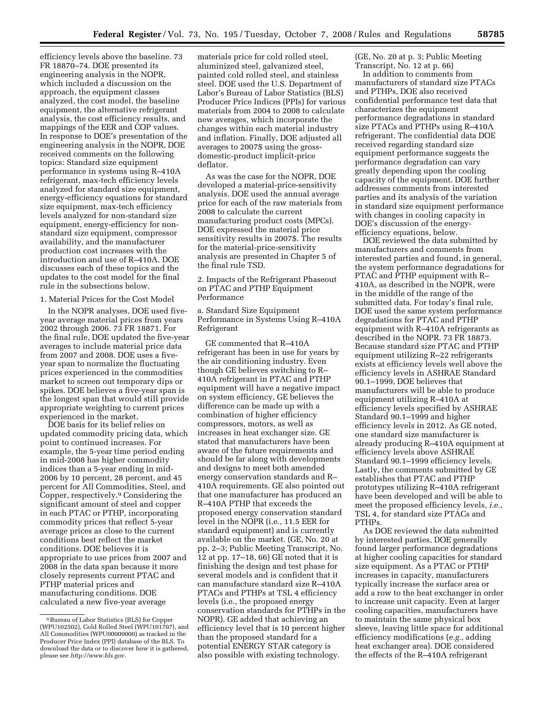efficiency levels above the baseline. 73 FR 18870–74. DOE presented its engineering analysis in the NOPR, which included a discussion on the approach, the equipment classes analyzed, the cost model, the baseline equipment, the alternative refrigerant analysis, the cost efficiency results, and mappings of the EER and COP values. In response to DOE's presentation of the engineering analysis in the NOPR, DOE received comments on the following topics: Standard size equipment performance in systems using R–410A refrigerant, max-tech efficiency levels analyzed for standard size equipment, energy-efficiency equations for standard size equipment, max-tech efficiency levels analyzed for non-standard size equipment, energy-efficiency for nonstandard size equipment, compressor availability, and the manufacturer production cost increases with the introduction and use of R–410A. DOE discusses each of these topics and the updates to the cost model for the final rule in the subsections below.

1. Material Prices for the Cost Model

In the NOPR analyses, DOE used fiveyear average material prices from years 2002 through 2006. 73 FR 18871. For the final rule, DOE updated the five-year averages to include material price data from 2007 and 2008. DOE uses a fiveyear span to normalize the fluctuating prices experienced in the commodities market to screen out temporary dips or spikes. DOE believes a five-year span is the longest span that would still provide appropriate weighting to current prices experienced in the market.

DOE basis for its belief relies on updated commodity pricing data, which point to continued increases. For example, the 5-year time period ending in mid-2008 has higher commodity indices than a 5-year ending in mid-2006 by 10 percent, 28 percent, and 45 percent for All Commodities, Steel, and Copper, respectively.9 Considering the significant amount of steel and copper in each PTAC or PTHP, incorporating commodity prices that reflect 5-year average prices as close to the current conditions best reflect the market conditions. DOE believes it is appropriate to use prices from 2007 and 2008 in the data span because it more closely represents current PTAC and PTHP material prices and manufacturing conditions. DOE calculated a new five-year average

materials price for cold rolled steel, aluminized steel, galvanized steel, painted cold rolled steel, and stainless steel. DOE used the U.S. Department of Labor's Bureau of Labor Statistics (BLS) Producer Price Indices (PPIs) for various materials from 2004 to 2008 to calculate new averages, which incorporate the changes within each material industry and inflation. Finally, DOE adjusted all averages to 2007\$ using the grossdomestic-product implicit-price deflator.

As was the case for the NOPR, DOE developed a material-price-sensitivity analysis. DOE used the annual average price for each of the raw materials from 2008 to calculate the current manufacturing product costs (MPCs). DOE expressed the material price sensitivity results in 2007\$. The results for the material-price-sensitivity analysis are presented in Chapter 5 of the final rule TSD.

2. Impacts of the Refrigerant Phaseout on PTAC and PTHP Equipment Performance

a. Standard Size Equipment Performance in Systems Using R–410A Refrigerant

GE commented that R–410A refrigerant has been in use for years by the air conditioning industry. Even though GE believes switching to R– 410A refrigerant in PTAC and PTHP equipment will have a negative impact on system efficiency, GE believes the difference can be made up with a combination of higher efficiency compressors, motors, as well as increases in heat exchanger size. GE stated that manufacturers have been aware of the future requirements and should be far along with developments and designs to meet both amended energy conservation standards and R– 410A requirements. GE also pointed out that one manufacturer has produced an R–410A PTHP that exceeds the proposed energy conservation standard level in the NOPR (i.e., 11.5 EER for standard equipment) and is currently available on the market. (GE, No. 20 at pp. 2–3; Public Meeting Transcript, No. 12 at pp. 17–18, 66) GE noted that it is finishing the design and test phase for several models and is confident that it can manufacture standard size R–410A PTACs and PTHPs at TSL 4 efficiency levels (i.e., the proposed energy conservation standards for PTHPs in the NOPR). GE added that achieving an efficiency level that is 10 percent higher than the proposed standard for a potential ENERGY STAR category is also possible with existing technology.

(GE, No. 20 at p. 3; Public Meeting Transcript, No. 12 at p. 66)

In addition to comments from manufacturers of standard size PTACs and PTHPs, DOE also received confidential performance test data that characterizes the equipment performance degradations in standard size PTACs and PTHPs using R–410A refrigerant. The confidential data DOE received regarding standard size equipment performance suggests the performance degradation can vary greatly depending upon the cooling capacity of the equipment. DOE further addresses comments from interested parties and its analysis of the variation in standard size equipment performance with changes in cooling capacity in DOE's discussion of the energyefficiency equations, below.

DOE reviewed the data submitted by manufacturers and comments from interested parties and found, in general, the system performance degradations for PTAC and PTHP equipment with R– 410A, as described in the NOPR, were in the middle of the range of the submitted data. For today's final rule, DOE used the same system performance degradations for PTAC and PTHP equipment with R–410A refrigerants as described in the NOPR. 73 FR 18873. Because standard size PTAC and PTHP equipment utilizing R–22 refrigerants exists at efficiency levels well above the efficiency levels in ASHRAE Standard 90.1–1999, DOE believes that manufacturers will be able to produce equipment utilizing R–410A at efficiency levels specified by ASHRAE Standard 90.1–1999 and higher efficiency levels in 2012. As GE noted, one standard size manufacturer is already producing R–410A equipment at efficiency levels above ASHRAE Standard 90.1–1999 efficiency levels. Lastly, the comments submitted by GE establishes that PTAC and PTHP prototypes utilizing R–410A refrigerant have been developed and will be able to meet the proposed efficiency levels, *i.e.*, TSL 4, for standard size PTACs and PTHPs.

As DOE reviewed the data submitted by interested parties, DOE generally found larger performance degradations at higher cooling capacities for standard size equipment. As a PTAC or PTHP increases in capacity, manufacturers typically increase the surface area or add a row to the heat exchanger in order to increase unit capacity. Even at larger cooling capacities, manufacturers have to maintain the same physical box sleeve, leaving little space for additional efficiency modifications (*e.g.*, adding heat exchanger area). DOE considered the effects of the R–410A refrigerant

<sup>9</sup>Bureau of Labor Statistics (BLS) for Copper (WPU102502), Cold Rolled Steel (WPU101707), and All Commodities (WPU00000000) as tracked in the Producer Price Index (PPI) database of the BLS. To download the data or to discover how it is gathered, please see *http://www.bls.gov.*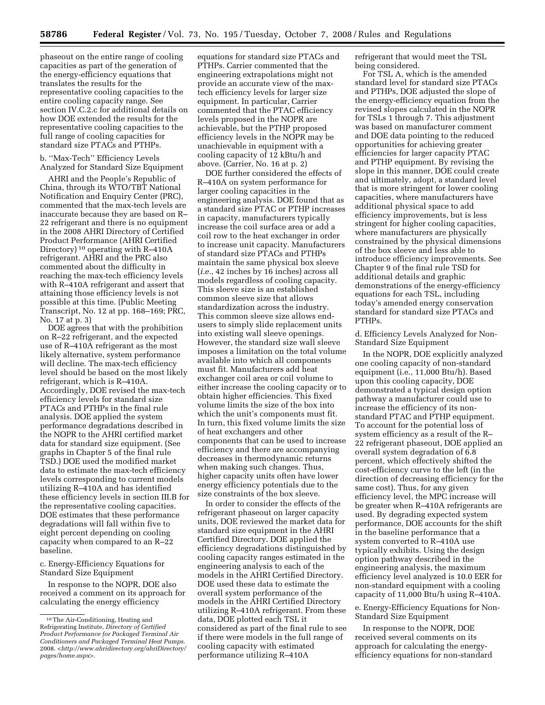phaseout on the entire range of cooling capacities as part of the generation of the energy-efficiency equations that translates the results for the representative cooling capacities to the entire cooling capacity range. See section IV.C.2.c for additional details on how DOE extended the results for the representative cooling capacities to the full range of cooling capacities for standard size PTACs and PTHPs.

# b. ''Max-Tech'' Efficiency Levels Analyzed for Standard Size Equipment

AHRI and the People's Republic of China, through its WTO/TBT National Notification and Enquiry Center (PRC), commented that the max-tech levels are inaccurate because they are based on R– 22 refrigerant and there is no equipment in the 2008 AHRI Directory of Certified Product Performance (AHRI Certified Directory) 10 operating with R–410A refrigerant. AHRI and the PRC also commented about the difficulty in reaching the max-tech efficiency levels with R–410A refrigerant and assert that attaining those efficiency levels is not possible at this time. (Public Meeting Transcript, No. 12 at pp. 168–169; PRC, No. 17 at p. 3)

DOE agrees that with the prohibition on R–22 refrigerant, and the expected use of R–410A refrigerant as the most likely alternative, system performance will decline. The max-tech efficiency level should be based on the most likely refrigerant, which is R–410A. Accordingly, DOE revised the max-tech efficiency levels for standard size PTACs and PTHPs in the final rule analysis. DOE applied the system performance degradations described in the NOPR to the AHRI certified market data for standard size equipment. (See graphs in Chapter 5 of the final rule TSD.) DOE used the modified market data to estimate the max-tech efficiency levels corresponding to current models utilizing R–410A and has identified these efficiency levels in section III.B for the representative cooling capacities. DOE estimates that these performance degradations will fall within five to eight percent depending on cooling capacity when compared to an R–22 baseline.

c. Energy-Efficiency Equations for Standard Size Equipment

In response to the NOPR, DOE also received a comment on its approach for calculating the energy efficiency

equations for standard size PTACs and PTHPs. Carrier commented that the engineering extrapolations might not provide an accurate view of the maxtech efficiency levels for larger size equipment. In particular, Carrier commented that the PTAC efficiency levels proposed in the NOPR are achievable, but the PTHP proposed efficiency levels in the NOPR may be unachievable in equipment with a cooling capacity of 12 kBtu/h and above. (Carrier, No. 16 at p. 2)

DOE further considered the effects of R–410A on system performance for larger cooling capacities in the engineering analysis. DOE found that as a standard size PTAC or PTHP increases in capacity, manufacturers typically increase the coil surface area or add a coil row to the heat exchanger in order to increase unit capacity. Manufacturers of standard size PTACs and PTHPs maintain the same physical box sleeve (*i.e.*, 42 inches by 16 inches) across all models regardless of cooling capacity. This sleeve size is an established common sleeve size that allows standardization across the industry. This common sleeve size allows endusers to simply slide replacement units into existing wall sleeve openings. However, the standard size wall sleeve imposes a limitation on the total volume available into which all components must fit. Manufacturers add heat exchanger coil area or coil volume to either increase the cooling capacity or to obtain higher efficiencies. This fixed volume limits the size of the box into which the unit's components must fit. In turn, this fixed volume limits the size of heat exchangers and other components that can be used to increase efficiency and there are accompanying decreases in thermodynamic returns when making such changes. Thus, higher capacity units often have lower energy efficiency potentials due to the size constraints of the box sleeve.

In order to consider the effects of the refrigerant phaseout on larger capacity units, DOE reviewed the market data for standard size equipment in the AHRI Certified Directory. DOE applied the efficiency degradations distinguished by cooling capacity ranges estimated in the engineering analysis to each of the models in the AHRI Certified Directory. DOE used these data to estimate the overall system performance of the models in the AHRI Certified Directory utilizing R–410A refrigerant. From these data, DOE plotted each TSL it considered as part of the final rule to see if there were models in the full range of cooling capacity with estimated performance utilizing R–410A

refrigerant that would meet the TSL being considered.

For TSL A, which is the amended standard level for standard size PTACs and PTHPs, DOE adjusted the slope of the energy-efficiency equation from the revised slopes calculated in the NOPR for TSLs 1 through 7. This adjustment was based on manufacturer comment and DOE data pointing to the reduced opportunities for achieving greater efficiencies for larger capacity PTAC and PTHP equipment. By revising the slope in this manner, DOE could create and ultimately, adopt, a standard level that is more stringent for lower cooling capacities, where manufacturers have additional physical space to add efficiency improvements, but is less stringent for higher cooling capacities, where manufacturers are physically constrained by the physical dimensions of the box sleeve and less able to introduce efficiency improvements. See Chapter 9 of the final rule TSD for additional details and graphic demonstrations of the energy-efficiency equations for each TSL, including today's amended energy conservation standard for standard size PTACs and PTHPs.

d. Efficiency Levels Analyzed for Non-Standard Size Equipment

In the NOPR, DOE explicitly analyzed one cooling capacity of non-standard equipment (i.e., 11,000 Btu/h). Based upon this cooling capacity, DOE demonstrated a typical design option pathway a manufacturer could use to increase the efficiency of its nonstandard PTAC and PTHP equipment. To account for the potential loss of system efficiency as a result of the R– 22 refrigerant phaseout, DOE applied an overall system degradation of 6.8 percent, which effectively shifted the cost-efficiency curve to the left (in the direction of decreasing efficiency for the same cost). Thus, for any given efficiency level, the MPC increase will be greater when R–410A refrigerants are used. By degrading expected system performance, DOE accounts for the shift in the baseline performance that a system converted to R–410A use typically exhibits. Using the design option pathway described in the engineering analysis, the maximum efficiency level analyzed is 10.0 EER for non-standard equipment with a cooling capacity of 11,000 Btu/h using R–410A.

e. Energy-Efficiency Equations for Non-Standard Size Equipment

In response to the NOPR, DOE received several comments on its approach for calculating the energyefficiency equations for non-standard

<sup>10</sup>The Air-Conditioning, Heating and Refrigerating Institute, *Directory of Certified Product Performance for Packaged Terminal Air Conditioners and Packaged Terminal Heat Pumps*. 2008. <*http://www.ahridirectory.org/ahriDirectory/ pages/home.aspx>.*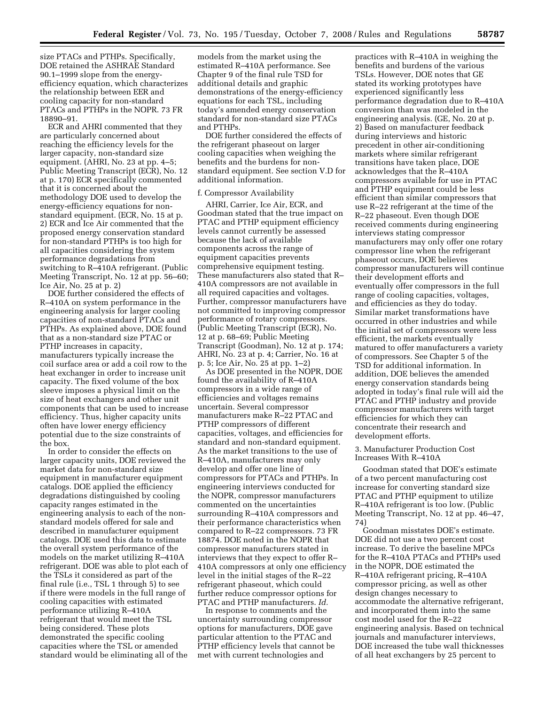size PTACs and PTHPs. Specifically, DOE retained the ASHRAE Standard 90.1–1999 slope from the energyefficiency equation, which characterizes the relationship between EER and cooling capacity for non-standard PTACs and PTHPs in the NOPR. 73 FR 18890–91.

ECR and AHRI commented that they are particularly concerned about reaching the efficiency levels for the larger capacity, non-standard size equipment. (AHRI, No. 23 at pp. 4–5; Public Meeting Transcript (ECR), No. 12 at p. 170) ECR specifically commented that it is concerned about the methodology DOE used to develop the energy-efficiency equations for nonstandard equipment. (ECR, No. 15 at p. 2) ECR and Ice Air commented that the proposed energy conservation standard for non-standard PTHPs is too high for all capacities considering the system performance degradations from switching to R–410A refrigerant. (Public Meeting Transcript, No. 12 at pp. 56–60; Ice Air, No. 25 at p. 2)

DOE further considered the effects of R–410A on system performance in the engineering analysis for larger cooling capacities of non-standard PTACs and PTHPs. As explained above, DOE found that as a non-standard size PTAC or PTHP increases in capacity, manufacturers typically increase the coil surface area or add a coil row to the heat exchanger in order to increase unit capacity. The fixed volume of the box sleeve imposes a physical limit on the size of heat exchangers and other unit components that can be used to increase efficiency. Thus, higher capacity units often have lower energy efficiency potential due to the size constraints of the box.

In order to consider the effects on larger capacity units, DOE reviewed the market data for non-standard size equipment in manufacturer equipment catalogs. DOE applied the efficiency degradations distinguished by cooling capacity ranges estimated in the engineering analysis to each of the nonstandard models offered for sale and described in manufacturer equipment catalogs. DOE used this data to estimate the overall system performance of the models on the market utilizing R–410A refrigerant. DOE was able to plot each of the TSLs it considered as part of the final rule (i.e., TSL 1 through 5) to see if there were models in the full range of cooling capacities with estimated performance utilizing R–410A refrigerant that would meet the TSL being considered. These plots demonstrated the specific cooling capacities where the TSL or amended standard would be eliminating all of the

models from the market using the estimated R–410A performance. See Chapter 9 of the final rule TSD for additional details and graphic demonstrations of the energy-efficiency equations for each TSL, including today's amended energy conservation standard for non-standard size PTACs and PTHPs.

DOE further considered the effects of the refrigerant phaseout on larger cooling capacities when weighing the benefits and the burdens for nonstandard equipment. See section V.D for additional information.

#### f. Compressor Availability

AHRI, Carrier, Ice Air, ECR, and Goodman stated that the true impact on PTAC and PTHP equipment efficiency levels cannot currently be assessed because the lack of available components across the range of equipment capacities prevents comprehensive equipment testing. These manufacturers also stated that R– 410A compressors are not available in all required capacities and voltages. Further, compressor manufacturers have not committed to improving compressor performance of rotary compressors. (Public Meeting Transcript (ECR), No. 12 at p. 68–69; Public Meeting Transcript (Goodman), No. 12 at p. 174; AHRI, No. 23 at p. 4; Carrier, No. 16 at p. 5; Ice Air, No. 25 at pp. 1–2)

As DOE presented in the NOPR, DOE found the availability of R–410A compressors in a wide range of efficiencies and voltages remains uncertain. Several compressor manufacturers make R–22 PTAC and PTHP compressors of different capacities, voltages, and efficiencies for standard and non-standard equipment. As the market transitions to the use of R–410A, manufacturers may only develop and offer one line of compressors for PTACs and PTHPs. In engineering interviews conducted for the NOPR, compressor manufacturers commented on the uncertainties surrounding R–410A compressors and their performance characteristics when compared to R–22 compressors. 73 FR 18874. DOE noted in the NOPR that compressor manufacturers stated in interviews that they expect to offer R– 410A compressors at only one efficiency level in the initial stages of the R–22 refrigerant phaseout, which could further reduce compressor options for PTAC and PTHP manufacturers. *Id.* 

In response to comments and the uncertainty surrounding compressor options for manufacturers, DOE gave particular attention to the PTAC and PTHP efficiency levels that cannot be met with current technologies and

practices with R–410A in weighing the benefits and burdens of the various TSLs. However, DOE notes that GE stated its working prototypes have experienced significantly less performance degradation due to R–410A conversion than was modeled in the engineering analysis. (GE, No. 20 at p. 2) Based on manufacturer feedback during interviews and historic precedent in other air-conditioning markets where similar refrigerant transitions have taken place, DOE acknowledges that the R–410A compressors available for use in PTAC and PTHP equipment could be less efficient than similar compressors that use R–22 refrigerant at the time of the R–22 phaseout. Even though DOE received comments during engineering interviews stating compressor manufacturers may only offer one rotary compressor line when the refrigerant phaseout occurs, DOE believes compressor manufacturers will continue their development efforts and eventually offer compressors in the full range of cooling capacities, voltages, and efficiencies as they do today. Similar market transformations have occurred in other industries and while the initial set of compressors were less efficient, the markets eventually matured to offer manufacturers a variety of compressors. See Chapter 5 of the TSD for additional information. In addition, DOE believes the amended energy conservation standards being adopted in today's final rule will aid the PTAC and PTHP industry and provide compressor manufacturers with target efficiencies for which they can concentrate their research and development efforts.

# 3. Manufacturer Production Cost Increases With R–410A

Goodman stated that DOE's estimate of a two percent manufacturing cost increase for converting standard size PTAC and PTHP equipment to utilize R–410A refrigerant is too low. (Public Meeting Transcript, No. 12 at pp. 46–47, 74)

Goodman misstates DOE's estimate. DOE did not use a two percent cost increase. To derive the baseline MPCs for the R–410A PTACs and PTHPs used in the NOPR, DOE estimated the R–410A refrigerant pricing, R–410A compressor pricing, as well as other design changes necessary to accommodate the alternative refrigerant, and incorporated them into the same cost model used for the R–22 engineering analysis. Based on technical journals and manufacturer interviews, DOE increased the tube wall thicknesses of all heat exchangers by 25 percent to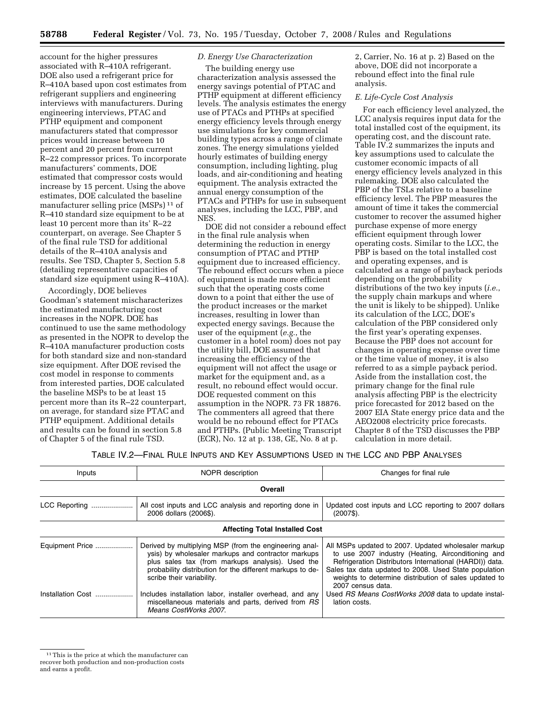account for the higher pressures associated with R–410A refrigerant. DOE also used a refrigerant price for R–410A based upon cost estimates from refrigerant suppliers and engineering interviews with manufacturers. During engineering interviews, PTAC and PTHP equipment and component manufacturers stated that compressor prices would increase between 10 percent and 20 percent from current R–22 compressor prices. To incorporate manufacturers' comments, DOE estimated that compressor costs would increase by 15 percent. Using the above estimates, DOE calculated the baseline manufacturer selling price (MSPs) 11 of R–410 standard size equipment to be at least 10 percent more than its' R–22 counterpart, on average. See Chapter 5 of the final rule TSD for additional details of the R–410A analysis and results. See TSD, Chapter 5, Section 5.8 (detailing representative capacities of standard size equipment using R–410A).

Accordingly, DOE believes Goodman's statement mischaracterizes the estimated manufacturing cost increases in the NOPR. DOE has continued to use the same methodology as presented in the NOPR to develop the R–410A manufacturer production costs for both standard size and non-standard size equipment. After DOE revised the cost model in response to comments from interested parties, DOE calculated the baseline MSPs to be at least 15 percent more than its R–22 counterpart, on average, for standard size PTAC and PTHP equipment. Additional details and results can be found in section 5.8 of Chapter 5 of the final rule TSD.

# *D. Energy Use Characterization*

The building energy use characterization analysis assessed the energy savings potential of PTAC and PTHP equipment at different efficiency levels. The analysis estimates the energy use of PTACs and PTHPs at specified energy efficiency levels through energy use simulations for key commercial building types across a range of climate zones. The energy simulations yielded hourly estimates of building energy consumption, including lighting, plug loads, and air-conditioning and heating equipment. The analysis extracted the annual energy consumption of the PTACs and PTHPs for use in subsequent analyses, including the LCC, PBP, and **NES** 

DOE did not consider a rebound effect in the final rule analysis when determining the reduction in energy consumption of PTAC and PTHP equipment due to increased efficiency. The rebound effect occurs when a piece of equipment is made more efficient such that the operating costs come down to a point that either the use of the product increases or the market increases, resulting in lower than expected energy savings. Because the user of the equipment (*e.g.*, the customer in a hotel room) does not pay the utility bill, DOE assumed that increasing the efficiency of the equipment will not affect the usage or market for the equipment and, as a result, no rebound effect would occur. DOE requested comment on this assumption in the NOPR. 73 FR 18876. The commenters all agreed that there would be no rebound effect for PTACs and PTHPs. (Public Meeting Transcript (ECR), No. 12 at p. 138, GE, No. 8 at p.

2, Carrier, No. 16 at p. 2) Based on the above, DOE did not incorporate a rebound effect into the final rule analysis.

## *E. Life-Cycle Cost Analysis*

For each efficiency level analyzed, the LCC analysis requires input data for the total installed cost of the equipment, its operating cost, and the discount rate. Table IV.2 summarizes the inputs and key assumptions used to calculate the customer economic impacts of all energy efficiency levels analyzed in this rulemaking. DOE also calculated the PBP of the TSLs relative to a baseline efficiency level. The PBP measures the amount of time it takes the commercial customer to recover the assumed higher purchase expense of more energy efficient equipment through lower operating costs. Similar to the LCC, the PBP is based on the total installed cost and operating expenses, and is calculated as a range of payback periods depending on the probability distributions of the two key inputs (*i.e.*, the supply chain markups and where the unit is likely to be shipped). Unlike its calculation of the LCC, DOE's calculation of the PBP considered only the first year's operating expenses. Because the PBP does not account for changes in operating expense over time or the time value of money, it is also referred to as a simple payback period. Aside from the installation cost, the primary change for the final rule analysis affecting PBP is the electricity price forecasted for 2012 based on the 2007 EIA State energy price data and the AEO2008 electricity price forecasts. Chapter 8 of the TSD discusses the PBP calculation in more detail.

### TABLE IV.2—FINAL RULE INPUTS AND KEY ASSUMPTIONS USED IN THE LCC AND PBP ANALYSES

| Inputs            | NOPR description                                                                                                                                                                                                                                           | Changes for final rule                                                                                                                                                                                                                                                                                      |
|-------------------|------------------------------------------------------------------------------------------------------------------------------------------------------------------------------------------------------------------------------------------------------------|-------------------------------------------------------------------------------------------------------------------------------------------------------------------------------------------------------------------------------------------------------------------------------------------------------------|
|                   | Overall                                                                                                                                                                                                                                                    |                                                                                                                                                                                                                                                                                                             |
| LCC Reporting     | All cost inputs and LCC analysis and reporting done in<br>2006 dollars (2006\$).                                                                                                                                                                           | Updated cost inputs and LCC reporting to 2007 dollars<br>$(2007\$ ).                                                                                                                                                                                                                                        |
|                   | <b>Affecting Total Installed Cost</b>                                                                                                                                                                                                                      |                                                                                                                                                                                                                                                                                                             |
| Equipment Price   | Derived by multiplying MSP (from the engineering anal-<br>ysis) by wholesaler markups and contractor markups<br>plus sales tax (from markups analysis). Used the<br>probability distribution for the different markups to de-<br>scribe their variability. | All MSPs updated to 2007. Updated wholesaler markup<br>to use 2007 industry (Heating, Airconditioning and<br>Refrigeration Distributors International (HARDI)) data.<br>Sales tax data updated to 2008. Used State population<br>weights to determine distribution of sales updated to<br>2007 census data. |
| Installation Cost | Includes installation labor, installer overhead, and any<br>miscellaneous materials and parts, derived from RS<br>Means CostWorks 2007.                                                                                                                    | Used RS Means CostWorks 2008 data to update instal-<br>lation costs.                                                                                                                                                                                                                                        |

<sup>&</sup>lt;sup>11</sup> This is the price at which the manufacturer can recover both production and non-production costs and earns a profit.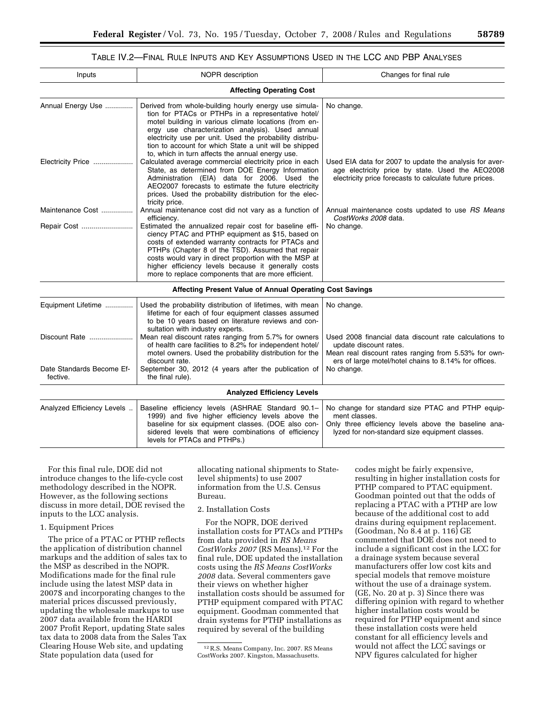# TABLE IV.2—FINAL RULE INPUTS AND KEY ASSUMPTIONS USED IN THE LCC AND PBP ANALYSES

| Inputs                                | <b>NOPR</b> description                                                                                                                                                                                                                                                                                                                                                                            | Changes for final rule                                                                                                                                                                            |
|---------------------------------------|----------------------------------------------------------------------------------------------------------------------------------------------------------------------------------------------------------------------------------------------------------------------------------------------------------------------------------------------------------------------------------------------------|---------------------------------------------------------------------------------------------------------------------------------------------------------------------------------------------------|
|                                       | <b>Affecting Operating Cost</b>                                                                                                                                                                                                                                                                                                                                                                    |                                                                                                                                                                                                   |
| Annual Energy Use                     | Derived from whole-building hourly energy use simula-<br>tion for PTACs or PTHPs in a representative hotel/<br>motel building in various climate locations (from en-<br>ergy use characterization analysis). Used annual<br>electricity use per unit. Used the probability distribu-<br>tion to account for which State a unit will be shipped<br>to, which in turn affects the annual energy use. | No change.                                                                                                                                                                                        |
| Electricity Price                     | Calculated average commercial electricity price in each<br>State, as determined from DOE Energy Information<br>Administration (EIA) data for 2006. Used the<br>AEO2007 forecasts to estimate the future electricity<br>prices. Used the probability distribution for the elec-<br>tricity price.                                                                                                   | Used EIA data for 2007 to update the analysis for aver-<br>age electricity price by state. Used the AEO2008<br>electricity price forecasts to calculate future prices.                            |
| Maintenance Cost                      | Annual maintenance cost did not vary as a function of<br>efficiency.                                                                                                                                                                                                                                                                                                                               | Annual maintenance costs updated to use RS Means<br>CostWorks 2008 data.                                                                                                                          |
| Repair Cost                           | Estimated the annualized repair cost for baseline effi-<br>ciency PTAC and PTHP equipment as \$15, based on<br>costs of extended warranty contracts for PTACs and<br>PTHPs (Chapter 8 of the TSD). Assumed that repair<br>costs would vary in direct proportion with the MSP at<br>higher efficiency levels because it generally costs<br>more to replace components that are more efficient.      | No change.                                                                                                                                                                                        |
|                                       | Affecting Present Value of Annual Operating Cost Savings                                                                                                                                                                                                                                                                                                                                           |                                                                                                                                                                                                   |
| Equipment Lifetime                    | Used the probability distribution of lifetimes, with mean<br>lifetime for each of four equipment classes assumed<br>to be 10 years based on literature reviews and con-<br>sultation with industry experts.                                                                                                                                                                                        | No change.                                                                                                                                                                                        |
| Discount Rate                         | Mean real discount rates ranging from 5.7% for owners<br>of health care facilities to 8.2% for independent hotel/<br>motel owners. Used the probability distribution for the<br>discount rate.                                                                                                                                                                                                     | Used 2008 financial data discount rate calculations to<br>update discount rates.<br>Mean real discount rates ranging from 5.53% for own-<br>ers of large motel/hotel chains to 8.14% for offices. |
| Date Standards Become Ef-<br>fective. | September 30, 2012 (4 years after the publication of<br>the final rule).                                                                                                                                                                                                                                                                                                                           | No change.                                                                                                                                                                                        |
|                                       | <b>Analyzed Efficiency Levels</b>                                                                                                                                                                                                                                                                                                                                                                  |                                                                                                                                                                                                   |
| Analyzed Efficiency Levels            | Baseline efficiency levels (ASHRAE Standard 90.1-<br>1999) and five higher efficiency levels above the<br>baseline for six equipment classes. (DOE also con-<br>sidered levels that were combinations of efficiency<br>levels for PTACs and PTHPs.)                                                                                                                                                | No change for standard size PTAC and PTHP equip-<br>ment classes.<br>Only three efficiency levels above the baseline ana-<br>lyzed for non-standard size equipment classes.                       |

For this final rule, DOE did not introduce changes to the life-cycle cost methodology described in the NOPR. However, as the following sections discuss in more detail, DOE revised the inputs to the LCC analysis.

### 1. Equipment Prices

The price of a PTAC or PTHP reflects the application of distribution channel markups and the addition of sales tax to the MSP as described in the NOPR. Modifications made for the final rule include using the latest MSP data in 2007\$ and incorporating changes to the material prices discussed previously, updating the wholesale markups to use 2007 data available from the HARDI 2007 Profit Report, updating State sales tax data to 2008 data from the Sales Tax Clearing House Web site, and updating State population data (used for

allocating national shipments to Statelevel shipments) to use 2007 information from the U.S. Census Bureau.

### 2. Installation Costs

For the NOPR, DOE derived installation costs for PTACs and PTHPs from data provided in *RS Means CostWorks 2007* (RS Means).12 For the final rule, DOE updated the installation costs using the *RS Means CostWorks 2008* data. Several commenters gave their views on whether higher installation costs should be assumed for PTHP equipment compared with PTAC equipment. Goodman commented that drain systems for PTHP installations as required by several of the building

codes might be fairly expensive, resulting in higher installation costs for PTHP compared to PTAC equipment. Goodman pointed out that the odds of replacing a PTAC with a PTHP are low because of the additional cost to add drains during equipment replacement. (Goodman, No 8.4 at p. 116) GE commented that DOE does not need to include a significant cost in the LCC for a drainage system because several manufacturers offer low cost kits and special models that remove moisture without the use of a drainage system. (GE, No. 20 at p. 3) Since there was differing opinion with regard to whether higher installation costs would be required for PTHP equipment and since these installation costs were held constant for all efficiency levels and would not affect the LCC savings or NPV figures calculated for higher

<sup>12</sup>R.S. Means Company, Inc. 2007. RS Means CostWorks 2007. Kingston, Massachusetts.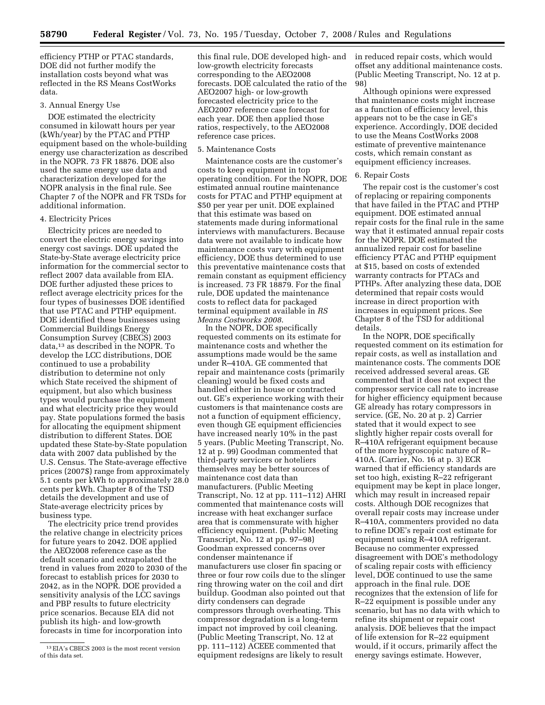efficiency PTHP or PTAC standards, DOE did not further modify the installation costs beyond what was reflected in the RS Means CostWorks data.

#### 3. Annual Energy Use

DOE estimated the electricity consumed in kilowatt hours per year (kWh/year) by the PTAC and PTHP equipment based on the whole-building energy use characterization as described in the NOPR. 73 FR 18876. DOE also used the same energy use data and characterization developed for the NOPR analysis in the final rule. See Chapter 7 of the NOPR and FR TSDs for additional information.

# 4. Electricity Prices

Electricity prices are needed to convert the electric energy savings into energy cost savings. DOE updated the State-by-State average electricity price information for the commercial sector to reflect 2007 data available from EIA. DOE further adjusted these prices to reflect average electricity prices for the four types of businesses DOE identified that use PTAC and PTHP equipment. DOE identified these businesses using Commercial Buildings Energy Consumption Survey (CBECS) 2003 data,13 as described in the NOPR. To develop the LCC distributions, DOE continued to use a probability distribution to determine not only which State received the shipment of equipment, but also which business types would purchase the equipment and what electricity price they would pay. State populations formed the basis for allocating the equipment shipment distribution to different States. DOE updated these State-by-State population data with 2007 data published by the U.S. Census. The State-average effective prices (2007\$) range from approximately 5.1 cents per kWh to approximately 28.0 cents per kWh. Chapter 8 of the TSD details the development and use of State-average electricity prices by business type.

The electricity price trend provides the relative change in electricity prices for future years to 2042. DOE applied the AEO2008 reference case as the default scenario and extrapolated the trend in values from 2020 to 2030 of the forecast to establish prices for 2030 to 2042, as in the NOPR. DOE provided a sensitivity analysis of the LCC savings and PBP results to future electricity price scenarios. Because EIA did not publish its high- and low-growth forecasts in time for incorporation into

this final rule, DOE developed high- and low-growth electricity forecasts corresponding to the AEO2008 forecasts. DOE calculated the ratio of the AEO2007 high- or low-growth forecasted electricity price to the AEO2007 reference case forecast for each year. DOE then applied those ratios, respectively, to the AEO2008 reference case prices.

#### 5. Maintenance Costs

Maintenance costs are the customer's costs to keep equipment in top operating condition. For the NOPR, DOE estimated annual routine maintenance costs for PTAC and PTHP equipment at \$50 per year per unit. DOE explained that this estimate was based on statements made during informational interviews with manufacturers. Because data were not available to indicate how maintenance costs vary with equipment efficiency, DOE thus determined to use this preventative maintenance costs that remain constant as equipment efficiency is increased. 73 FR 18879. For the final rule, DOE updated the maintenance costs to reflect data for packaged terminal equipment available in *RS Means Costworks 2008*.

In the NOPR, DOE specifically requested comments on its estimate for maintenance costs and whether the assumptions made would be the same under R–410A. GE commented that repair and maintenance costs (primarily cleaning) would be fixed costs and handled either in house or contracted out. GE's experience working with their customers is that maintenance costs are not a function of equipment efficiency, even though GE equipment efficiencies have increased nearly 10% in the past 5 years. (Public Meeting Transcript, No. 12 at p. 99) Goodman commented that third-party servicers or hoteliers themselves may be better sources of maintenance cost data than manufacturers. (Public Meeting Transcript, No. 12 at pp. 111–112) AHRI commented that maintenance costs will increase with heat exchanger surface area that is commensurate with higher efficiency equipment. (Public Meeting Transcript, No. 12 at pp. 97–98) Goodman expressed concerns over condenser maintenance if manufacturers use closer fin spacing or three or four row coils due to the slinger ring throwing water on the coil and dirt buildup. Goodman also pointed out that dirty condensers can degrade compressors through overheating. This compressor degradation is a long-term impact not improved by coil cleaning. (Public Meeting Transcript, No. 12 at pp. 111–112) ACEEE commented that equipment redesigns are likely to result

in reduced repair costs, which would offset any additional maintenance costs. (Public Meeting Transcript, No. 12 at p. 98)

Although opinions were expressed that maintenance costs might increase as a function of efficiency level, this appears not to be the case in GE's experience. Accordingly, DOE decided to use the Means CostWorks 2008 estimate of preventive maintenance costs, which remain constant as equipment efficiency increases.

## 6. Repair Costs

The repair cost is the customer's cost of replacing or repairing components that have failed in the PTAC and PTHP equipment. DOE estimated annual repair costs for the final rule in the same way that it estimated annual repair costs for the NOPR. DOE estimated the annualized repair cost for baseline efficiency PTAC and PTHP equipment at \$15, based on costs of extended warranty contracts for PTACs and PTHPs. After analyzing these data, DOE determined that repair costs would increase in direct proportion with increases in equipment prices. See Chapter 8 of the TSD for additional details.

In the NOPR, DOE specifically requested comment on its estimation for repair costs, as well as installation and maintenance costs. The comments DOE received addressed several areas. GE commented that it does not expect the compressor service call rate to increase for higher efficiency equipment because GE already has rotary compressors in service. (GE, No. 20 at p. 2) Carrier stated that it would expect to see slightly higher repair costs overall for R–410A refrigerant equipment because of the more hygroscopic nature of R– 410A. (Carrier, No. 16 at p. 3) ECR warned that if efficiency standards are set too high, existing R–22 refrigerant equipment may be kept in place longer, which may result in increased repair costs. Although DOE recognizes that overall repair costs may increase under R–410A, commenters provided no data to refine DOE's repair cost estimate for equipment using R–410A refrigerant. Because no commenter expressed disagreement with DOE's methodology of scaling repair costs with efficiency level, DOE continued to use the same approach in the final rule. DOE recognizes that the extension of life for R–22 equipment is possible under any scenario, but has no data with which to refine its shipment or repair cost analysis. DOE believes that the impact of life extension for R–22 equipment would, if it occurs, primarily affect the energy savings estimate. However,

 $^{13}\rm{EIA}$  's CBECS 2003 is the most recent version of this data set.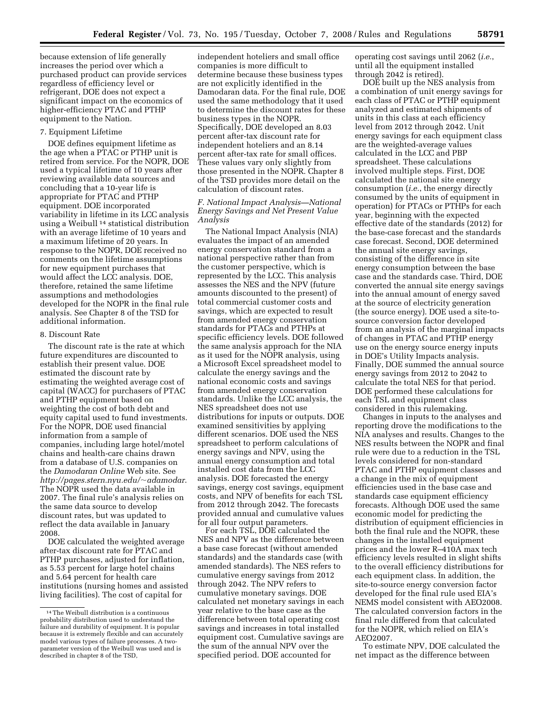because extension of life generally increases the period over which a purchased product can provide services regardless of efficiency level or refrigerant, DOE does not expect a significant impact on the economics of higher-efficiency PTAC and PTHP equipment to the Nation.

## 7. Equipment Lifetime

DOE defines equipment lifetime as the age when a PTAC or PTHP unit is retired from service. For the NOPR, DOE used a typical lifetime of 10 years after reviewing available data sources and concluding that a 10-year life is appropriate for PTAC and PTHP equipment. DOE incorporated variability in lifetime in its LCC analysis using a Weibull 14 statistical distribution with an average lifetime of 10 years and a maximum lifetime of 20 years. In response to the NOPR, DOE received no comments on the lifetime assumptions for new equipment purchases that would affect the LCC analysis. DOE, therefore, retained the same lifetime assumptions and methodologies developed for the NOPR in the final rule analysis. See Chapter 8 of the TSD for additional information.

### 8. Discount Rate

The discount rate is the rate at which future expenditures are discounted to establish their present value. DOE estimated the discount rate by estimating the weighted average cost of capital (WACC) for purchasers of PTAC and PTHP equipment based on weighting the cost of both debt and equity capital used to fund investments. For the NOPR, DOE used financial information from a sample of companies, including large hotel/motel chains and health-care chains drawn from a database of U.S. companies on the *Damodaran Online* Web site. See *http://pages.stern.nyu.edu/*~*adamodar*. The NOPR used the data available in 2007. The final rule's analysis relies on the same data source to develop discount rates, but was updated to reflect the data available in January 2008.

DOE calculated the weighted average after-tax discount rate for PTAC and PTHP purchases, adjusted for inflation, as 5.53 percent for large hotel chains and 5.64 percent for health care institutions (nursing homes and assisted living facilities). The cost of capital for

independent hoteliers and small office companies is more difficult to determine because these business types are not explicitly identified in the Damodaran data. For the final rule, DOE used the same methodology that it used to determine the discount rates for these business types in the NOPR. Specifically, DOE developed an 8.03 percent after-tax discount rate for independent hoteliers and an 8.14 percent after-tax rate for small offices. These values vary only slightly from those presented in the NOPR. Chapter 8 of the TSD provides more detail on the calculation of discount rates.

## *F. National Impact Analysis—National Energy Savings and Net Present Value Analysis*

The National Impact Analysis (NIA) evaluates the impact of an amended energy conservation standard from a national perspective rather than from the customer perspective, which is represented by the LCC. This analysis assesses the NES and the NPV (future amounts discounted to the present) of total commercial customer costs and savings, which are expected to result from amended energy conservation standards for PTACs and PTHPs at specific efficiency levels. DOE followed the same analysis approach for the NIA as it used for the NOPR analysis, using a Microsoft Excel spreadsheet model to calculate the energy savings and the national economic costs and savings from amended energy conservation standards. Unlike the LCC analysis, the NES spreadsheet does not use distributions for inputs or outputs. DOE examined sensitivities by applying different scenarios. DOE used the NES spreadsheet to perform calculations of energy savings and NPV, using the annual energy consumption and total installed cost data from the LCC analysis. DOE forecasted the energy savings, energy cost savings, equipment costs, and NPV of benefits for each TSL from 2012 through 2042. The forecasts provided annual and cumulative values for all four output parameters.

For each TSL, DOE calculated the NES and NPV as the difference between a base case forecast (without amended standards) and the standards case (with amended standards). The NES refers to cumulative energy savings from 2012 through 2042. The NPV refers to cumulative monetary savings. DOE calculated net monetary savings in each year relative to the base case as the difference between total operating cost savings and increases in total installed equipment cost. Cumulative savings are the sum of the annual NPV over the specified period. DOE accounted for

operating cost savings until 2062 (*i.e.*, until all the equipment installed through 2042 is retired).

DOE built up the NES analysis from a combination of unit energy savings for each class of PTAC or PTHP equipment analyzed and estimated shipments of units in this class at each efficiency level from 2012 through 2042. Unit energy savings for each equipment class are the weighted-average values calculated in the LCC and PBP spreadsheet. These calculations involved multiple steps. First, DOE calculated the national site energy consumption (*i.e.*, the energy directly consumed by the units of equipment in operation) for PTACs or PTHPs for each year, beginning with the expected effective date of the standards (2012) for the base-case forecast and the standards case forecast. Second, DOE determined the annual site energy savings, consisting of the difference in site energy consumption between the base case and the standards case. Third, DOE converted the annual site energy savings into the annual amount of energy saved at the source of electricity generation (the source energy). DOE used a site-tosource conversion factor developed from an analysis of the marginal impacts of changes in PTAC and PTHP energy use on the energy source energy inputs in DOE's Utility Impacts analysis. Finally, DOE summed the annual source energy savings from 2012 to 2042 to calculate the total NES for that period. DOE performed these calculations for each TSL and equipment class considered in this rulemaking.

Changes in inputs to the analyses and reporting drove the modifications to the NIA analyses and results. Changes to the NES results between the NOPR and final rule were due to a reduction in the TSL levels considered for non-standard PTAC and PTHP equipment classes and a change in the mix of equipment efficiencies used in the base case and standards case equipment efficiency forecasts. Although DOE used the same economic model for predicting the distribution of equipment efficiencies in both the final rule and the NOPR, these changes in the installed equipment prices and the lower R–410A max tech efficiency levels resulted in slight shifts to the overall efficiency distributions for each equipment class. In addition, the site-to-source energy conversion factor developed for the final rule used EIA's NEMS model consistent with AEO2008. The calculated conversion factors in the final rule differed from that calculated for the NOPR, which relied on EIA's AEO2007.

To estimate NPV, DOE calculated the net impact as the difference between

<sup>14</sup>The Weibull distribution is a continuous probability distribution used to understand the failure and durability of equipment. It is popular because it is extremely flexible and can accurately model various types of failure processes. A twoparameter version of the Weibull was used and is described in chapter 8 of the TSD,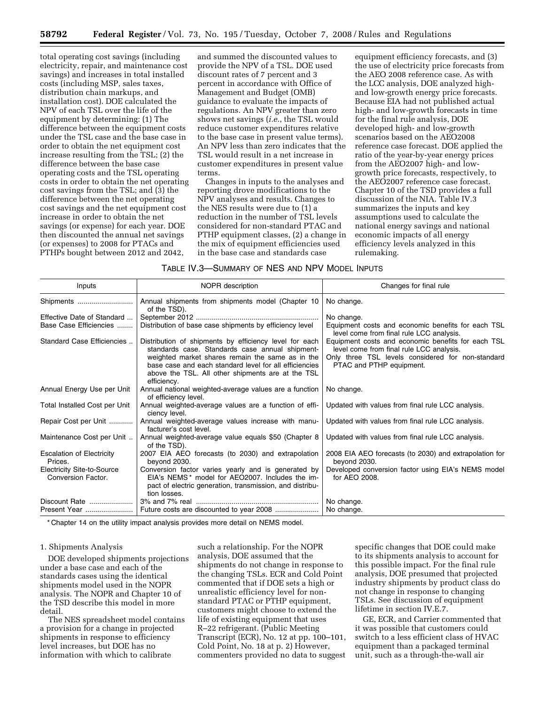total operating cost savings (including electricity, repair, and maintenance cost savings) and increases in total installed costs (including MSP, sales taxes, distribution chain markups, and installation cost). DOE calculated the NPV of each TSL over the life of the equipment by determining: (1) The difference between the equipment costs under the TSL case and the base case in order to obtain the net equipment cost increase resulting from the TSL; (2) the difference between the base case operating costs and the TSL operating costs in order to obtain the net operating cost savings from the TSL; and (3) the difference between the net operating cost savings and the net equipment cost increase in order to obtain the net savings (or expense) for each year. DOE then discounted the annual net savings (or expenses) to 2008 for PTACs and PTHPs bought between 2012 and 2042,

and summed the discounted values to provide the NPV of a TSL. DOE used discount rates of 7 percent and 3 percent in accordance with Office of Management and Budget (OMB) guidance to evaluate the impacts of regulations. An NPV greater than zero shows net savings (*i.e.*, the TSL would reduce customer expenditures relative to the base case in present value terms). An NPV less than zero indicates that the TSL would result in a net increase in customer expenditures in present value terms.

Changes in inputs to the analyses and reporting drove modifications to the NPV analyses and results. Changes to the NES results were due to (1) a reduction in the number of TSL levels considered for non-standard PTAC and PTHP equipment classes, (2) a change in the mix of equipment efficiencies used in the base case and standards case

equipment efficiency forecasts, and (3) the use of electricity price forecasts from the AEO 2008 reference case. As with the LCC analysis, DOE analyzed highand low-growth energy price forecasts. Because EIA had not published actual high- and low-growth forecasts in time for the final rule analysis, DOE developed high- and low-growth scenarios based on the AEO2008 reference case forecast. DOE applied the ratio of the year-by-year energy prices from the AEO2007 high- and lowgrowth price forecasts, respectively, to the AEO2007 reference case forecast. Chapter 10 of the TSD provides a full discussion of the NIA. Table IV.3 summarizes the inputs and key assumptions used to calculate the national energy savings and national economic impacts of all energy efficiency levels analyzed in this rulemaking.

| TABLE IV.3—SUMMARY OF NES AND NPV MODEL INPUTS |  |
|------------------------------------------------|--|
|------------------------------------------------|--|

| Inputs                                                  | NOPR description                                                                                                                                                                                                                                                                            | Changes for final rule                                                                                                                                                          |
|---------------------------------------------------------|---------------------------------------------------------------------------------------------------------------------------------------------------------------------------------------------------------------------------------------------------------------------------------------------|---------------------------------------------------------------------------------------------------------------------------------------------------------------------------------|
| Shipments                                               | Annual shipments from shipments model (Chapter 10<br>of the TSD).                                                                                                                                                                                                                           | No change.                                                                                                                                                                      |
| Effective Date of Standard<br>Base Case Efficiencies    | Distribution of base case shipments by efficiency level                                                                                                                                                                                                                                     | No change.<br>Equipment costs and economic benefits for each TSL<br>level come from final rule LCC analysis.                                                                    |
| Standard Case Efficiencies                              | Distribution of shipments by efficiency level for each<br>standards case. Standards case annual shipment-<br>weighted market shares remain the same as in the<br>base case and each standard level for all efficiencies<br>above the TSL. All other shipments are at the TSL<br>efficiency. | Equipment costs and economic benefits for each TSL<br>level come from final rule LCC analysis.<br>Only three TSL levels considered for non-standard<br>PTAC and PTHP equipment. |
| Annual Energy Use per Unit                              | Annual national weighted-average values are a function<br>of efficiency level.                                                                                                                                                                                                              | No change.                                                                                                                                                                      |
| Total Installed Cost per Unit                           | Annual weighted-average values are a function of effi-<br>ciency level.                                                                                                                                                                                                                     | Updated with values from final rule LCC analysis.                                                                                                                               |
| Repair Cost per Unit                                    | Annual weighted-average values increase with manu-<br>facturer's cost level.                                                                                                                                                                                                                | Updated with values from final rule LCC analysis.                                                                                                                               |
| Maintenance Cost per Unit                               | Annual weighted-average value equals \$50 (Chapter 8<br>of the TSD).                                                                                                                                                                                                                        | Updated with values from final rule LCC analysis.                                                                                                                               |
| <b>Escalation of Electricity</b><br>Prices.             | 2007 EIA AEO forecasts (to 2030) and extrapolation<br>bevond 2030.                                                                                                                                                                                                                          | 2008 EIA AEO forecasts (to 2030) and extrapolation for<br>beyond 2030.                                                                                                          |
| <b>Electricity Site-to-Source</b><br>Conversion Factor. | Conversion factor varies yearly and is generated by<br>EIA's NEMS* model for AEO2007. Includes the im-<br>pact of electric generation, transmission, and distribu-<br>tion losses.                                                                                                          | Developed conversion factor using EIA's NEMS model<br>for AEO 2008.                                                                                                             |
| Discount Rate<br>Present Year                           | Future costs are discounted to year 2008                                                                                                                                                                                                                                                    | No change.<br>No change.                                                                                                                                                        |

\* Chapter 14 on the utility impact analysis provides more detail on NEMS model.

## 1. Shipments Analysis

DOE developed shipments projections under a base case and each of the standards cases using the identical shipments model used in the NOPR analysis. The NOPR and Chapter 10 of the TSD describe this model in more detail.

The NES spreadsheet model contains a provision for a change in projected shipments in response to efficiency level increases, but DOE has no information with which to calibrate

such a relationship. For the NOPR analysis, DOE assumed that the shipments do not change in response to the changing TSLs. ECR and Cold Point commented that if DOE sets a high or unrealistic efficiency level for nonstandard PTAC or PTHP equipment, customers might choose to extend the life of existing equipment that uses R–22 refrigerant. (Public Meeting Transcript (ECR), No. 12 at pp. 100–101, Cold Point, No. 18 at p. 2) However, commenters provided no data to suggest

specific changes that DOE could make to its shipments analysis to account for this possible impact. For the final rule analysis, DOE presumed that projected industry shipments by product class do not change in response to changing TSLs. See discussion of equipment lifetime in section IV.E.7.

GE, ECR, and Carrier commented that it was possible that customers could switch to a less efficient class of HVAC equipment than a packaged terminal unit, such as a through-the-wall air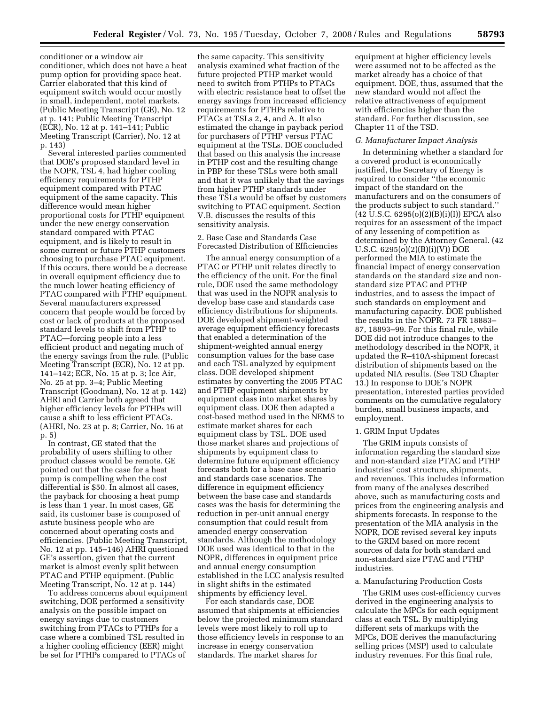conditioner or a window air conditioner, which does not have a heat pump option for providing space heat. Carrier elaborated that this kind of equipment switch would occur mostly in small, independent, motel markets. (Public Meeting Transcript (GE), No. 12 at p. 141; Public Meeting Transcript (ECR), No. 12 at p. 141–141; Public Meeting Transcript (Carrier), No. 12 at p. 143)

Several interested parties commented that DOE's proposed standard level in the NOPR, TSL 4, had higher cooling efficiency requirements for PTHP equipment compared with PTAC equipment of the same capacity. This difference would mean higher proportional costs for PTHP equipment under the new energy conservation standard compared with PTAC equipment, and is likely to result in some current or future PTHP customers choosing to purchase PTAC equipment. If this occurs, there would be a decrease in overall equipment efficiency due to the much lower heating efficiency of PTAC compared with PTHP equipment. Several manufacturers expressed concern that people would be forced by cost or lack of products at the proposed standard levels to shift from PTHP to PTAC—forcing people into a less efficient product and negating much of the energy savings from the rule. (Public Meeting Transcript (ECR), No. 12 at pp. 141–142; ECR, No. 15 at p. 3; Ice Air, No. 25 at pp. 3–4; Public Meeting Transcript (Goodman), No. 12 at p. 142) AHRI and Carrier both agreed that higher efficiency levels for PTHPs will cause a shift to less efficient PTACs. (AHRI, No. 23 at p. 8; Carrier, No. 16 at p. 5)

In contrast, GE stated that the probability of users shifting to other product classes would be remote. GE pointed out that the case for a heat pump is compelling when the cost differential is \$50. In almost all cases, the payback for choosing a heat pump is less than 1 year. In most cases, GE said, its customer base is composed of astute business people who are concerned about operating costs and efficiencies. (Public Meeting Transcript, No. 12 at pp. 145–146) AHRI questioned GE's assertion, given that the current market is almost evenly split between PTAC and PTHP equipment. (Public Meeting Transcript, No. 12 at p. 144)

To address concerns about equipment switching, DOE performed a sensitivity analysis on the possible impact on energy savings due to customers switching from PTACs to PTHPs for a case where a combined TSL resulted in a higher cooling efficiency (EER) might be set for PTHPs compared to PTACs of

the same capacity. This sensitivity analysis examined what fraction of the future projected PTHP market would need to switch from PTHPs to PTACs with electric resistance heat to offset the energy savings from increased efficiency requirements for PTHPs relative to PTACs at TSLs 2, 4, and A. It also estimated the change in payback period for purchasers of PTHP versus PTAC equipment at the TSLs. DOE concluded that based on this analysis the increase in PTHP cost and the resulting change in PBP for these TSLs were both small and that it was unlikely that the savings from higher PTHP standards under these TSLs would be offset by customers switching to PTAC equipment. Section V.B. discusses the results of this sensitivity analysis.

## 2. Base Case and Standards Case Forecasted Distribution of Efficiencies

The annual energy consumption of a PTAC or PTHP unit relates directly to the efficiency of the unit. For the final rule, DOE used the same methodology that was used in the NOPR analysis to develop base case and standards case efficiency distributions for shipments. DOE developed shipment-weighted average equipment efficiency forecasts that enabled a determination of the shipment-weighted annual energy consumption values for the base case and each TSL analyzed by equipment class. DOE developed shipment estimates by converting the 2005 PTAC and PTHP equipment shipments by equipment class into market shares by equipment class. DOE then adapted a cost-based method used in the NEMS to estimate market shares for each equipment class by TSL. DOE used those market shares and projections of shipments by equipment class to determine future equipment efficiency forecasts both for a base case scenario and standards case scenarios. The difference in equipment efficiency between the base case and standards cases was the basis for determining the reduction in per-unit annual energy consumption that could result from amended energy conservation standards. Although the methodology DOE used was identical to that in the NOPR, differences in equipment price and annual energy consumption established in the LCC analysis resulted in slight shifts in the estimated shipments by efficiency level.

For each standards case, DOE assumed that shipments at efficiencies below the projected minimum standard levels were most likely to roll up to those efficiency levels in response to an increase in energy conservation standards. The market shares for

equipment at higher efficiency levels were assumed not to be affected as the market already has a choice of that equipment. DOE, thus, assumed that the new standard would not affect the relative attractiveness of equipment with efficiencies higher than the standard. For further discussion, see Chapter 11 of the TSD.

## *G. Manufacturer Impact Analysis*

In determining whether a standard for a covered product is economically justified, the Secretary of Energy is required to consider ''the economic impact of the standard on the manufacturers and on the consumers of the products subject to such standard.''  $(42 \text{ U.S.C. } 6295(0)(2)(B)(i)(I))$  EPCA also requires for an assessment of the impact of any lessening of competition as determined by the Attorney General. (42 U.S.C.  $6295(0)(2)(B)(i)(V)$  DOE performed the MIA to estimate the financial impact of energy conservation standards on the standard size and nonstandard size PTAC and PTHP industries, and to assess the impact of such standards on employment and manufacturing capacity. DOE published the results in the NOPR. 73 FR 18883– 87, 18893–99. For this final rule, while DOE did not introduce changes to the methodology described in the NOPR, it updated the R–410A-shipment forecast distribution of shipments based on the updated NIA results. (See TSD Chapter 13.) In response to DOE's NOPR presentation, interested parties provided comments on the cumulative regulatory burden, small business impacts, and employment.

# 1. GRIM Input Updates

The GRIM inputs consists of information regarding the standard size and non-standard size PTAC and PTHP industries' cost structure, shipments, and revenues. This includes information from many of the analyses described above, such as manufacturing costs and prices from the engineering analysis and shipments forecasts. In response to the presentation of the MIA analysis in the NOPR, DOE revised several key inputs to the GRIM based on more recent sources of data for both standard and non-standard size PTAC and PTHP industries.

#### a. Manufacturing Production Costs

The GRIM uses cost-efficiency curves derived in the engineering analysis to calculate the MPCs for each equipment class at each TSL. By multiplying different sets of markups with the MPCs, DOE derives the manufacturing selling prices (MSP) used to calculate industry revenues. For this final rule,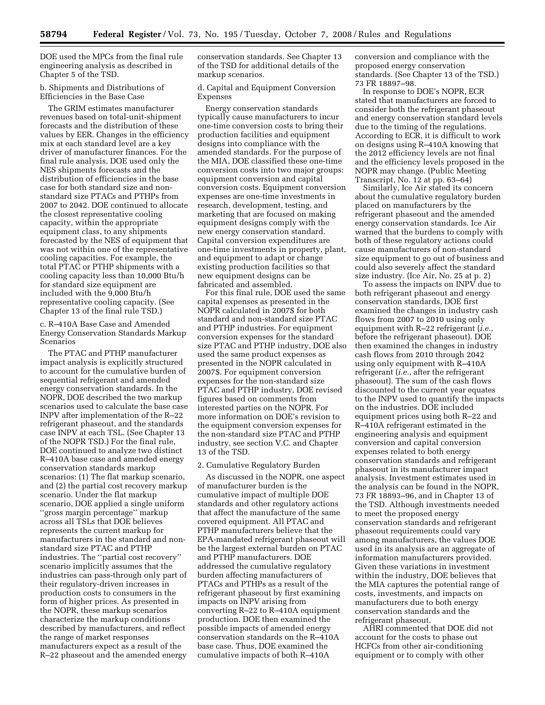DOE used the MPCs from the final rule engineering analysis as described in Chapter 5 of the TSD.

b. Shipments and Distributions of Efficiencies in the Base Case

The GRIM estimates manufacturer revenues based on total-unit-shipment forecasts and the distribution of these values by EER. Changes in the efficiency mix at each standard level are a key driver of manufacturer finances. For the final rule analysis, DOE used only the NES shipments forecasts and the distribution of efficiencies in the base case for both standard size and nonstandard size PTACs and PTHPs from 2007 to 2042. DOE continued to allocate the closest representative cooling capacity, within the appropriate equipment class, to any shipments forecasted by the NES of equipment that was not within one of the representative cooling capacities. For example, the total PTAC or PTHP shipments with a cooling capacity less than 10,000 Btu/h for standard size equipment are included with the 9,000 Btu/h representative cooling capacity. (See Chapter 13 of the final rule TSD.)

c. R–410A Base Case and Amended Energy Conservation Standards Markup Scenarios

The PTAC and PTHP manufacturer impact analysis is explicitly structured to account for the cumulative burden of sequential refrigerant and amended energy conservation standards. In the NOPR, DOE described the two markup scenarios used to calculate the base case INPV after implementation of the R–22 refrigerant phaseout, and the standards case INPV at each TSL. (See Chapter 13 of the NOPR TSD.) For the final rule, DOE continued to analyze two distinct R–410A base case and amended energy conservation standards markup scenarios: (1) The flat markup scenario, and (2) the partial cost recovery markup scenario. Under the flat markup scenario, DOE applied a single uniform ''gross margin percentage'' markup across all TSLs that DOE believes represents the current markup for manufacturers in the standard and nonstandard size PTAC and PTHP industries. The ''partial cost recovery'' scenario implicitly assumes that the industries can pass-through only part of their regulatory-driven increases in production costs to consumers in the form of higher prices. As presented in the NOPR, these markup scenarios characterize the markup conditions described by manufacturers, and reflect the range of market responses manufacturers expect as a result of the R–22 phaseout and the amended energy

conservation standards. See Chapter 13 of the TSD for additional details of the markup scenarios.

d. Capital and Equipment Conversion Expenses

Energy conservation standards typically cause manufacturers to incur one-time conversion costs to bring their production facilities and equipment designs into compliance with the amended standards. For the purpose of the MIA, DOE classified these one-time conversion costs into two major groups: equipment conversion and capital conversion costs. Equipment conversion expenses are one-time investments in research, development, testing, and marketing that are focused on making equipment designs comply with the new energy conservation standard. Capital conversion expenditures are one-time investments in property, plant, and equipment to adapt or change existing production facilities so that new equipment designs can be fabricated and assembled.

For this final rule, DOE used the same capital expenses as presented in the NOPR calculated in 2007\$ for both standard and non-standard size PTAC and PTHP industries. For equipment conversion expenses for the standard size PTAC and PTHP industry, DOE also used the same product expenses as presented in the NOPR calculated in 2007\$. For equipment conversion expenses for the non-standard size PTAC and PTHP industry, DOE revised figures based on comments from interested parties on the NOPR. For more information on DOE's revision to the equipment conversion expenses for the non-standard size PTAC and PTHP industry, see section V.C. and Chapter 13 of the TSD.

#### 2. Cumulative Regulatory Burden

As discussed in the NOPR, one aspect of manufacturer burden is the cumulative impact of multiple DOE standards and other regulatory actions that affect the manufacture of the same covered equipment. All PTAC and PTHP manufacturers believe that the EPA-mandated refrigerant phaseout will be the largest external burden on PTAC and PTHP manufacturers. DOE addressed the cumulative regulatory burden affecting manufacturers of PTACs and PTHPs as a result of the refrigerant phaseout by first examining impacts on INPV arising from converting R–22 to R–410A equipment production. DOE then examined the possible impacts of amended energy conservation standards on the R–410A base case. Thus, DOE examined the cumulative impacts of both R–410A

conversion and compliance with the proposed energy conservation standards. (See Chapter 13 of the TSD.) 73 FR 18897–98.

In response to DOE's NOPR, ECR stated that manufacturers are forced to consider both the refrigerant phaseout and energy conservation standard levels due to the timing of the regulations. According to ECR, it is difficult to work on designs using R–410A knowing that the 2012 efficiency levels are not final and the efficiency levels proposed in the NOPR may change. (Public Meeting Transcript, No. 12 at pp. 63–64)

Similarly, Ice Air stated its concern about the cumulative regulatory burden placed on manufacturers by the refrigerant phaseout and the amended energy conservation standards. Ice Air warned that the burdens to comply with both of these regulatory actions could cause manufacturers of non-standard size equipment to go out of business and could also severely affect the standard size industry. (Ice Air, No. 25 at p. 2)

To assess the impacts on INPV due to both refrigerant phaseout and energy conservation standards, DOE first examined the changes in industry cash flows from 2007 to 2010 using only equipment with R–22 refrigerant (*i.e.*, before the refrigerant phaseout). DOE then examined the changes in industry cash flows from 2010 through 2042 using only equipment with R–410A refrigerant (*i.e.*, after the refrigerant phaseout). The sum of the cash flows discounted to the current year equates to the INPV used to quantify the impacts on the industries. DOE included equipment prices using both R–22 and R–410A refrigerant estimated in the engineering analysis and equipment conversion and capital conversion expenses related to both energy conservation standards and refrigerant phaseout in its manufacturer impact analysis. Investment estimates used in the analysis can be found in the NOPR, 73 FR 18893–96, and in Chapter 13 of the TSD. Although investments needed to meet the proposed energy conservation standards and refrigerant phaseout requirements could vary among manufacturers, the values DOE used in its analysis are an aggregate of information manufacturers provided. Given these variations in investment within the industry, DOE believes that the MIA captures the potential range of costs, investments, and impacts on manufacturers due to both energy conservation standards and the refrigerant phaseout.

AHRI commented that DOE did not account for the costs to phase out HCFCs from other air-conditioning equipment or to comply with other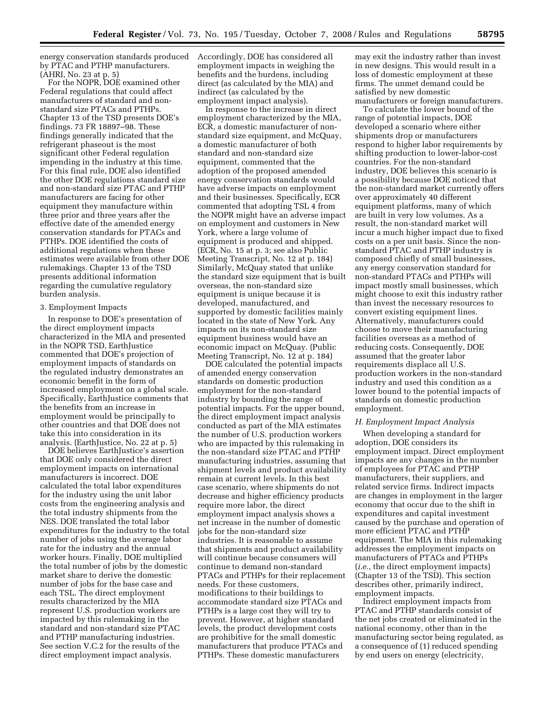energy conservation standards produced by PTAC and PTHP manufacturers. (AHRI, No. 23 at p. 5)

For the NOPR, DOE examined other Federal regulations that could affect manufacturers of standard and nonstandard size PTACs and PTHPs. Chapter 13 of the TSD presents DOE's findings. 73 FR 18897–98. These findings generally indicated that the refrigerant phaseout is the most significant other Federal regulation impending in the industry at this time. For this final rule, DOE also identified the other DOE regulations standard size and non-standard size PTAC and PTHP manufacturers are facing for other equipment they manufacture within three prior and three years after the effective date of the amended energy conservation standards for PTACs and PTHPs. DOE identified the costs of additional regulations when these estimates were available from other DOE rulemakings. Chapter 13 of the TSD presents additional information regarding the cumulative regulatory burden analysis.

## 3. Employment Impacts

In response to DOE's presentation of the direct employment impacts characterized in the MIA and presented in the NOPR TSD, EarthJustice commented that DOE's projection of employment impacts of standards on the regulated industry demonstrates an economic benefit in the form of increased employment on a global scale. Specifically, EarthJustice comments that the benefits from an increase in employment would be principally to other countries and that DOE does not take this into consideration in its analysis. (EarthJustice, No. 22 at p. 5)

DOE believes EarthJustice's assertion that DOE only considered the direct employment impacts on international manufacturers is incorrect. DOE calculated the total labor expenditures for the industry using the unit labor costs from the engineering analysis and the total industry shipments from the NES. DOE translated the total labor expenditures for the industry to the total number of jobs using the average labor rate for the industry and the annual worker hours. Finally, DOE multiplied the total number of jobs by the domestic market share to derive the domestic number of jobs for the base case and each TSL. The direct employment results characterized by the MIA represent U.S. production workers are impacted by this rulemaking in the standard and non-standard size PTAC and PTHP manufacturing industries. See section V.C.2 for the results of the direct employment impact analysis.

Accordingly, DOE has considered all employment impacts in weighing the benefits and the burdens, including direct (as calculated by the MIA) and indirect (as calculated by the employment impact analysis).

In response to the increase in direct employment characterized by the MIA, ECR, a domestic manufacturer of nonstandard size equipment, and McQuay, a domestic manufacturer of both standard and non-standard size equipment, commented that the adoption of the proposed amended energy conservation standards would have adverse impacts on employment and their businesses. Specifically, ECR commented that adopting TSL 4 from the NOPR might have an adverse impact on employment and customers in New York, where a large volume of equipment is produced and shipped. (ECR, No. 15 at p. 3; see also Public Meeting Transcript, No. 12 at p. 184) Similarly, McQuay stated that unlike the standard size equipment that is built overseas, the non-standard size equipment is unique because it is developed, manufactured, and supported by domestic facilities mainly located in the state of New York. Any impacts on its non-standard size equipment business would have an economic impact on McQuay. (Public Meeting Transcript, No. 12 at p. 184)

DOE calculated the potential impacts of amended energy conservation standards on domestic production employment for the non-standard industry by bounding the range of potential impacts. For the upper bound, the direct employment impact analysis conducted as part of the MIA estimates the number of U.S. production workers who are impacted by this rulemaking in the non-standard size PTAC and PTHP manufacturing industries, assuming that shipment levels and product availability remain at current levels. In this best case scenario, where shipments do not decrease and higher efficiency products require more labor, the direct employment impact analysis shows a net increase in the number of domestic jobs for the non-standard size industries. It is reasonable to assume that shipments and product availability will continue because consumers will continue to demand non-standard PTACs and PTHPs for their replacement needs. For these customers, modifications to their buildings to accommodate standard size PTACs and PTHPs is a large cost they will try to prevent. However, at higher standard levels, the product development costs are prohibitive for the small domestic manufacturers that produce PTACs and PTHPs. These domestic manufacturers

may exit the industry rather than invest in new designs. This would result in a loss of domestic employment at these firms. The unmet demand could be satisfied by new domestic manufacturers or foreign manufacturers.

To calculate the lower bound of the range of potential impacts, DOE developed a scenario where either shipments drop or manufacturers respond to higher labor requirements by shifting production to lower-labor-cost countries. For the non-standard industry, DOE believes this scenario is a possibility because DOE noticed that the non-standard market currently offers over approximately 40 different equipment platforms, many of which are built in very low volumes. As a result, the non-standard market will incur a much higher impact due to fixed costs on a per unit basis. Since the nonstandard PTAC and PTHP industry is composed chiefly of small businesses, any energy conservation standard for non-standard PTACs and PTHPs will impact mostly small businesses, which might choose to exit this industry rather than invest the necessary resources to convert existing equipment lines. Alternatively, manufacturers could choose to move their manufacturing facilities overseas as a method of reducing costs. Consequently, DOE assumed that the greater labor requirements displace all U.S. production workers in the non-standard industry and used this condition as a lower bound to the potential impacts of standards on domestic production employment.

#### *H. Employment Impact Analysis*

When developing a standard for adoption, DOE considers its employment impact. Direct employment impacts are any changes in the number of employees for PTAC and PTHP manufacturers, their suppliers, and related service firms. Indirect impacts are changes in employment in the larger economy that occur due to the shift in expenditures and capital investment caused by the purchase and operation of more efficient PTAC and PTHP equipment. The MIA in this rulemaking addresses the employment impacts on manufacturers of PTACs and PTHPs (*i.e.*, the direct employment impacts) (Chapter 13 of the TSD). This section describes other, primarily indirect, employment impacts.

Indirect employment impacts from PTAC and PTHP standards consist of the net jobs created or eliminated in the national economy, other than in the manufacturing sector being regulated, as a consequence of (1) reduced spending by end users on energy (electricity,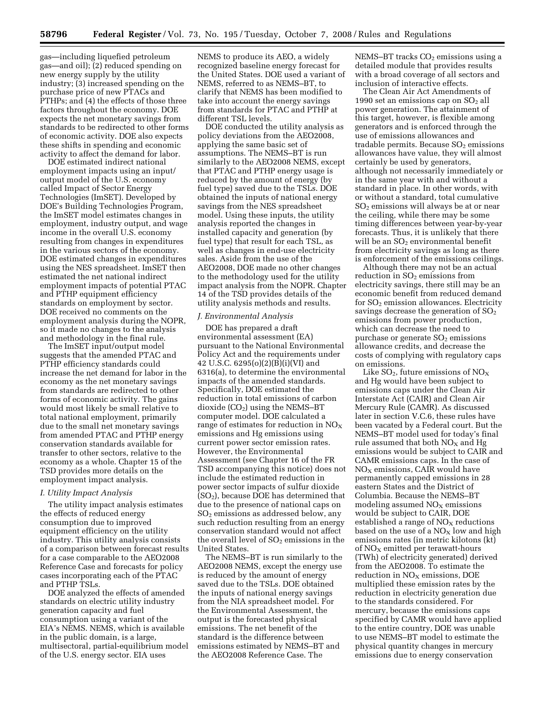gas—including liquefied petroleum gas—and oil); (2) reduced spending on new energy supply by the utility industry; (3) increased spending on the purchase price of new PTACs and PTHPs; and (4) the effects of those three factors throughout the economy. DOE expects the net monetary savings from standards to be redirected to other forms of economic activity. DOE also expects these shifts in spending and economic activity to affect the demand for labor.

DOE estimated indirect national employment impacts using an input/ output model of the U.S. economy called Impact of Sector Energy Technologies (ImSET). Developed by DOE's Building Technologies Program, the ImSET model estimates changes in employment, industry output, and wage income in the overall U.S. economy resulting from changes in expenditures in the various sectors of the economy. DOE estimated changes in expenditures using the NES spreadsheet. ImSET then estimated the net national indirect employment impacts of potential PTAC and PTHP equipment efficiency standards on employment by sector. DOE received no comments on the employment analysis during the NOPR, so it made no changes to the analysis and methodology in the final rule.

The ImSET input/output model suggests that the amended PTAC and PTHP efficiency standards could increase the net demand for labor in the economy as the net monetary savings from standards are redirected to other forms of economic activity. The gains would most likely be small relative to total national employment, primarily due to the small net monetary savings from amended PTAC and PTHP energy conservation standards available for transfer to other sectors, relative to the economy as a whole. Chapter 15 of the TSD provides more details on the employment impact analysis.

#### *I. Utility Impact Analysis*

The utility impact analysis estimates the effects of reduced energy consumption due to improved equipment efficiency on the utility industry. This utility analysis consists of a comparison between forecast results for a case comparable to the AEO2008 Reference Case and forecasts for policy cases incorporating each of the PTAC and PTHP TSLs.

DOE analyzed the effects of amended standards on electric utility industry generation capacity and fuel consumption using a variant of the EIA's NEMS. NEMS, which is available in the public domain, is a large, multisectoral, partial-equilibrium model of the U.S. energy sector. EIA uses

NEMS to produce its AEO, a widely recognized baseline energy forecast for the United States. DOE used a variant of NEMS, referred to as NEMS–BT, to clarify that NEMS has been modified to take into account the energy savings from standards for PTAC and PTHP at different TSL levels.

DOE conducted the utility analysis as policy deviations from the AEO2008, applying the same basic set of assumptions. The NEMS–BT is run similarly to the AEO2008 NEMS, except that PTAC and PTHP energy usage is reduced by the amount of energy (by fuel type) saved due to the TSLs. DOE obtained the inputs of national energy savings from the NES spreadsheet model. Using these inputs, the utility analysis reported the changes in installed capacity and generation (by fuel type) that result for each TSL, as well as changes in end-use electricity sales. Aside from the use of the AEO2008, DOE made no other changes to the methodology used for the utility impact analysis from the NOPR. Chapter 14 of the TSD provides details of the utility analysis methods and results.

## *J. Environmental Analysis*

DOE has prepared a draft environmental assessment (EA) pursuant to the National Environmental Policy Act and the requirements under 42 U.S.C. 6295(o)(2)(B)(i)(VI) and 6316(a), to determine the environmental impacts of the amended standards. Specifically, DOE estimated the reduction in total emissions of carbon  $divide (CO<sub>2</sub>)$  using the NEMS–BT computer model. DOE calculated a range of estimates for reduction in  $NO<sub>x</sub>$ emissions and Hg emissions using current power sector emission rates. However, the Environmental Assessment (see Chapter 16 of the FR TSD accompanying this notice) does not include the estimated reduction in power sector impacts of sulfur dioxide (SO2), because DOE has determined that due to the presence of national caps on  $SO<sub>2</sub>$  emissions as addressed below, any such reduction resulting from an energy conservation standard would not affect the overall level of  $SO<sub>2</sub>$  emissions in the United States.

The NEMS–BT is run similarly to the AEO2008 NEMS, except the energy use is reduced by the amount of energy saved due to the TSLs. DOE obtained the inputs of national energy savings from the NIA spreadsheet model. For the Environmental Assessment, the output is the forecasted physical emissions. The net benefit of the standard is the difference between emissions estimated by NEMS–BT and the AEO2008 Reference Case. The

NEMS–BT tracks  $CO<sub>2</sub>$  emissions using a detailed module that provides results with a broad coverage of all sectors and inclusion of interactive effects.

The Clean Air Act Amendments of 1990 set an emissions cap on  $SO<sub>2</sub>$  all power generation. The attainment of this target, however, is flexible among generators and is enforced through the use of emissions allowances and tradable permits. Because  $SO<sub>2</sub>$  emissions allowances have value, they will almost certainly be used by generators, although not necessarily immediately or in the same year with and without a standard in place. In other words, with or without a standard, total cumulative SO2 emissions will always be at or near the ceiling, while there may be some timing differences between year-by-year forecasts. Thus, it is unlikely that there will be an  $SO<sub>2</sub>$  environmental benefit from electricity savings as long as there is enforcement of the emissions ceilings.

Although there may not be an actual reduction in  $SO<sub>2</sub>$  emissions from electricity savings, there still may be an economic benefit from reduced demand for  $SO<sub>2</sub>$  emission allowances. Electricity savings decrease the generation of  $SO<sub>2</sub>$ emissions from power production, which can decrease the need to purchase or generate  $SO<sub>2</sub>$  emissions allowance credits, and decrease the costs of complying with regulatory caps on emissions.

Like  $SO_2$ , future emissions of  $NO_X$ and Hg would have been subject to emissions caps under the Clean Air Interstate Act (CAIR) and Clean Air Mercury Rule (CAMR). As discussed later in section V.C.6, these rules have been vacated by a Federal court. But the NEMS–BT model used for today's final rule assumed that both  $NO<sub>X</sub>$  and Hg emissions would be subject to CAIR and CAMR emissions caps. In the case of  $NO<sub>X</sub>$  emissions, CAIR would have permanently capped emissions in 28 eastern States and the District of Columbia. Because the NEMS–BT modeling assumed  $NO<sub>x</sub>$  emissions would be subject to CAIR, DOE established a range of  $NO<sub>x</sub>$  reductions based on the use of a  $NO<sub>X</sub>$  low and high emissions rates (in metric kilotons (kt) of  $NO<sub>x</sub>$  emitted per terawatt-hours (TWh) of electricity generated) derived from the AEO2008. To estimate the reduction in  $NO<sub>x</sub>$  emissions, DOE multiplied these emission rates by the reduction in electricity generation due to the standards considered. For mercury, because the emissions caps specified by CAMR would have applied to the entire country, DOE was unable to use NEMS–BT model to estimate the physical quantity changes in mercury emissions due to energy conservation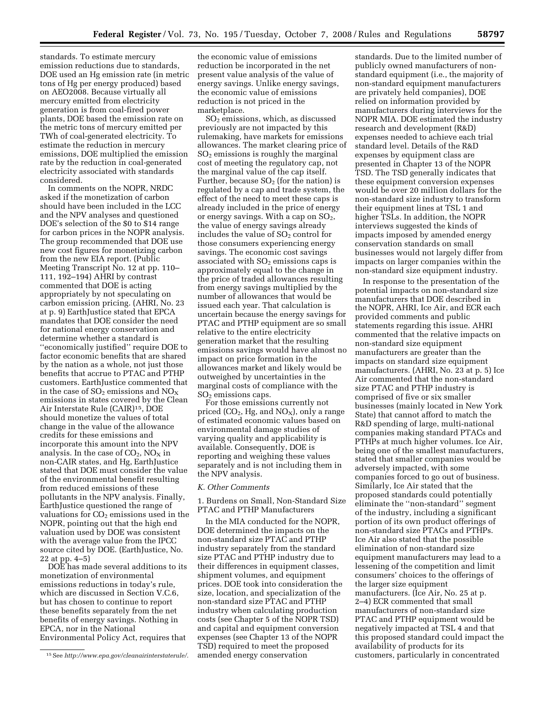standards. To estimate mercury emission reductions due to standards, DOE used an Hg emission rate (in metric tons of Hg per energy produced) based on AEO2008. Because virtually all mercury emitted from electricity generation is from coal-fired power plants, DOE based the emission rate on the metric tons of mercury emitted per TWh of coal-generated electricity. To estimate the reduction in mercury emissions, DOE multiplied the emission rate by the reduction in coal-generated electricity associated with standards considered.

In comments on the NOPR, NRDC asked if the monetization of carbon should have been included in the LCC and the NPV analyses and questioned DOE's selection of the \$0 to \$14 range for carbon prices in the NOPR analysis. The group recommended that DOE use new cost figures for monetizing carbon from the new EIA report. (Public Meeting Transcript No. 12 at pp. 110– 111, 192–194) AHRI by contrast commented that DOE is acting appropriately by not speculating on carbon emission pricing. (AHRI, No. 23 at p. 9) EarthJustice stated that EPCA mandates that DOE consider the need for national energy conservation and determine whether a standard is ''economically justified'' require DOE to factor economic benefits that are shared by the nation as a whole, not just those benefits that accrue to PTAC and PTHP customers. EarthJustice commented that in the case of  $SO_2$  emissions and  $NO_X$ emissions in states covered by the Clean Air Interstate Rule (CAIR)15, DOE should monetize the values of total change in the value of the allowance credits for these emissions and incorporate this amount into the NPV analysis. In the case of  $CO<sub>2</sub>$ , NO<sub>X</sub> in non-CAIR states, and Hg, EarthJustice stated that DOE must consider the value of the environmental benefit resulting from reduced emissions of these pollutants in the NPV analysis. Finally, EarthJustice questioned the range of valuations for  $CO<sub>2</sub>$  emissions used in the NOPR, pointing out that the high end valuation used by DOE was consistent with the average value from the IPCC source cited by DOE. (EarthJustice, No. 22 at pp. 4–5)

DOE has made several additions to its monetization of environmental emissions reductions in today's rule, which are discussed in Section V.C.6, but has chosen to continue to report these benefits separately from the net benefits of energy savings. Nothing in EPCA, nor in the National Environmental Policy Act, requires that

the economic value of emissions reduction be incorporated in the net present value analysis of the value of energy savings. Unlike energy savings, the economic value of emissions reduction is not priced in the marketplace.

SO2 emissions, which, as discussed previously are not impacted by this rulemaking, have markets for emissions allowances. The market clearing price of  $SO<sub>2</sub>$  emissions is roughly the marginal cost of meeting the regulatory cap, not the marginal value of the cap itself. Further, because  $SO<sub>2</sub>$  (for the nation) is regulated by a cap and trade system, the effect of the need to meet these caps is already included in the price of energy or energy savings. With a cap on  $SO_2$ , the value of energy savings already includes the value of  $SO<sub>2</sub>$  control for those consumers experiencing energy savings. The economic cost savings associated with  $SO<sub>2</sub>$  emissions caps is approximately equal to the change in the price of traded allowances resulting from energy savings multiplied by the number of allowances that would be issued each year. That calculation is uncertain because the energy savings for PTAC and PTHP equipment are so small relative to the entire electricity generation market that the resulting emissions savings would have almost no impact on price formation in the allowances market and likely would be outweighed by uncertainties in the marginal costs of compliance with the  $SO<sub>2</sub>$  emissions caps.

For those emissions currently not priced  $(CO_2, Hg, and NO<sub>X</sub>)$ , only a range of estimated economic values based on environmental damage studies of varying quality and applicability is available. Consequently, DOE is reporting and weighing these values separately and is not including them in the NPV analysis.

#### *K. Other Comments*

1. Burdens on Small, Non-Standard Size PTAC and PTHP Manufacturers

In the MIA conducted for the NOPR, DOE determined the impacts on the non-standard size PTAC and PTHP industry separately from the standard size PTAC and PTHP industry due to their differences in equipment classes, shipment volumes, and equipment prices. DOE took into consideration the size, location, and specialization of the non-standard size PTAC and PTHP industry when calculating production costs (see Chapter 5 of the NOPR TSD) and capital and equipment conversion expenses (see Chapter 13 of the NOPR TSD) required to meet the proposed amended energy conservation

standards. Due to the limited number of publicly owned manufacturers of nonstandard equipment (i.e., the majority of non-standard equipment manufacturers are privately held companies), DOE relied on information provided by manufacturers during interviews for the NOPR MIA. DOE estimated the industry research and development (R&D) expenses needed to achieve each trial standard level. Details of the R&D expenses by equipment class are presented in Chapter 13 of the NOPR TSD. The TSD generally indicates that these equipment conversion expenses would be over 20 million dollars for the non-standard size industry to transform their equipment lines at TSL 1 and higher TSLs. In addition, the NOPR interviews suggested the kinds of impacts imposed by amended energy conservation standards on small businesses would not largely differ from impacts on larger companies within the non-standard size equipment industry.

In response to the presentation of the potential impacts on non-standard size manufacturers that DOE described in the NOPR, AHRI, Ice Air, and ECR each provided comments and public statements regarding this issue. AHRI commented that the relative impacts on non-standard size equipment manufacturers are greater than the impacts on standard size equipment manufacturers. (AHRI, No. 23 at p. 5) Ice Air commented that the non-standard size PTAC and PTHP industry is comprised of five or six smaller businesses (mainly located in New York State) that cannot afford to match the R&D spending of large, multi-national companies making standard PTACs and PTHPs at much higher volumes. Ice Air, being one of the smallest manufacturers, stated that smaller companies would be adversely impacted, with some companies forced to go out of business. Similarly, Ice Air stated that the proposed standards could potentially eliminate the ''non-standard'' segment of the industry, including a significant portion of its own product offerings of non-standard size PTACs and PTHPs. Ice Air also stated that the possible elimination of non-standard size equipment manufacturers may lead to a lessening of the competition and limit consumers' choices to the offerings of the larger size equipment manufacturers. (Ice Air, No. 25 at p. 2–4) ECR commented that small manufacturers of non-standard size PTAC and PTHP equipment would be negatively impacted at TSL 4 and that this proposed standard could impact the availability of products for its customers, particularly in concentrated

<sup>15</sup>See *http://www.epa.gov/cleanairinterstaterule/*.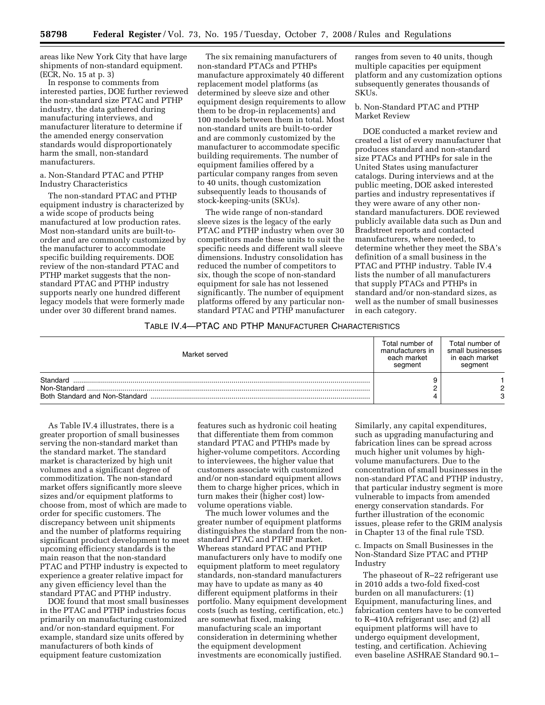areas like New York City that have large shipments of non-standard equipment. (ECR, No. 15 at p. 3)

In response to comments from interested parties, DOE further reviewed the non-standard size PTAC and PTHP industry, the data gathered during manufacturing interviews, and manufacturer literature to determine if the amended energy conservation standards would disproportionately harm the small, non-standard manufacturers.

a. Non-Standard PTAC and PTHP Industry Characteristics

The non-standard PTAC and PTHP equipment industry is characterized by a wide scope of products being manufactured at low production rates. Most non-standard units are built-toorder and are commonly customized by the manufacturer to accommodate specific building requirements. DOE review of the non-standard PTAC and PTHP market suggests that the nonstandard PTAC and PTHP industry supports nearly one hundred different legacy models that were formerly made under over 30 different brand names.

The six remaining manufacturers of non-standard PTACs and PTHPs manufacture approximately 40 different replacement model platforms (as determined by sleeve size and other equipment design requirements to allow them to be drop-in replacements) and 100 models between them in total. Most non-standard units are built-to-order and are commonly customized by the manufacturer to accommodate specific building requirements. The number of equipment families offered by a particular company ranges from seven to 40 units, though customization subsequently leads to thousands of stock-keeping-units (SKUs).

The wide range of non-standard sleeve sizes is the legacy of the early PTAC and PTHP industry when over 30 competitors made these units to suit the specific needs and different wall sleeve dimensions. Industry consolidation has reduced the number of competitors to six, though the scope of non-standard equipment for sale has not lessened significantly. The number of equipment platforms offered by any particular nonstandard PTAC and PTHP manufacturer ranges from seven to 40 units, though multiple capacities per equipment platform and any customization options subsequently generates thousands of SKUs.

b. Non-Standard PTAC and PTHP Market Review

DOE conducted a market review and created a list of every manufacturer that produces standard and non-standard size PTACs and PTHPs for sale in the United States using manufacturer catalogs. During interviews and at the public meeting, DOE asked interested parties and industry representatives if they were aware of any other nonstandard manufacturers. DOE reviewed publicly available data such as Dun and Bradstreet reports and contacted manufacturers, where needed, to determine whether they meet the SBA's definition of a small business in the PTAC and PTHP industry. Table IV.4 lists the number of all manufacturers that supply PTACs and PTHPs in standard and/or non-standard sizes, as well as the number of small businesses in each category.

# TABLE IV.4—PTAC AND PTHP MANUFACTURER CHARACTERISTICS

| Market served | Total number of<br>manufacturers in<br>each market<br>segment | Total number of<br>small businesses<br>in each market<br>segment |
|---------------|---------------------------------------------------------------|------------------------------------------------------------------|
| Standard      |                                                               |                                                                  |
| Non-Standard  |                                                               | ົ                                                                |
|               |                                                               | 3                                                                |

As Table IV.4 illustrates, there is a greater proportion of small businesses serving the non-standard market than the standard market. The standard market is characterized by high unit volumes and a significant degree of commoditization. The non-standard market offers significantly more sleeve sizes and/or equipment platforms to choose from, most of which are made to order for specific customers. The discrepancy between unit shipments and the number of platforms requiring significant product development to meet upcoming efficiency standards is the main reason that the non-standard PTAC and PTHP industry is expected to experience a greater relative impact for any given efficiency level than the standard PTAC and PTHP industry.

DOE found that most small businesses in the PTAC and PTHP industries focus primarily on manufacturing customized and/or non-standard equipment. For example, standard size units offered by manufacturers of both kinds of equipment feature customization

features such as hydronic coil heating that differentiate them from common standard PTAC and PTHPs made by higher-volume competitors. According to interviewees, the higher value that customers associate with customized and/or non-standard equipment allows them to charge higher prices, which in turn makes their (higher cost) lowvolume operations viable.

The much lower volumes and the greater number of equipment platforms distinguishes the standard from the nonstandard PTAC and PTHP market. Whereas standard PTAC and PTHP manufacturers only have to modify one equipment platform to meet regulatory standards, non-standard manufacturers may have to update as many as 40 different equipment platforms in their portfolio. Many equipment development costs (such as testing, certification, etc.) are somewhat fixed, making manufacturing scale an important consideration in determining whether the equipment development investments are economically justified.

Similarly, any capital expenditures, such as upgrading manufacturing and fabrication lines can be spread across much higher unit volumes by highvolume manufacturers. Due to the concentration of small businesses in the non-standard PTAC and PTHP industry, that particular industry segment is more vulnerable to impacts from amended energy conservation standards. For further illustration of the economic issues, please refer to the GRIM analysis in Chapter 13 of the final rule TSD.

c. Impacts on Small Businesses in the Non-Standard Size PTAC and PTHP Industry

The phaseout of R–22 refrigerant use in 2010 adds a two-fold fixed-cost burden on all manufacturers: (1) Equipment, manufacturing lines, and fabrication centers have to be converted to R–410A refrigerant use; and (2) all equipment platforms will have to undergo equipment development, testing, and certification. Achieving even baseline ASHRAE Standard 90.1–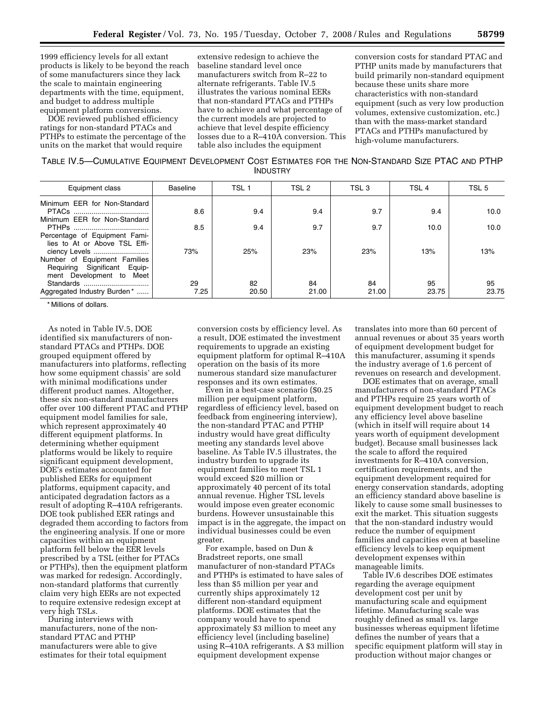1999 efficiency levels for all extant products is likely to be beyond the reach of some manufacturers since they lack the scale to maintain engineering departments with the time, equipment, and budget to address multiple equipment platform conversions.

DOE reviewed published efficiency ratings for non-standard PTACs and PTHPs to estimate the percentage of the units on the market that would require

extensive redesign to achieve the baseline standard level once manufacturers switch from R–22 to alternate refrigerants. Table IV.5 illustrates the various nominal EERs that non-standard PTACs and PTHPs have to achieve and what percentage of the current models are projected to achieve that level despite efficiency losses due to a R–410A conversion. This table also includes the equipment

conversion costs for standard PTAC and PTHP units made by manufacturers that build primarily non-standard equipment because these units share more characteristics with non-standard equipment (such as very low production volumes, extensive customization, etc.) than with the mass-market standard PTACs and PTHPs manufactured by high-volume manufacturers.

| TABLE IV.5-CUMULATIVE EQUIPMENT DEVELOPMENT COST ESTIMATES FOR THE NON-STANDARD SIZE PTAC AND PTHP |
|----------------------------------------------------------------------------------------------------|
| <b>INDUSTRY</b>                                                                                    |

| Equipment class               | <b>Baseline</b> | TSL <sub>1</sub> | TSL <sub>2</sub> | TSL <sub>3</sub> | TSL <sub>4</sub> | TSL 5 |
|-------------------------------|-----------------|------------------|------------------|------------------|------------------|-------|
| Minimum EER for Non-Standard  |                 |                  |                  |                  |                  |       |
|                               | 8.6             | 9.4              | 9.4              | 9.7              | 9.4              | 10.0  |
| Minimum EER for Non-Standard  |                 |                  |                  |                  |                  |       |
|                               | 8.5             | 9.4              | 9.7              | 9.7              | 10.0             | 10.0  |
| Percentage of Equipment Fami- |                 |                  |                  |                  |                  |       |
| lies to At or Above TSL Effi- |                 |                  |                  |                  |                  |       |
| ciency Levels                 | 73%             | 25%              | 23%              | 23%              | 13%              | 13%   |
| Number of Equipment Families  |                 |                  |                  |                  |                  |       |
| Requiring Significant Equip-  |                 |                  |                  |                  |                  |       |
| ment Development to Meet      |                 |                  |                  |                  |                  |       |
| Standards                     | 29              | 82               | 84               | 84               | 95               | 95    |
| Aggregated Industry Burden*   | 7.25            | 20.50            | 21.00            | 21.00            | 23.75            | 23.75 |

\* Millions of dollars.

As noted in Table IV.5, DOE identified six manufacturers of nonstandard PTACs and PTHPs. DOE grouped equipment offered by manufacturers into platforms, reflecting how some equipment chassis' are sold with minimal modifications under different product names. Altogether, these six non-standard manufacturers offer over 100 different PTAC and PTHP equipment model families for sale, which represent approximately 40 different equipment platforms. In determining whether equipment platforms would be likely to require significant equipment development, DOE's estimates accounted for published EERs for equipment platforms, equipment capacity, and anticipated degradation factors as a result of adopting R–410A refrigerants. DOE took published EER ratings and degraded them according to factors from the engineering analysis. If one or more capacities within an equipment platform fell below the EER levels prescribed by a TSL (either for PTACs or PTHPs), then the equipment platform was marked for redesign. Accordingly, non-standard platforms that currently claim very high EERs are not expected to require extensive redesign except at very high TSLs.

During interviews with manufacturers, none of the nonstandard PTAC and PTHP manufacturers were able to give estimates for their total equipment

conversion costs by efficiency level. As a result, DOE estimated the investment requirements to upgrade an existing equipment platform for optimal R–410A operation on the basis of its more numerous standard size manufacturer responses and its own estimates.

Even in a best-case scenario (\$0.25 million per equipment platform, regardless of efficiency level, based on feedback from engineering interview), the non-standard PTAC and PTHP industry would have great difficulty meeting any standards level above baseline. As Table IV.5 illustrates, the industry burden to upgrade its equipment families to meet TSL 1 would exceed \$20 million or approximately 40 percent of its total annual revenue. Higher TSL levels would impose even greater economic burdens. However unsustainable this impact is in the aggregate, the impact on individual businesses could be even greater.

For example, based on Dun & Bradstreet reports, one small manufacturer of non-standard PTACs and PTHPs is estimated to have sales of less than \$5 million per year and currently ships approximately 12 different non-standard equipment platforms. DOE estimates that the company would have to spend approximately \$3 million to meet any efficiency level (including baseline) using R–410A refrigerants. A \$3 million equipment development expense

translates into more than 60 percent of annual revenues or about 35 years worth of equipment development budget for this manufacturer, assuming it spends the industry average of 1.6 percent of revenues on research and development.

DOE estimates that on average, small manufacturers of non-standard PTACs and PTHPs require 25 years worth of equipment development budget to reach any efficiency level above baseline (which in itself will require about 14 years worth of equipment development budget). Because small businesses lack the scale to afford the required investments for R–410A conversion, certification requirements, and the equipment development required for energy conservation standards, adopting an efficiency standard above baseline is likely to cause some small businesses to exit the market. This situation suggests that the non-standard industry would reduce the number of equipment families and capacities even at baseline efficiency levels to keep equipment development expenses within manageable limits.

Table IV.6 describes DOE estimates regarding the average equipment development cost per unit by manufacturing scale and equipment lifetime. Manufacturing scale was roughly defined as small vs. large businesses whereas equipment lifetime defines the number of years that a specific equipment platform will stay in production without major changes or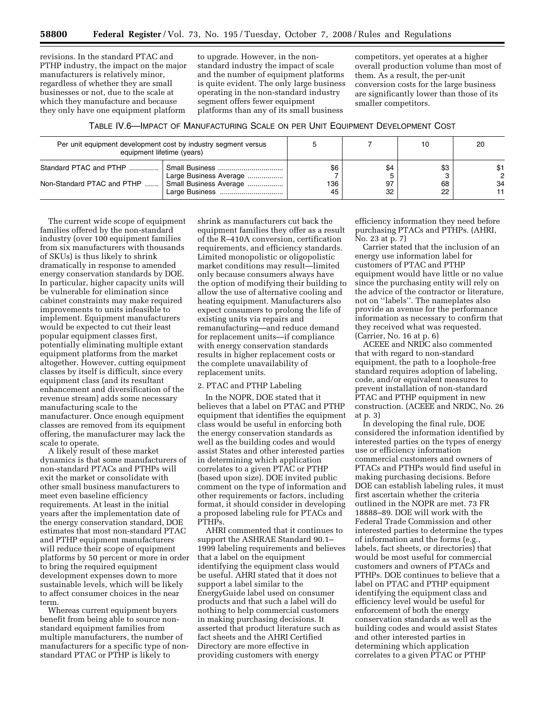revisions. In the standard PTAC and PTHP industry, the impact on the major manufacturers is relatively minor, regardless of whether they are small businesses or not, due to the scale at which they manufacture and because they only have one equipment platform

to upgrade. However, in the nonstandard industry the impact of scale and the number of equipment platforms is quite evident. The only large business operating in the non-standard industry segment offers fewer equipment platforms than any of its small business

competitors, yet operates at a higher overall production volume than most of them. As a result, the per-unit conversion costs for the large business are significantly lower than those of its smaller competitors.

| TABLE IV.6—IMPACT OF MANUFACTURING SCALE ON PER UNIT EQUIPMENT DEVELOPMENT COST |
|---------------------------------------------------------------------------------|
|---------------------------------------------------------------------------------|

| Per unit equipment development cost by industry segment versus<br>equipment lifetime (years) |                                                  |                  |                 | 10              | 20             |
|----------------------------------------------------------------------------------------------|--------------------------------------------------|------------------|-----------------|-----------------|----------------|
| Standard PTAC and PTHP<br>Non-Standard PTAC and PTHP                                         | Large Business Average<br>Small Business Average | \$6<br>136<br>45 | \$4<br>97<br>32 | \$3<br>68<br>22 | \$1<br>2<br>34 |

The current wide scope of equipment families offered by the non-standard industry (over 100 equipment families from six manufacturers with thousands of SKUs) is thus likely to shrink dramatically in response to amended energy conservation standards by DOE. In particular, higher capacity units will be vulnerable for elimination since cabinet constraints may make required improvements to units infeasible to implement. Equipment manufacturers would be expected to cut their least popular equipment classes first, potentially eliminating multiple extant equipment platforms from the market altogether. However, cutting equipment classes by itself is difficult, since every equipment class (and its resultant enhancement and diversification of the revenue stream) adds some necessary manufacturing scale to the manufacturer. Once enough equipment classes are removed from its equipment offering, the manufacturer may lack the scale to operate.

A likely result of these market dynamics is that some manufacturers of non-standard PTACs and PTHPs will exit the market or consolidate with other small business manufacturers to meet even baseline efficiency requirements. At least in the initial years after the implementation date of the energy conservation standard, DOE estimates that most non-standard PTAC and PTHP equipment manufacturers will reduce their scope of equipment platforms by 50 percent or more in order to bring the required equipment development expenses down to more sustainable levels, which will be likely to affect consumer choices in the near term.

Whereas current equipment buyers benefit from being able to source nonstandard equipment families from multiple manufacturers, the number of manufacturers for a specific type of nonstandard PTAC or PTHP is likely to

shrink as manufacturers cut back the equipment families they offer as a result of the R–410A conversion, certification requirements, and efficiency standards. Limited monopolistic or oligopolistic market conditions may result—limited only because consumers always have the option of modifying their building to allow the use of alternative cooling and heating equipment. Manufacturers also expect consumers to prolong the life of existing units via repairs and remanufacturing—and reduce demand for replacement units—if compliance with energy conservation standards results in higher replacement costs or the complete unavailability of replacement units.

#### 2. PTAC and PTHP Labeling

In the NOPR, DOE stated that it believes that a label on PTAC and PTHP equipment that identifies the equipment class would be useful in enforcing both the energy conservation standards as well as the building codes and would assist States and other interested parties in determining which application correlates to a given PTAC or PTHP (based upon size). DOE invited public comment on the type of information and other requirements or factors, including format, it should consider in developing a proposed labeling rule for PTACs and PTHPs.

AHRI commented that it continues to support the ASHRAE Standard 90.1– 1999 labeling requirements and believes that a label on the equipment identifying the equipment class would be useful. AHRI stated that it does not support a label similar to the EnergyGuide label used on consumer products and that such a label will do nothing to help commercial customers in making purchasing decisions. It asserted that product literature such as fact sheets and the AHRI Certified Directory are more effective in providing customers with energy

efficiency information they need before purchasing PTACs and PTHPs. (AHRI, No. 23 at p. 7)

Carrier stated that the inclusion of an energy use information label for customers of PTAC and PTHP equipment would have little or no value since the purchasing entity will rely on the advice of the contractor or literature, not on ''labels''. The nameplates also provide an avenue for the performance information as necessary to confirm that they received what was requested. (Carrier, No. 16 at p. 6)

ACEEE and NRDC also commented that with regard to non-standard equipment, the path to a loophole-free standard requires adoption of labeling, code, and/or equivalent measures to prevent installation of non-standard PTAC and PTHP equipment in new construction. (ACEEE and NRDC, No. 26 at p. 3)

In developing the final rule, DOE considered the information identified by interested parties on the types of energy use or efficiency information commercial customers and owners of PTACs and PTHPs would find useful in making purchasing decisions. Before DOE can establish labeling rules, it must first ascertain whether the criteria outlined in the NOPR are met. 73 FR 18888–89. DOE will work with the Federal Trade Commission and other interested parties to determine the types of information and the forms (e.g., labels, fact sheets, or directories) that would be most useful for commercial customers and owners of PTACs and PTHPs. DOE continues to believe that a label on PTAC and PTHP equipment identifying the equipment class and efficiency level would be useful for enforcement of both the energy conservation standards as well as the building codes and would assist States and other interested parties in determining which application correlates to a given PTAC or PTHP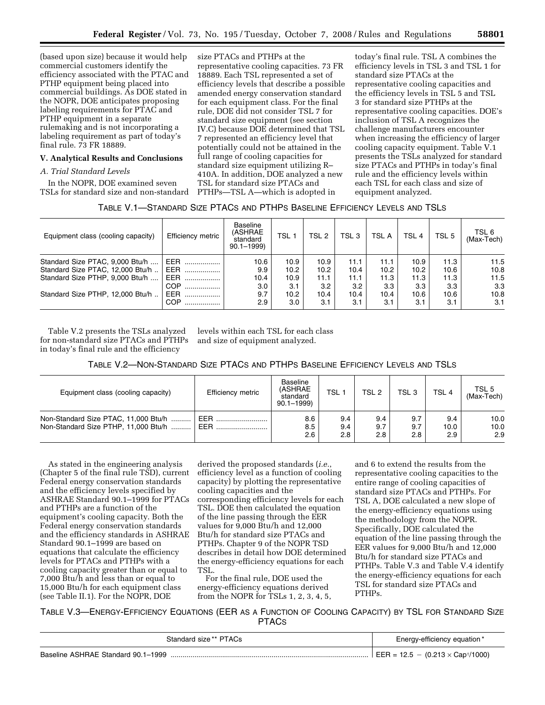(based upon size) because it would help commercial customers identify the efficiency associated with the PTAC and PTHP equipment being placed into commercial buildings. As DOE stated in the NOPR, DOE anticipates proposing labeling requirements for PTAC and PTHP equipment in a separate rulemaking and is not incorporating a labeling requirement as part of today's final rule. 73 FR 18889.

# **V. Analytical Results and Conclusions**

# *A. Trial Standard Levels*

In the NOPR, DOE examined seven TSLs for standard size and non-standard

size PTACs and PTHPs at the representative cooling capacities. 73 FR 18889. Each TSL represented a set of efficiency levels that describe a possible amended energy conservation standard for each equipment class. For the final rule, DOE did not consider TSL 7 for standard size equipment (see section IV.C) because DOE determined that TSL 7 represented an efficiency level that potentially could not be attained in the full range of cooling capacities for standard size equipment utilizing R– 410A. In addition, DOE analyzed a new TSL for standard size PTACs and PTHPs—TSL A—which is adopted in

today's final rule. TSL A combines the efficiency levels in TSL 3 and TSL 1 for standard size PTACs at the representative cooling capacities and the efficiency levels in TSL 5 and TSL 3 for standard size PTHPs at the representative cooling capacities. DOE's inclusion of TSL A recognizes the challenge manufacturers encounter when increasing the efficiency of larger cooling capacity equipment. Table V.1 presents the TSLs analyzed for standard size PTACs and PTHPs in today's final rule and the efficiency levels within each TSL for each class and size of equipment analyzed.

# TABLE V.1—STANDARD SIZE PTACS AND PTHPS BASELINE EFFICIENCY LEVELS AND TSLS

| Equipment class (cooling capacity) | Efficiency metric | Baseline<br>(ASHRAE<br>standard<br>$90.1 - 1999$ | TSL <sub>1</sub> | TSL <sub>2</sub> | TSL <sub>3</sub> | <b>TSL A</b>      | TSL <sub>4</sub> | TSL <sub>5</sub> | TSL 6<br>(Max-Tech) |
|------------------------------------|-------------------|--------------------------------------------------|------------------|------------------|------------------|-------------------|------------------|------------------|---------------------|
| Standard Size PTAC, 9,000 Btu/h    | EER               | 10.6                                             | 10.9             | 10.9             | 11.1             | 11.1              | 10.9             | 11.3             | 11.5                |
| Standard Size PTAC, 12,000 Btu/h   | <b>EER</b>        | 9.9                                              | 10.2             | 10.2             | 10.4             | 10.2 <sub>2</sub> | 10.2             | 10.6             | 10.8                |
| Standard Size PTHP, 9,000 Btu/h    | <b>EER</b>        | 10.4                                             | 10.9             | 11.1             | 11.1             | 11.3              | 11.3             | 11.3             | 11.5                |
|                                    | COP               | 3.0                                              | 3.1              | 3.2              | 3.2              | 3.3               | 3.3              | 3.3              | 3.3                 |
| Standard Size PTHP, 12,000 Btu/h   | <b>EER</b><br>.   | 9.7                                              | 10.2             | 10.4             | 10.4             | 10.4              | 10.6             | 10.6             | 10.8                |
|                                    | COP               | 2.9                                              | 3.0              | 3.1              | 3.1              | 3.1               | 3.1              | 3.1              | 3.1                 |

Table V.2 presents the TSLs analyzed for non-standard size PTACs and PTHPs in today's final rule and the efficiency

levels within each TSL for each class and size of equipment analyzed.

| TABLE V.2—NON-STANDARD SIZE PTACS AND PTHPS BASELINE EFFICIENCY LEVELS AND TSLS |
|---------------------------------------------------------------------------------|
|---------------------------------------------------------------------------------|

| Equipment class (cooling capacity)                                           | Efficiency metric | Baseline<br>(ASHRAE<br>standard<br>$90.1 - 1999$ | TSL <sub>1</sub>  | TSL <sub>2</sub>  | TSL 3             | TSL <sub>4</sub>   | TSL 5<br>(Max-Tech) |
|------------------------------------------------------------------------------|-------------------|--------------------------------------------------|-------------------|-------------------|-------------------|--------------------|---------------------|
| Non-Standard Size PTAC, 11,000 Btu/h<br>Non-Standard Size PTHP, 11,000 Btu/h | EER<br>EER        | 8.6<br>8.5<br>2.6                                | 9.4<br>9.4<br>2.8 | 9.4<br>9.7<br>2.8 | 9.7<br>9.7<br>2.8 | 9.4<br>10.0<br>2.9 | 10.0<br>10.0<br>2.9 |

As stated in the engineering analysis (Chapter 5 of the final rule TSD), current Federal energy conservation standards and the efficiency levels specified by ASHRAE Standard 90.1–1999 for PTACs and PTHPs are a function of the equipment's cooling capacity. Both the Federal energy conservation standards and the efficiency standards in ASHRAE Standard 90.1–1999 are based on equations that calculate the efficiency levels for PTACs and PTHPs with a cooling capacity greater than or equal to 7,000 Btu/h and less than or equal to 15,000 Btu/h for each equipment class (see Table II.1). For the NOPR, DOE

derived the proposed standards (*i.e.*, efficiency level as a function of cooling capacity) by plotting the representative cooling capacities and the corresponding efficiency levels for each TSL. DOE then calculated the equation of the line passing through the EER values for 9,000 Btu/h and 12,000 Btu/h for standard size PTACs and PTHPs. Chapter 9 of the NOPR TSD describes in detail how DOE determined the energy-efficiency equations for each TSL.

For the final rule, DOE used the energy-efficiency equations derived from the NOPR for TSLs 1, 2, 3, 4, 5, and 6 to extend the results from the representative cooling capacities to the entire range of cooling capacities of standard size PTACs and PTHPs. For TSL A, DOE calculated a new slope of the energy-efficiency equations using the methodology from the NOPR. Specifically, DOE calculated the equation of the line passing through the EER values for 9,000 Btu/h and 12,000 Btu/h for standard size PTACs and PTHPs. Table V.3 and Table V.4 identify the energy-efficiency equations for each TSL for standard size PTACs and PTHPs.

TABLE V.3—ENERGY-EFFICIENCY EQUATIONS (EER AS A FUNCTION OF COOLING CAPACITY) BY TSL FOR STANDARD SIZE **PTACS** 

| Standard size ** PTACs             | Energy-efficiency equation*              |
|------------------------------------|------------------------------------------|
| Baseline ASHRAE Standard 90.1-1999 | $12.5 - (0.213 \times Cap†/1000)$<br>ч — |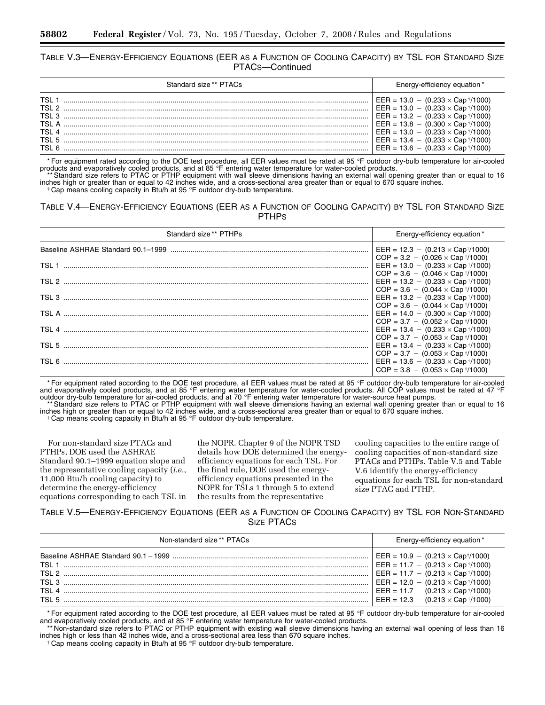# TABLE V.3—ENERGY-EFFICIENCY EQUATIONS (EER AS A FUNCTION OF COOLING CAPACITY) BY TSL FOR STANDARD SIZE PTACS—Continued

| Standard size** PTACs | Energy-efficiency equation*                             |
|-----------------------|---------------------------------------------------------|
|                       | $EER = 13.0 - (0.233 \times Cap \sqrt{\frac{1}{1000}})$ |
|                       | EER = $13.0 - (0.233 \times Cap \sqrt[+1]{1000})$       |
|                       | EER = $13.2 - (0.233 \times Cap \sqrt{1000})$           |
|                       | $EER = 13.8 - (0.300 \times Cap \sqrt{\frac{10000}{}})$ |
|                       | $EER = 13.0 - (0.233 \times Cap \sqrt{\frac{10000}{}})$ |
|                       | $EER = 13.4 - (0.233 \times Cap \sqrt{\frac{10000}{}})$ |
|                       | $EER = 13.6 - (0.233 \times Cap \sqrt{\frac{1}{1000}})$ |

\* For equipment rated according to the DOE test procedure, all EER values must be rated at 95 °F outdoor dry-bulb temperature for air-cooled

products and evaporatively cooled products, and at 85 °F entering water temperature for water-cooled products.<br>\*\*Standard size refers to PTAC or PTHP equipment with wall sleeve dimensions having an external wall opening gr inches high or greater than or equal to 42 inches wide, and a cross-sectional area greater than or equal to 670 square inches.<br>† Cap means cooling capacity in Btu/h at 95 °F outdoor dry-bulb temperature.

# TABLE V.4—ENERGY-EFFICIENCY EQUATIONS (EER AS A FUNCTION OF COOLING CAPACITY) BY TSL FOR STANDARD SIZE PTHPS

| Standard size** PTHPs | Energy-efficiency equation*                                                                                       |
|-----------------------|-------------------------------------------------------------------------------------------------------------------|
|                       | EER = $12.3 - (0.213 \times Cap^{+}/1000)$                                                                        |
|                       | $COP = 3.2 - (0.026 \times Cap \sqrt[4]{1000})$<br>EER = $13.0 - (0.233 \times Cap \sqrt{1000})$                  |
|                       | $COP = 3.6 - (0.046 \times Cap \sqrt{\frac{1}{1000}})$<br>EER = $13.2 - (0.233 \times Cap \sqrt{1000})$           |
|                       | $COP = 3.6 - (0.044 \times Cap \sqrt{\frac{10000}{}})$<br>EER = $13.2 - (0.233 \times Cap \sqrt{\frac{1}{1000}})$ |
|                       | $COP = 3.6 - (0.044 \times Cap \sqrt{\frac{10000}{}})$<br>EER = $14.0 - (0.300 \times Cap \sqrt{1000})$           |
|                       | $COP = 3.7 - (0.052 \times Cap \sqrt{\frac{1}{1000}})$<br>$EER = 13.4 - (0.233 \times Cap \sqrt[4]{1000})$        |
|                       | $COP = 3.7 - (0.053 \times Cap \sqrt{\frac{1}{1000}})$                                                            |
|                       | EER = $13.4 - (0.233 \times Cap \sqrt{\frac{1}{1000}})$<br>$COP = 3.7 - (0.053 \times Cap \sqrt{\frac{1}{1000}})$ |
|                       | EER = $13.6 - (0.233 \times Cap \sqrt{\frac{1}{1000}})$<br>$COP = 3.8 - (0.053 \times Can \sqrt[7]{1000})$        |

\* For equipment rated according to the DOE test procedure, all EER values must be rated at 95 °F outdoor dry-bulb temperature for air-cooled and evaporatively cooled products, and at 85 °F entering water temperature for water-cooled products. All COP values must be rated at 47 °F

outdoor dry-bulb temperature for air-cooled products, and at 70 °F entering water temperature for water-source heat pumps.<br>\*\* Standard size refers to PTAC or PTHP equipment with wall sleeve dimensions having an external wa inches high or greater than or equal to 42 inches wide, and a cross-sectional area greater than or equal to 670 square inches. † Cap means cooling capacity in Btu/h at 95 °F outdoor dry-bulb temperature.

For non-standard size PTACs and PTHPs, DOE used the ASHRAE Standard 90.1–1999 equation slope and the representative cooling capacity (*i.e.*, 11,000 Btu/h cooling capacity) to determine the energy-efficiency equations corresponding to each TSL in

the NOPR. Chapter 9 of the NOPR TSD details how DOE determined the energyefficiency equations for each TSL. For the final rule, DOE used the energyefficiency equations presented in the NOPR for TSLs 1 through 5 to extend the results from the representative

cooling capacities to the entire range of cooling capacities of non-standard size PTACs and PTHPs. Table V.5 and Table V.6 identify the energy-efficiency equations for each TSL for non-standard size PTAC and PTHP.

# TABLE V.5—ENERGY-EFFICIENCY EQUATIONS (EER AS A FUNCTION OF COOLING CAPACITY) BY TSL FOR NON-STANDARD SIZE PTACS

| Non-standard size ** PTACs | Energy-efficiency equation*                             |
|----------------------------|---------------------------------------------------------|
|                            | EER = $10.9 - (0.213 \times Cap†/1000)$                 |
|                            | EER = 11.7 - $(0.213 \times Cap^{+}/1000)$              |
|                            | EER = $11.7 - (0.213 \times Cap \sqrt[4]{1000})$        |
|                            | $EER = 12.0 - (0.213 \times Cap \sqrt{\frac{1}{1000}})$ |
|                            | EER = 11.7 - $(0.213 \times Cap \sqrt{t}/1000)$         |
|                            | EER = $12.3 - (0.213 \times Cap \sqrt[4]{1000})$        |

\* For equipment rated according to the DOE test procedure, all EER values must be rated at 95 °F outdoor dry-bulb temperature for air-cooled and evaporatively cooled products, and at 85 °F entering water temperature for water-cooled products.

\*\* Non-standard size refers to PTAC or PTHP equipment with existing wall sleeve dimensions having an external wall opening of less than 16 inches high or less than 42 inches wide, and a cross-sectional area less than 670 square inches.

† Cap means cooling capacity in Btu/h at 95 °F outdoor dry-bulb temperature.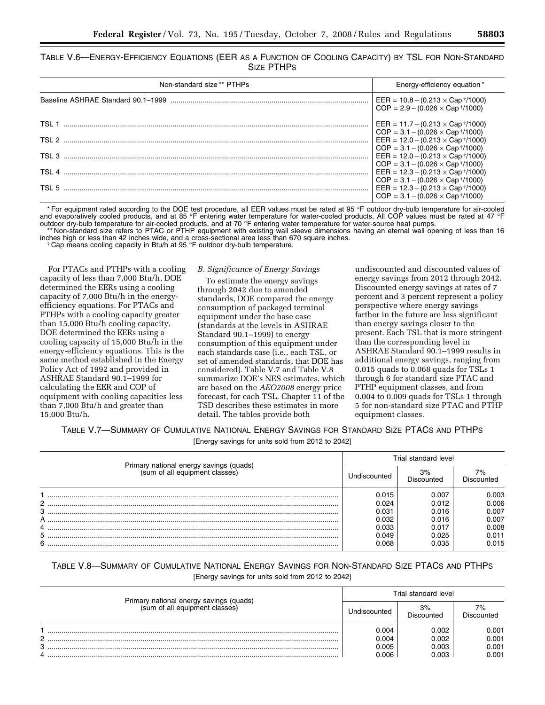| TABLE V.6-ENERGY-EFFICIENCY EQUATIONS (EER AS A FUNCTION OF COOLING CAPACITY) BY TSL FOR NON-STANDARD |  |            |  |  |  |  |
|-------------------------------------------------------------------------------------------------------|--|------------|--|--|--|--|
|                                                                                                       |  | SIZE PTHPS |  |  |  |  |

| Non-standard size ** PTHPs | Energy-efficiency equation*                                                                                                                                          |
|----------------------------|----------------------------------------------------------------------------------------------------------------------------------------------------------------------|
|                            | EER = $10.8 - (0.213 \times Cap \sqrt[4]{1000})$<br>$COP = 2.9 - (0.026 \times Cap \sqrt{\frac{1}{1000}})$                                                           |
|                            | EER = $11.7 - (0.213 \times Cap \sqrt{t}/1000)$<br>$COP = 3.1 - (0.026 \times Cap \sqrt{\frac{1}{1000}})$                                                            |
|                            | EER = $12.0 - (0.213 \times Cap \sqrt{\frac{1}{1000}})$                                                                                                              |
|                            | $COP = 3.1 - (0.026 \times Cap^{+}(1000))$<br>EER = $12.0 - (0.213 \times Cap \sqrt[4]{1000})$                                                                       |
|                            | $COP = 3.1 - (0.026 \times Cap \sqrt{\frac{1}{1000}})$<br>EER = $12.3 - (0.213 \times Cap \sqrt{\frac{1}{1000}})$                                                    |
|                            | $COP = 3.1 - (0.026 \times Cap \sqrt{\frac{1}{1000}})$<br>EER = $12.3 - (0.213 \times Cap \sqrt[4]{1000})$<br>$COP = 3.1 - (0.026 \times Cap \sqrt{\frac{1}{1000}})$ |

\* For equipment rated according to the DOE test procedure, all EER values must be rated at 95 °F outdoor dry-bulb temperature for air-cooled and evaporatively cooled products, and at 85 °F entering water temperature for water-cooled products. All COP values must be rated at 47 °F

outdoor dry-bulb temperature for air-cooled products, and at 70 °F entering water temperature for water-source heat pumps.<br>\*\* Non-standard size refers to PTAC or PTHP equipment with existing wall sleeve dimensions having a inches high or less than 42 inches wide, and a cross-sectional area less than 670 square inches.<br>† Cap means cooling capacity in Btu/h at 95 °F outdoor dry-bulb temperature.

For PTACs and PTHPs with a cooling capacity of less than 7,000 Btu/h, DOE determined the EERs using a cooling capacity of 7,000 Btu/h in the energyefficiency equations. For PTACs and PTHPs with a cooling capacity greater than 15,000 Btu/h cooling capacity, DOE determined the EERs using a cooling capacity of 15,000 Btu/h in the energy-efficiency equations. This is the same method established in the Energy Policy Act of 1992 and provided in ASHRAE Standard 90.1–1999 for calculating the EER and COP of equipment with cooling capacities less than 7,000 Btu/h and greater than 15,000 Btu/h.

#### *B. Significance of Energy Savings*

To estimate the energy savings through 2042 due to amended standards, DOE compared the energy consumption of packaged terminal equipment under the base case (standards at the levels in ASHRAE Standard 90.1–1999) to energy consumption of this equipment under each standards case (i.e., each TSL, or set of amended standards, that DOE has considered). Table V.7 and Table V.8 summarize DOE's NES estimates, which are based on the *AEO2008* energy price forecast, for each TSL. Chapter 11 of the TSD describes these estimates in more detail. The tables provide both

undiscounted and discounted values of energy savings from 2012 through 2042. Discounted energy savings at rates of 7 percent and 3 percent represent a policy perspective where energy savings farther in the future are less significant than energy savings closer to the present. Each TSL that is more stringent than the corresponding level in ASHRAE Standard 90.1–1999 results in additional energy savings, ranging from 0.015 quads to 0.068 quads for TSLs 1 through 6 for standard size PTAC and PTHP equipment classes, and from 0.004 to 0.009 quads for TSLs 1 through 5 for non-standard size PTAC and PTHP equipment classes.

TABLE V.7—SUMMARY OF CUMULATIVE NATIONAL ENERGY SAVINGS FOR STANDARD SIZE PTACS AND PTHPS

[Energy savings for units sold from 2012 to 2042]

|   |                                                                           | Trial standard level |                  |            |  |  |  |
|---|---------------------------------------------------------------------------|----------------------|------------------|------------|--|--|--|
|   | Primary national energy savings (quads)<br>(sum of all equipment classes) | Jndiscounted         | 3%<br>Discounted | Discounted |  |  |  |
|   |                                                                           | 0.015                | 0.007            | 0.003      |  |  |  |
| 2 |                                                                           | 0.024                | 0.012            | 0.006      |  |  |  |
| 3 |                                                                           | 0.031                | 0.016            | 0.007      |  |  |  |
| A |                                                                           | 0.032                | 0.016            | 0.007      |  |  |  |
|   |                                                                           | 0.033                | 0.017            | 0.008      |  |  |  |
| 5 |                                                                           | 0.049                | 0.025            | 0.011      |  |  |  |
| 6 |                                                                           | 0.068                | 0.035            | 0.015      |  |  |  |

| TABLE V.8-SUMMARY OF CUMULATIVE NATIONAL ENERGY SAVINGS FOR NON-STANDARD SIZE PTACS AND PTHPS |                                                   |  |  |
|-----------------------------------------------------------------------------------------------|---------------------------------------------------|--|--|
|                                                                                               | [Energy savings for units sold from 2012 to 2042] |  |  |

|                                                                           |  | Trial standard level |                  |                     |  |  |  |
|---------------------------------------------------------------------------|--|----------------------|------------------|---------------------|--|--|--|
| Primary national energy savings (quads)<br>(sum of all equipment classes) |  | Undiscounted         | 3%<br>Discounted | $7\%$<br>Discounted |  |  |  |
| C                                                                         |  | 0.004<br>0.004       | 0.002<br>0.002   | 0.001<br>0.001      |  |  |  |
| 3                                                                         |  | 0.005                | 0.003            | 0.001               |  |  |  |
| 4                                                                         |  | 0.006                | 0.003            | 0.001               |  |  |  |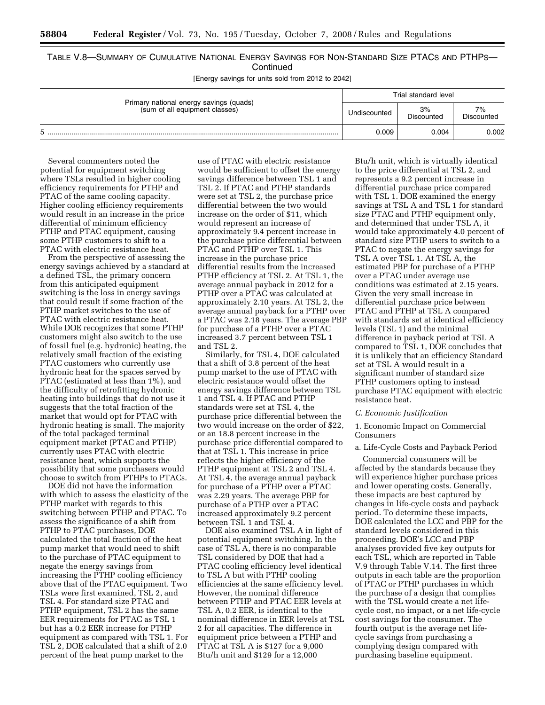# TABLE V.8—SUMMARY OF CUMULATIVE NATIONAL ENERGY SAVINGS FOR NON-STANDARD SIZE PTACS AND PTHPS— **Continued**

[Energy savings for units sold from 2012 to 2042]

|                                                                           | Trial standard level |                  |                  |  |  |  |
|---------------------------------------------------------------------------|----------------------|------------------|------------------|--|--|--|
| Primary national energy savings (quads)<br>(sum of all equipment classes) | Undiscounted         | 3%<br>Discounted | 7%<br>Discounted |  |  |  |
|                                                                           | 0.009                | 0.004            | 0.002            |  |  |  |

Several commenters noted the potential for equipment switching where TSLs resulted in higher cooling efficiency requirements for PTHP and PTAC of the same cooling capacity. Higher cooling efficiency requirements would result in an increase in the price differential of minimum efficiency PTHP and PTAC equipment, causing some PTHP customers to shift to a PTAC with electric resistance heat.

From the perspective of assessing the energy savings achieved by a standard at a defined TSL, the primary concern from this anticipated equipment switching is the loss in energy savings that could result if some fraction of the PTHP market switches to the use of PTAC with electric resistance heat. While DOE recognizes that some PTHP customers might also switch to the use of fossil fuel (e.g. hydronic) heating, the relatively small fraction of the existing PTAC customers who currently use hydronic heat for the spaces served by PTAC (estimated at less than 1%), and the difficulty of retrofitting hydronic heating into buildings that do not use it suggests that the total fraction of the market that would opt for PTAC with hydronic heating is small. The majority of the total packaged terminal equipment market (PTAC and PTHP) currently uses PTAC with electric resistance heat, which supports the possibility that some purchasers would choose to switch from PTHPs to PTACs.

DOE did not have the information with which to assess the elasticity of the PTHP market with regards to this switching between PTHP and PTAC. To assess the significance of a shift from PTHP to PTAC purchases, DOE calculated the total fraction of the heat pump market that would need to shift to the purchase of PTAC equipment to negate the energy savings from increasing the PTHP cooling efficiency above that of the PTAC equipment. Two TSLs were first examined, TSL 2, and TSL 4. For standard size PTAC and PTHP equipment, TSL 2 has the same EER requirements for PTAC as TSL 1 but has a 0.2 EER increase for PTHP equipment as compared with TSL 1. For TSL 2, DOE calculated that a shift of 2.0 percent of the heat pump market to the

use of PTAC with electric resistance would be sufficient to offset the energy savings difference between TSL 1 and TSL 2. If PTAC and PTHP standards were set at TSL 2, the purchase price differential between the two would increase on the order of \$11, which would represent an increase of approximately 9.4 percent increase in the purchase price differential between PTAC and PTHP over TSL 1. This increase in the purchase price differential results from the increased PTHP efficiency at TSL 2. At TSL 1, the average annual payback in 2012 for a PTHP over a PTAC was calculated at approximately 2.10 years. At TSL 2, the average annual payback for a PTHP over a PTAC was 2.18 years. The average PBP for purchase of a PTHP over a PTAC increased 3.7 percent between TSL 1 and TSL 2.

Similarly, for TSL 4, DOE calculated that a shift of 3.8 percent of the heat pump market to the use of PTAC with electric resistance would offset the energy savings difference between TSL 1 and TSL 4. If PTAC and PTHP standards were set at TSL 4, the purchase price differential between the two would increase on the order of \$22, or an 18.8 percent increase in the purchase price differential compared to that at TSL 1. This increase in price reflects the higher efficiency of the PTHP equipment at TSL 2 and TSL 4. At TSL 4, the average annual payback for purchase of a PTHP over a PTAC was 2.29 years. The average PBP for purchase of a PTHP over a PTAC increased approximately 9.2 percent between TSL 1 and TSL 4.

DOE also examined TSL A in light of potential equipment switching. In the case of TSL A, there is no comparable TSL considered by DOE that had a PTAC cooling efficiency level identical to TSL A but with PTHP cooling efficiencies at the same efficiency level. However, the nominal difference between PTHP and PTAC EER levels at TSL A, 0.2 EER, is identical to the nominal difference in EER levels at TSL 2 for all capacities. The difference in equipment price between a PTHP and PTAC at TSL A is \$127 for a 9,000 Btu/h unit and \$129 for a 12,000

Btu/h unit, which is virtually identical to the price differential at TSL 2, and represents a 9.2 percent increase in differential purchase price compared with TSL 1. DOE examined the energy savings at TSL A and TSL 1 for standard size PTAC and PTHP equipment only, and determined that under TSL A, it would take approximately 4.0 percent of standard size PTHP users to switch to a PTAC to negate the energy savings for TSL A over TSL 1. At TSL A, the estimated PBP for purchase of a PTHP over a PTAC under average use conditions was estimated at 2.15 years. Given the very small increase in differential purchase price between PTAC and PTHP at TSL A compared with standards set at identical efficiency levels (TSL 1) and the minimal difference in payback period at TSL A compared to TSL 1, DOE concludes that it is unlikely that an efficiency Standard set at TSL A would result in a significant number of standard size PTHP customers opting to instead purchase PTAC equipment with electric resistance heat.

#### *C. Economic Justification*

1. Economic Impact on Commercial Consumers

#### a. Life-Cycle Costs and Payback Period

Commercial consumers will be affected by the standards because they will experience higher purchase prices and lower operating costs. Generally, these impacts are best captured by changes in life-cycle costs and payback period. To determine these impacts, DOE calculated the LCC and PBP for the standard levels considered in this proceeding. DOE's LCC and PBP analyses provided five key outputs for each TSL, which are reported in Table V.9 through Table V.14. The first three outputs in each table are the proportion of PTAC or PTHP purchases in which the purchase of a design that complies with the TSL would create a net lifecycle cost, no impact, or a net life-cycle cost savings for the consumer. The fourth output is the average net lifecycle savings from purchasing a complying design compared with purchasing baseline equipment.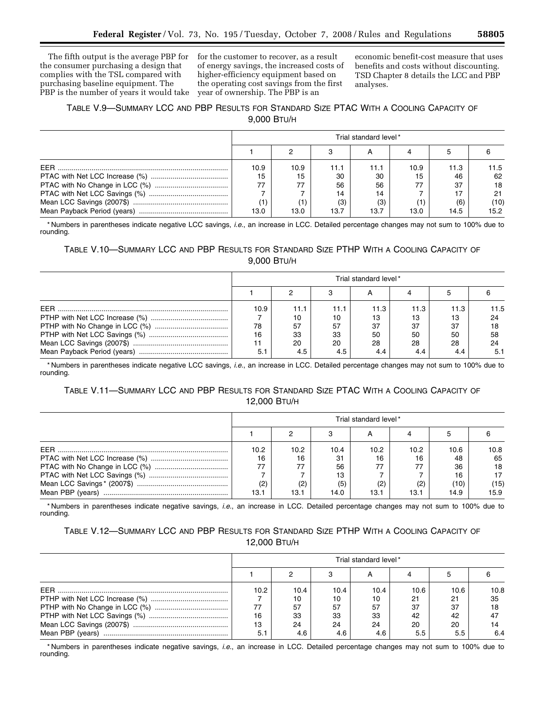The fifth output is the average PBP for the consumer purchasing a design that complies with the TSL compared with purchasing baseline equipment. The PBP is the number of years it would take

for the customer to recover, as a result of energy savings, the increased costs of higher-efficiency equipment based on the operating cost savings from the first year of ownership. The PBP is an

economic benefit-cost measure that uses benefits and costs without discounting. TSD Chapter 8 details the LCC and PBP analyses.

# TABLE V.9—SUMMARY LCC AND PBP RESULTS FOR STANDARD SIZE PTAC WITH A COOLING CAPACITY OF 9,000 BTU/H

|            | Trial standard level* |      |      |      |      |      |      |  |
|------------|-----------------------|------|------|------|------|------|------|--|
|            |                       |      |      |      |      |      |      |  |
| <b>FFR</b> | 10.9                  | 10.9 | 11.1 | 11.1 | 10.9 | 11.3 | 11.5 |  |
|            | 15                    | 15   | 30   | 30   | 15   | 46   | 62   |  |
|            | 77                    | 77   | 56   | 56   |      | 37   | 18   |  |
|            |                       |      | 14   | 14   |      |      | 21   |  |
|            |                       | (1   | (3)  | (3)  |      | (6)  | (10) |  |
|            | 13.0                  | 13.0 | 13.7 | 13.7 | 13.0 | 14.5 | 15.2 |  |

\* Numbers in parentheses indicate negative LCC savings, *i.e.*, an increase in LCC. Detailed percentage changes may not sum to 100% due to rounding.

# TABLE V.10—SUMMARY LCC AND PBP RESULTS FOR STANDARD SIZE PTHP WITH A COOLING CAPACITY OF 9,000 BTU/H

|            | Trial standard level* |      |      |      |      |      |      |
|------------|-----------------------|------|------|------|------|------|------|
|            |                       |      |      |      |      |      |      |
| <b>FFR</b> | 10.9                  | 11.1 | 11.1 | 11.3 | 11.3 | 11.3 | 11.5 |
|            |                       | 10   | 10   | 13   | 13   | 13   | 24   |
|            | 78                    | 57   | 57   | 37   | 37   | 37   | 18   |
|            | 16                    | 33   | 33   | 50   | 50   | 50   | 58   |
|            |                       | 20   | 20   | 28   | 28   | 28   | 24   |
|            | 5.1                   | 4.5  | 4.5  | 4.4  |      |      | 5.1  |

\* Numbers in parentheses indicate negative LCC savings, *i.e.*, an increase in LCC. Detailed percentage changes may not sum to 100% due to rounding.

# TABLE V.11—SUMMARY LCC AND PBP RESULTS FOR STANDARD SIZE PTAC WITH A COOLING CAPACITY OF 12,000 BTU/H

|            | Trial standard level* |                   |      |      |      |      |      |
|------------|-----------------------|-------------------|------|------|------|------|------|
|            |                       |                   |      |      |      |      |      |
| <b>FFR</b> | 10.2 <sub>1</sub>     | 10.2 <sub>1</sub> | 10.4 | 10.2 | 10.2 | 10.6 | 10.8 |
|            | 16                    | 16                | 31   | 16   | 16   | 48   | 65   |
|            | 77                    | 77                | 56   | 77   |      | 36   | 18   |
|            |                       |                   | 13   |      |      | 16   |      |
|            | (2)                   | (2)               | (5)  |      |      | 10)  | (15) |
|            | 13.1                  | 13.1              | 14.0 | 13.1 | 13.1 | 14.9 | 15.9 |

\* Numbers in parentheses indicate negative savings, *i.e.*, an increase in LCC. Detailed percentage changes may not sum to 100% due to rounding.

# TABLE V.12—SUMMARY LCC AND PBP RESULTS FOR STANDARD SIZE PTHP WITH A COOLING CAPACITY OF 12,000 BTU/H

|            | Trial standard level* |      |      |      |      |      |      |
|------------|-----------------------|------|------|------|------|------|------|
|            |                       |      |      |      |      |      |      |
| <b>FFR</b> | 10.2                  | 10.4 | 10.4 | 10.4 | 10.6 | 10.6 | 10.8 |
|            |                       | 10   | 10   | 10   | 21   | 21   | 35   |
|            |                       | 57   | 57   | 57   | 37   | 37   | 18   |
|            | 16                    | 33   | 33   | 33   | 42   | 42   |      |
|            |                       | 24   | 24   | 24   | 20   | 20   |      |
|            |                       | 4.6  | 4.6  | 4.6  | 5.5  | 5.5  | 6.4  |

\* Numbers in parentheses indicate negative savings, *i.e.*, an increase in LCC. Detailed percentage changes may not sum to 100% due to rounding.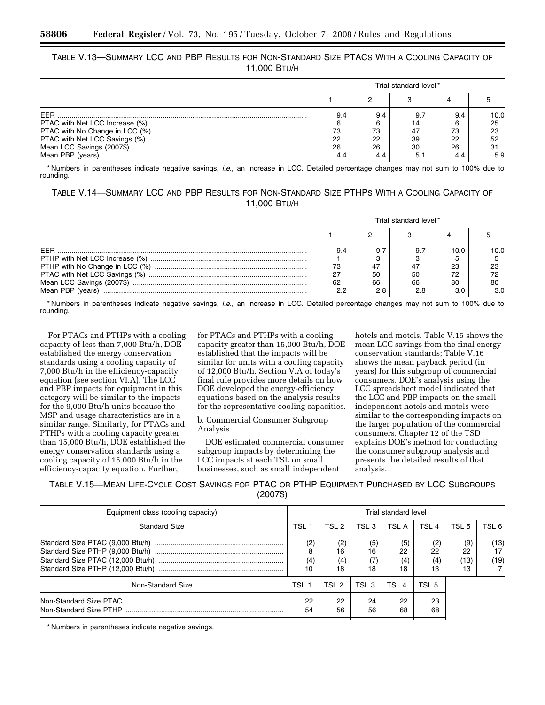TABLE V.13—SUMMARY LCC AND PBP RESULTS FOR NON-STANDARD SIZE PTACS WITH A COOLING CAPACITY OF 11,000 BTU/H

|                  |     |     | Trial standard level* |     |      |
|------------------|-----|-----|-----------------------|-----|------|
|                  |     |     |                       |     |      |
| FFR              | 9.4 | 9.4 |                       | 9.4 | 10.0 |
|                  |     |     |                       |     | 25   |
|                  | 73  | 73  | 47                    | 73  | 23   |
|                  | 22  | 22  | 39                    | 22  | 52   |
|                  | 26  | 26  | 30                    | 26  | 31   |
| Mean PBP (vears) | 4.4 | 4.4 |                       |     | 5.9  |

\* Numbers in parentheses indicate negative savings, *i.e.*, an increase in LCC. Detailed percentage changes may not sum to 100% due to rounding.

TABLE V.14—SUMMARY LCC AND PBP RESULTS FOR NON-STANDARD SIZE PTHPS WITH A COOLING CAPACITY OF 11,000 BTU/H

|                  |                        |                              | Trial standard level* |                        |                          |
|------------------|------------------------|------------------------------|-----------------------|------------------------|--------------------------|
|                  |                        |                              |                       |                        |                          |
| Mean PBP (vears) | 9.4<br>73<br>62<br>2.2 | 9.7<br>47<br>50<br>66<br>2.8 | 47<br>50<br>66        | 10.0<br>23<br>72<br>80 | 10.0.<br>23<br>80<br>3.0 |

\* Numbers in parentheses indicate negative savings, *i.e.*, an increase in LCC. Detailed percentage changes may not sum to 100% due to rounding.

For PTACs and PTHPs with a cooling capacity of less than 7,000 Btu/h, DOE established the energy conservation standards using a cooling capacity of 7,000 Btu/h in the efficiency-capacity equation (see section VI.A). The LCC and PBP impacts for equipment in this category will be similar to the impacts for the 9,000 Btu/h units because the MSP and usage characteristics are in a similar range. Similarly, for PTACs and PTHPs with a cooling capacity greater than 15,000 Btu/h, DOE established the energy conservation standards using a cooling capacity of 15,000 Btu/h in the efficiency-capacity equation. Further,

for PTACs and PTHPs with a cooling capacity greater than 15,000 Btu/h, DOE established that the impacts will be similar for units with a cooling capacity of 12,000 Btu/h. Section V.A of today's final rule provides more details on how DOE developed the energy-efficiency equations based on the analysis results for the representative cooling capacities.

b. Commercial Consumer Subgroup Analysis

DOE estimated commercial consumer subgroup impacts by determining the LCC impacts at each TSL on small businesses, such as small independent

hotels and motels. Table V.15 shows the mean LCC savings from the final energy conservation standards; Table V.16 shows the mean payback period (in years) for this subgroup of commercial consumers. DOE's analysis using the LCC spreadsheet model indicated that the LCC and PBP impacts on the small independent hotels and motels were similar to the corresponding impacts on the larger population of the commercial consumers. Chapter 12 of the TSD explains DOE's method for conducting the consumer subgroup analysis and presents the detailed results of that analysis.

TABLE V.15—MEAN LIFE-CYCLE COST SAVINGS FOR PTAC OR PTHP EQUIPMENT PURCHASED BY LCC SUBGROUPS (2007\$)

| Equipment class (cooling capacity) | Trial standard level |                        |                  |                        |                        |                         |                    |  |  |
|------------------------------------|----------------------|------------------------|------------------|------------------------|------------------------|-------------------------|--------------------|--|--|
| <b>Standard Size</b>               | TSL 1                | TSL 2                  | TSL <sub>3</sub> | TSL A                  | TSL <sub>4</sub>       | TSL 5                   | TSL 6              |  |  |
|                                    | (2)<br>Я<br>(4)      | (2)<br>16<br>(4)<br>18 | (5)<br>16<br>18  | (5)<br>22<br>(4)<br>18 | (2)<br>22<br>(4)<br>13 | (9)<br>22<br>(13)<br>13 | (13)<br>17<br>(19) |  |  |
| Non-Standard Size                  | TSL 1                | TSL 2                  | TSL <sub>3</sub> | TSL <sub>4</sub>       | TSL <sub>5</sub>       |                         |                    |  |  |
|                                    | 22<br>54             | 22<br>56               | 24<br>56         | 22<br>68               | 23<br>68               |                         |                    |  |  |

\* Numbers in parentheses indicate negative savings.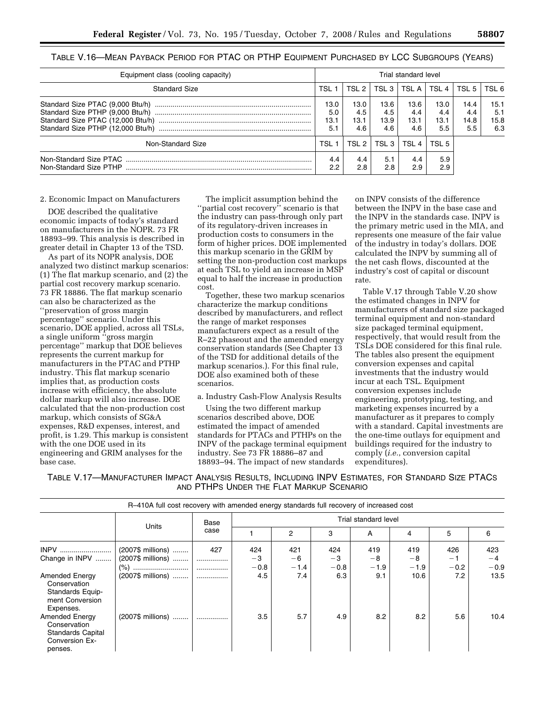| Equipment class (cooling capacity) | Trial standard level       |                            |                            |                            |                            |                            |                            |  |
|------------------------------------|----------------------------|----------------------------|----------------------------|----------------------------|----------------------------|----------------------------|----------------------------|--|
| <b>Standard Size</b>               | TSL                        | TSL 2                      | TSL 3 I                    | TSL A I                    | TSL 4                      | TSL 5                      | TSL 6                      |  |
|                                    | 13.0<br>5.0<br>13.1<br>5.1 | 13.0<br>4.5<br>13.1<br>4.6 | 13.6<br>4.5<br>13.9<br>4.6 | 13.6<br>4.4<br>13.1<br>4.6 | 13.0<br>4.4<br>13.1<br>5.5 | 14.4<br>4.4<br>14.8<br>5.5 | 15.1<br>5.1<br>15.8<br>6.3 |  |
| Non-Standard Size                  | TSL 1                      | TSL 2                      | TSL 3                      | TSL 4                      | TSL <sub>5</sub>           |                            |                            |  |
| Non-Standard Size PTHP             | 4.4<br>2.2                 | 4.4<br>2.8                 | 5.1<br>2.8                 | 4.4<br>2.9                 | 5.9<br>2.9                 |                            |                            |  |

# TABLE V.16—MEAN PAYBACK PERIOD FOR PTAC OR PTHP EQUIPMENT PURCHASED BY LCC SUBGROUPS (YEARS)

## 2. Economic Impact on Manufacturers

DOE described the qualitative economic impacts of today's standard on manufacturers in the NOPR. 73 FR 18893–99. This analysis is described in greater detail in Chapter 13 of the TSD.

As part of its NOPR analysis, DOE analyzed two distinct markup scenarios: (1) The flat markup scenario, and (2) the partial cost recovery markup scenario. 73 FR 18886. The flat markup scenario can also be characterized as the ''preservation of gross margin percentage'' scenario. Under this scenario, DOE applied, across all TSLs, a single uniform ''gross margin percentage'' markup that DOE believes represents the current markup for manufacturers in the PTAC and PTHP industry. This flat markup scenario implies that, as production costs increase with efficiency, the absolute dollar markup will also increase. DOE calculated that the non-production cost markup, which consists of SG&A expenses, R&D expenses, interest, and profit, is 1.29. This markup is consistent with the one DOE used in its engineering and GRIM analyses for the base case.

The implicit assumption behind the "partial cost recovery" scenario is that the industry can pass-through only part of its regulatory-driven increases in production costs to consumers in the form of higher prices. DOE implemented this markup scenario in the GRIM by setting the non-production cost markups at each TSL to yield an increase in MSP equal to half the increase in production cost.

Together, these two markup scenarios characterize the markup conditions described by manufacturers, and reflect the range of market responses manufacturers expect as a result of the R–22 phaseout and the amended energy conservation standards (See Chapter 13 of the TSD for additional details of the markup scenarios.). For this final rule, DOE also examined both of these scenarios.

a. Industry Cash-Flow Analysis Results

Using the two different markup scenarios described above, DOE estimated the impact of amended standards for PTACs and PTHPs on the INPV of the package terminal equipment industry. See 73 FR 18886–87 and 18893–94. The impact of new standards

on INPV consists of the difference between the INPV in the base case and the INPV in the standards case. INPV is the primary metric used in the MIA, and represents one measure of the fair value of the industry in today's dollars. DOE calculated the INPV by summing all of the net cash flows, discounted at the industry's cost of capital or discount rate.

Table V.17 through Table V.20 show the estimated changes in INPV for manufacturers of standard size packaged terminal equipment and non-standard size packaged terminal equipment, respectively, that would result from the TSLs DOE considered for this final rule. The tables also present the equipment conversion expenses and capital investments that the industry would incur at each TSL. Equipment conversion expenses include engineering, prototyping, testing, and marketing expenses incurred by a manufacturer as it prepares to comply with a standard. Capital investments are the one-time outlays for equipment and buildings required for the industry to comply (*i.e.*, conversion capital expenditures).

TABLE V.17—MANUFACTURER IMPACT ANALYSIS RESULTS, INCLUDING INPV ESTIMATES, FOR STANDARD SIZE PTACS AND PTHPS UNDER THE FLAT MARKUP SCENARIO

|                                                                                                | R-410A full cost recovery with amended energy standards full recovery of increased cost |      |        |        |        |                      |        |        |        |
|------------------------------------------------------------------------------------------------|-----------------------------------------------------------------------------------------|------|--------|--------|--------|----------------------|--------|--------|--------|
|                                                                                                |                                                                                         | Base |        |        |        | Trial standard level |        |        |        |
|                                                                                                | Units                                                                                   | case |        | 2      | 3      | A                    | 4      | 5      | 6      |
| INPV                                                                                           | (2007\$ millions)                                                                       | 427  | 424    | 421    | 424    | 419                  | 419    | 426    | 423    |
| Change in INPV                                                                                 | (2007\$ millions)                                                                       |      | -3     | -6     | $-3$   | $-8$                 | $-8$   | $-1$   | $-4$   |
|                                                                                                |                                                                                         | .    | $-0.8$ | $-1.4$ | $-0.8$ | $-1.9$               | $-1.9$ | $-0.2$ | $-0.9$ |
| <b>Amended Energy</b><br>Conservation<br>Standards Equip-<br>ment Conversion<br>Expenses.      | (2007\$ millions)                                                                       | .    | 4.5    | 7.4    | 6.3    | 9.1                  | 10.6   | 7.2    | 13.5   |
| <b>Amended Energy</b><br>Conservation<br><b>Standards Capital</b><br>Conversion Ex-<br>penses. | (2007\$ millions)                                                                       | .    | 3.5    | 5.7    | 4.9    | 8.2                  | 8.2    | 5.6    | 10.4   |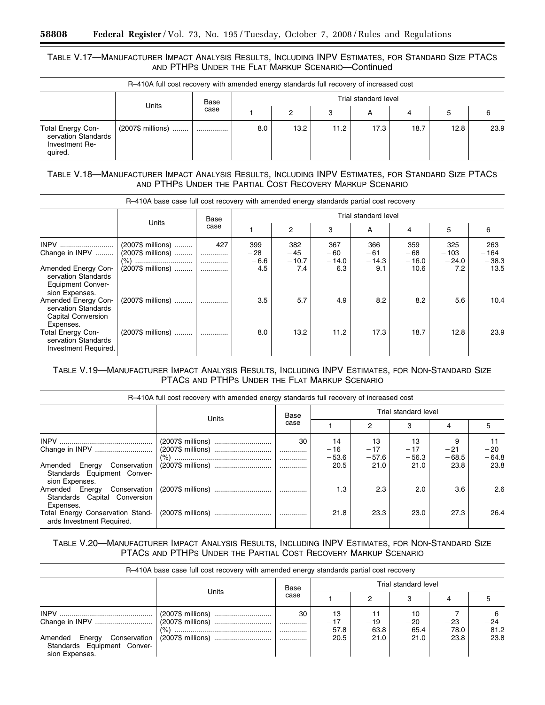# TABLE V.17—MANUFACTURER IMPACT ANALYSIS RESULTS, INCLUDING INPV ESTIMATES, FOR STANDARD SIZE PTACS AND PTHPS UNDER THE FLAT MARKUP SCENARIO—Continued

|                                                                              | R-410A full cost recovery with amended energy standards full recovery of increased cost |      |     |      |      |                      |      |      |      |
|------------------------------------------------------------------------------|-----------------------------------------------------------------------------------------|------|-----|------|------|----------------------|------|------|------|
| Units                                                                        |                                                                                         | Base |     |      |      | Trial standard level |      |      |      |
|                                                                              |                                                                                         | case |     | 2    | 3    | A                    | 4    | 5    |      |
| <b>Total Energy Con-</b><br>servation Standards<br>Investment Re-<br>quired. | (2007\$ millions)                                                                       |      | 8.0 | 13.2 | 11.2 | 17.3                 | 18.7 | 12.8 | 23.9 |

TABLE V.18—MANUFACTURER IMPACT ANALYSIS RESULTS, INCLUDING INPV ESTIMATES, FOR STANDARD SIZE PTACS AND PTHPS UNDER THE PARTIAL COST RECOVERY MARKUP SCENARIO

|                                                                                                                       | R-410A base case full cost recovery with amended energy standards partial cost recovery |                    |                               |                                |                                |                                |                                 |                                 |                                  |
|-----------------------------------------------------------------------------------------------------------------------|-----------------------------------------------------------------------------------------|--------------------|-------------------------------|--------------------------------|--------------------------------|--------------------------------|---------------------------------|---------------------------------|----------------------------------|
|                                                                                                                       |                                                                                         | Base               |                               |                                |                                | Trial standard level           |                                 |                                 |                                  |
|                                                                                                                       | Units                                                                                   | case               |                               | 2                              | 3                              | A                              | 4                               | 5                               | 6                                |
| <b>INPV</b><br>Change in INPV<br>Amended Energy Con-<br>servation Standards                                           | (2007\$ millions)<br>(2007\$ millions)<br>(2007\$ millions)                             | 427<br>.<br>.<br>. | 399<br>$-28$<br>$-6.6$<br>4.5 | 382<br>$-45$<br>$-10.7$<br>7.4 | 367<br>$-60$<br>$-14.0$<br>6.3 | 366<br>$-61$<br>$-14.3$<br>9.1 | 359<br>$-68$<br>$-16.0$<br>10.6 | 325<br>$-103$<br>$-24.0$<br>7.2 | 263<br>$-164$<br>$-38.3$<br>13.5 |
| <b>Equipment Conver-</b><br>sion Expenses.<br>Amended Energy Con-<br>servation Standards<br><b>Capital Conversion</b> | (2007\$ millions)                                                                       | .                  | 3.5                           | 5.7                            | 4.9                            | 8.2                            | 8.2                             | 5.6                             | 10.4                             |
| Expenses.<br><b>Total Energy Con-</b><br>servation Standards<br>Investment Required.                                  | (2007\$ millions)                                                                       | .                  | 8.0                           | 13.2                           | 11.2                           | 17.3                           | 18.7                            | 12.8                            | 23.9                             |

# TABLE V.19—MANUFACTURER IMPACT ANALYSIS RESULTS, INCLUDING INPV ESTIMATES, FOR NON-STANDARD SIZE PTACS AND PTHPS UNDER THE FLAT MARKUP SCENARIO

|                                                                               | R-410A full cost recovery with amended energy standards full recovery of increased cost |                   |                                |                                |                                |                          |                          |
|-------------------------------------------------------------------------------|-----------------------------------------------------------------------------------------|-------------------|--------------------------------|--------------------------------|--------------------------------|--------------------------|--------------------------|
|                                                                               |                                                                                         | Base              |                                |                                | Trial standard level           |                          |                          |
|                                                                               | Units                                                                                   | case              |                                | 2                              | 3                              | 4                        | 5                        |
| Amended Energy Conservation<br>Standards Equipment Conver-<br>sion Expenses.  | (2007\$ millions)<br>(2007\$ millions)                                                  | 30<br>.<br>.<br>. | 14<br>$-16$<br>$-53.6$<br>20.5 | 13<br>$-17$<br>$-57.6$<br>21.0 | 13<br>$-17$<br>$-56.3$<br>21.0 | $-21$<br>$-68.5$<br>23.8 | $-20$<br>$-64.8$<br>23.8 |
| Amended Energy<br>Conservation  <br>Standards Capital Conversion<br>Expenses. |                                                                                         |                   | 1.3                            | 2.3                            | 2.0                            | 3.6                      | 2.6                      |
| Total Energy Conservation Stand-<br>ards Investment Required.                 |                                                                                         |                   | 21.8                           | 23.3                           | 23.0                           | 27.3                     | 26.4                     |

# TABLE V.20—MANUFACTURER IMPACT ANALYSIS RESULTS, INCLUDING INPV ESTIMATES, FOR NON-STANDARD SIZE PTACS AND PTHPS UNDER THE PARTIAL COST RECOVERY MARKUP SCENARIO

|                                                                                 | R-410A base case full cost recovery with amended energy standards partial cost recovery |            |                        |                        |                        |                  |                  |
|---------------------------------------------------------------------------------|-----------------------------------------------------------------------------------------|------------|------------------------|------------------------|------------------------|------------------|------------------|
|                                                                                 |                                                                                         | Base       |                        |                        | Trial standard level   |                  |                  |
|                                                                                 | Units                                                                                   | case       |                        |                        |                        |                  |                  |
|                                                                                 | (2007\$ millions)<br>(% )                                                               | 30<br><br> | 13<br>$-17$<br>$-57.8$ | 11<br>$-19$<br>$-63.8$ | 10<br>$-20$<br>$-65.4$ | $-23$<br>$-78.0$ | $-24$<br>$-81.2$ |
| Conservation<br>Amended Energy<br>Standards Equipment Conver-<br>sion Expenses. |                                                                                         | .          | 20.5                   | 21.0                   | 21.0                   | 23.8             | 23.8             |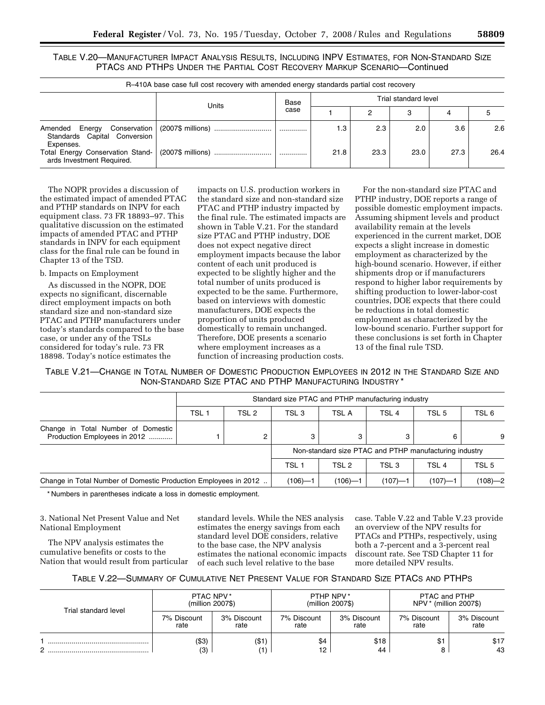TABLE V.20—MANUFACTURER IMPACT ANALYSIS RESULTS, INCLUDING INPV ESTIMATES, FOR NON-STANDARD SIZE PTACS AND PTHPS UNDER THE PARTIAL COST RECOVERY MARKUP SCENARIO—Continued

|                                                                                   | R-410A base case full cost recovery with amended energy standards partial cost recovery |      |      |      |                      |      |      |
|-----------------------------------------------------------------------------------|-----------------------------------------------------------------------------------------|------|------|------|----------------------|------|------|
|                                                                                   |                                                                                         | Base |      |      | Trial standard level |      |      |
|                                                                                   | Units                                                                                   | case |      | ົ    | з                    | 4    |      |
| Conservation  <br>Amended Energy<br>Standards Capital Conversion                  | (2007\$ millions)                                                                       |      | 1.3  | 2.3  | 2.0                  | 3.6  | 2.6  |
| Expenses.<br><b>Total Energy Conservation Stand-</b><br>ards Investment Required. |                                                                                         |      | 21.8 | 23.3 | 23.0                 | 27.3 | 26.4 |

The NOPR provides a discussion of the estimated impact of amended PTAC and PTHP standards on INPV for each equipment class. 73 FR 18893–97. This qualitative discussion on the estimated impacts of amended PTAC and PTHP standards in INPV for each equipment class for the final rule can be found in

# b. Impacts on Employment

Chapter 13 of the TSD.

As discussed in the NOPR, DOE expects no significant, discernable direct employment impacts on both standard size and non-standard size PTAC and PTHP manufacturers under today's standards compared to the base case, or under any of the TSLs considered for today's rule. 73 FR 18898. Today's notice estimates the

impacts on U.S. production workers in the standard size and non-standard size PTAC and PTHP industry impacted by the final rule. The estimated impacts are shown in Table V.21. For the standard size PTAC and PTHP industry, DOE does not expect negative direct employment impacts because the labor content of each unit produced is expected to be slightly higher and the total number of units produced is expected to be the same. Furthermore, based on interviews with domestic manufacturers, DOE expects the proportion of units produced domestically to remain unchanged. Therefore, DOE presents a scenario where employment increases as a function of increasing production costs.

For the non-standard size PTAC and PTHP industry, DOE reports a range of possible domestic employment impacts. Assuming shipment levels and product availability remain at the levels experienced in the current market, DOE expects a slight increase in domestic employment as characterized by the high-bound scenario. However, if either shipments drop or if manufacturers respond to higher labor requirements by shifting production to lower-labor-cost countries, DOE expects that there could be reductions in total domestic employment as characterized by the low-bound scenario. Further support for these conclusions is set forth in Chapter 13 of the final rule TSD.

TABLE V.21—CHANGE IN TOTAL NUMBER OF DOMESTIC PRODUCTION EMPLOYEES IN 2012 IN THE STANDARD SIZE AND NON-STANDARD SIZE PTAC AND PTHP MANUFACTURING INDUSTRY \*

|                                                                    |                  | Standard size PTAC and PTHP manufacturing industry |                  |             |       |                                                        |       |  |  |  |  |
|--------------------------------------------------------------------|------------------|----------------------------------------------------|------------------|-------------|-------|--------------------------------------------------------|-------|--|--|--|--|
|                                                                    | TSL <sub>1</sub> | TSL 2                                              | TSL 3            | TSL A       | TSL 4 | TSL 5                                                  | TSL 6 |  |  |  |  |
| Change in Total Number of Domestic<br>Production Employees in 2012 |                  | 2                                                  |                  | 3           |       | 6                                                      | 9     |  |  |  |  |
|                                                                    |                  |                                                    |                  |             |       | Non-standard size PTAC and PTHP manufacturing industry |       |  |  |  |  |
|                                                                    |                  |                                                    | TSL <sub>1</sub> | TSL 2       | TSL 3 | TSL 4                                                  | TSL 5 |  |  |  |  |
| Change in Total Number of Domestic Production Employees in 2012    | $(106) - 1$      | $(107) - 1$                                        | $(107) - 1$      | $(108) - 2$ |       |                                                        |       |  |  |  |  |

\* Numbers in parentheses indicate a loss in domestic employment.

3. National Net Present Value and Net National Employment

The NPV analysis estimates the cumulative benefits or costs to the Nation that would result from particular

standard levels. While the NES analysis estimates the energy savings from each standard level DOE considers, relative to the base case, the NPV analysis estimates the national economic impacts of each such level relative to the base

case. Table V.22 and Table V.23 provide an overview of the NPV results for PTACs and PTHPs, respectively, using both a 7-percent and a 3-percent real discount rate. See TSD Chapter 11 for more detailed NPV results.

|  |  | TABLE V.22—SUMMARY OF CUMULATIVE NET PRESENT VALUE FOR STANDARD SIZE PTACS AND PTHPS |  |  |  |  |  |  |
|--|--|--------------------------------------------------------------------------------------|--|--|--|--|--|--|
|--|--|--------------------------------------------------------------------------------------|--|--|--|--|--|--|

| Trial standard level | PTAC NPV*<br>(million 2007\$) |                     | PTHP NPV*<br>(million 2007\$) |                     | PTAC and PTHP<br>NPV * (million 2007\$) |                     |
|----------------------|-------------------------------|---------------------|-------------------------------|---------------------|-----------------------------------------|---------------------|
|                      | 7% Discount<br>rate           | 3% Discount<br>rate | 7% Discount<br>rate           | 3% Discount<br>rate | 7% Discount<br>rate                     | 3% Discount<br>rate |
| C                    | (\$3)<br>(3)                  | $($ \$1)<br>'1)     | \$4<br>12                     | \$18<br>44          | \$1                                     | \$17<br>43          |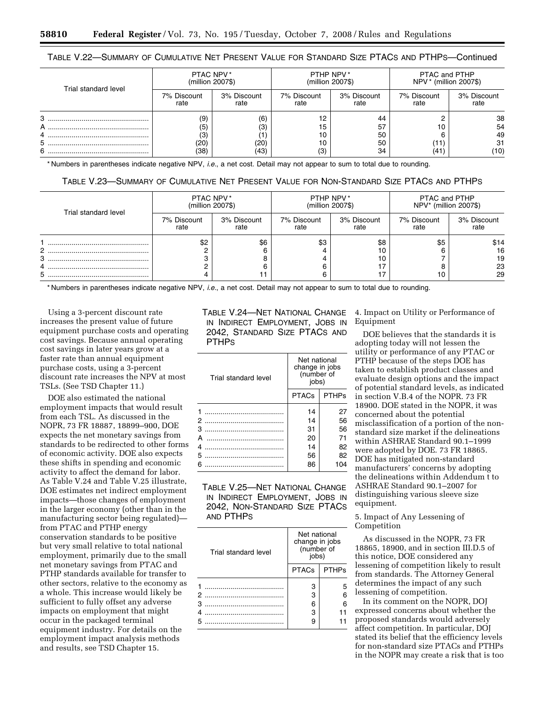| Trial standard level | PTAC NPV*<br>(million 2007\$) |                     | PTHP NPV*<br>(million 2007\$) |                     | PTAC and PTHP<br>NPV * (million 2007\$) |                     |
|----------------------|-------------------------------|---------------------|-------------------------------|---------------------|-----------------------------------------|---------------------|
|                      | 7% Discount<br>rate           | 3% Discount<br>rate | 7% Discount<br>rate           | 3% Discount<br>rate | 7% Discount<br>rate                     | 3% Discount<br>rate |
| 3                    | (9)                           | (6)                 | 12                            | 44                  |                                         | 38                  |
| А                    | (5)                           | (3)                 | 15                            | 57                  | 10                                      | 54                  |
|                      | (3)                           |                     | 10                            | 50                  |                                         | 49                  |
| 5                    | (20)                          | (20)                | 10                            | 50                  | (11)                                    | 31                  |
| 6                    | (38)                          | (43)                | (3)                           | 34                  | (41)                                    | (10)                |

# TABLE V.22—SUMMARY OF CUMULATIVE NET PRESENT VALUE FOR STANDARD SIZE PTACS AND PTHPS—Continued

\* Numbers in parentheses indicate negative NPV, *i.e.*, a net cost. Detail may not appear to sum to total due to rounding.

| Table V.23—Summary of Cumulative Net Present Value for Non-Standard Size PTACs and PTHPs |  |
|------------------------------------------------------------------------------------------|--|
|------------------------------------------------------------------------------------------|--|

| Trial standard level | PTAC NPV*<br>(million 2007\$) |                     | PTHP NPV*<br>(million 2007\$) |                     | PTAC and PTHP<br>NPV* (million 2007\$) |                     |
|----------------------|-------------------------------|---------------------|-------------------------------|---------------------|----------------------------------------|---------------------|
|                      | 7% Discount<br>rate           | 3% Discount<br>rate | 7% Discount<br>rate           | 3% Discount<br>rate | 7% Discount<br>rate                    | 3% Discount<br>rate |
|                      | \$2                           | \$6                 | \$3                           | \$8                 | \$5                                    | \$14                |
|                      |                               |                     |                               | 10                  |                                        | 16                  |
|                      |                               |                     |                               | 10                  |                                        | 19                  |
|                      |                               |                     |                               |                     |                                        | 23                  |
| ວ                    |                               |                     |                               |                     | 10                                     | 29                  |

\* Numbers in parentheses indicate negative NPV, *i.e.*, a net cost. Detail may not appear to sum to total due to rounding.

Using a 3-percent discount rate increases the present value of future equipment purchase costs and operating cost savings. Because annual operating cost savings in later years grow at a faster rate than annual equipment purchase costs, using a 3-percent discount rate increases the NPV at most TSLs. (See TSD Chapter 11.)

DOE also estimated the national employment impacts that would result from each TSL. As discussed in the NOPR, 73 FR 18887, 18899–900, DOE expects the net monetary savings from standards to be redirected to other forms of economic activity. DOE also expects these shifts in spending and economic activity to affect the demand for labor. As Table V.24 and Table V.25 illustrate, DOE estimates net indirect employment impacts—those changes of employment in the larger economy (other than in the manufacturing sector being regulated) from PTAC and PTHP energy conservation standards to be positive but very small relative to total national employment, primarily due to the small net monetary savings from PTAC and PTHP standards available for transfer to other sectors, relative to the economy as a whole. This increase would likely be sufficient to fully offset any adverse impacts on employment that might occur in the packaged terminal equipment industry. For details on the employment impact analysis methods and results, see TSD Chapter 15.

TABLE V.24—NET NATIONAL CHANGE IN INDIRECT EMPLOYMENT, JOBS IN 2042, STANDARD SIZE PTACS AND PTHPS

| Trial standard level | Net national<br>change in jobs<br>(number of<br>jobs) |              |  |
|----------------------|-------------------------------------------------------|--------------|--|
|                      | <b>PTACs</b>                                          | <b>PTHPs</b> |  |
|                      | 14                                                    | 27           |  |
| 2                    | 14                                                    | 56           |  |
| з                    | 31                                                    | 56           |  |
| А                    | 20                                                    | 71           |  |
| 4                    | 14                                                    | 82           |  |
| 5                    | 56                                                    | 82           |  |
|                      | 86                                                    | 104          |  |

TABLE V.25—NET NATIONAL CHANGE IN INDIRECT EMPLOYMENT, JOBS IN 2042, NON-STANDARD SIZE PTACS AND PTHPS

| Trial standard level | Net national<br>change in jobs<br>(number of<br>jobs) |              |  |
|----------------------|-------------------------------------------------------|--------------|--|
|                      | <b>PTACs</b>                                          | <b>PTHPs</b> |  |
|                      | з                                                     | 5            |  |
| 2                    | З                                                     | ิค           |  |
| з                    | 6                                                     | ิค           |  |
|                      | З                                                     |              |  |
|                      | 9                                                     |              |  |

4. Impact on Utility or Performance of Equipment

DOE believes that the standards it is adopting today will not lessen the utility or performance of any PTAC or PTHP because of the steps DOE has taken to establish product classes and evaluate design options and the impact of potential standard levels, as indicated in section V.B.4 of the NOPR. 73 FR 18900. DOE stated in the NOPR, it was concerned about the potential misclassification of a portion of the nonstandard size market if the delineations within ASHRAE Standard 90.1–1999 were adopted by DOE. 73 FR 18865. DOE has mitigated non-standard manufacturers' concerns by adopting the delineations within Addendum t to ASHRAE Standard 90.1–2007 for distinguishing various sleeve size equipment.

## 5. Impact of Any Lessening of Competition

As discussed in the NOPR, 73 FR 18865, 18900, and in section III.D.5 of this notice, DOE considered any lessening of competition likely to result from standards. The Attorney General determines the impact of any such lessening of competition.

In its comment on the NOPR, DOJ expressed concerns about whether the proposed standards would adversely affect competition. In particular, DOJ stated its belief that the efficiency levels for non-standard size PTACs and PTHPs in the NOPR may create a risk that is too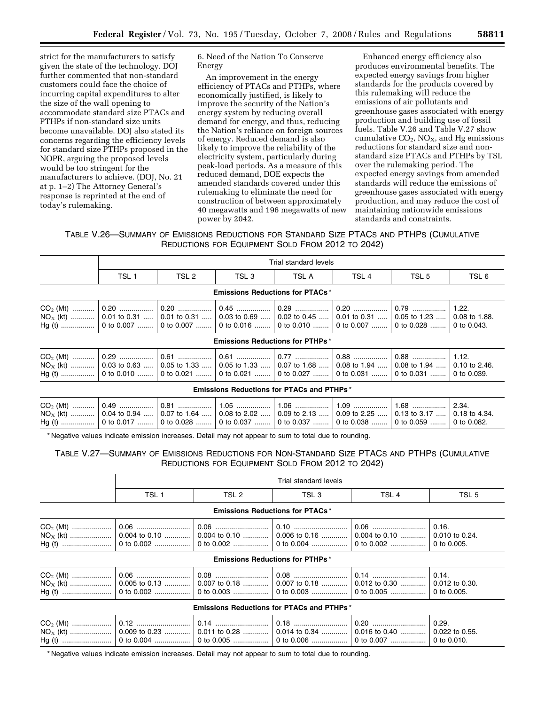strict for the manufacturers to satisfy given the state of the technology. DOJ further commented that non-standard customers could face the choice of incurring capital expenditures to alter the size of the wall opening to accommodate standard size PTACs and PTHPs if non-standard size units become unavailable. DOJ also stated its concerns regarding the efficiency levels for standard size PTHPs proposed in the NOPR, arguing the proposed levels would be too stringent for the manufacturers to achieve. (DOJ, No. 21 at p. 1–2) The Attorney General's response is reprinted at the end of today's rulemaking.

6. Need of the Nation To Conserve Energy

An improvement in the energy efficiency of PTACs and PTHPs, where economically justified, is likely to improve the security of the Nation's energy system by reducing overall demand for energy, and thus, reducing the Nation's reliance on foreign sources of energy. Reduced demand is also likely to improve the reliability of the electricity system, particularly during peak-load periods. As a measure of this reduced demand, DOE expects the amended standards covered under this rulemaking to eliminate the need for construction of between approximately 40 megawatts and 196 megawatts of new power by 2042.

Enhanced energy efficiency also produces environmental benefits. The expected energy savings from higher standards for the products covered by this rulemaking will reduce the emissions of air pollutants and greenhouse gases associated with energy production and building use of fossil fuels. Table V.26 and Table V.27 show cumulative  $CO<sub>2</sub>$ , NO<sub>X</sub>, and Hg emissions reductions for standard size and nonstandard size PTACs and PTHPs by TSL over the rulemaking period. The expected energy savings from amended standards will reduce the emissions of greenhouse gases associated with energy production, and may reduce the cost of maintaining nationwide emissions standards and constraints.

TABLE V.26—SUMMARY OF EMISSIONS REDUCTIONS FOR STANDARD SIZE PTACS AND PTHPS (CUMULATIVE REDUCTIONS FOR EQUIPMENT SOLD FROM 2012 TO 2042)

|                                        | Trial standard levels                                                                                                                                                                                                                                                      |       |       |       |                  |       |       |  |
|----------------------------------------|----------------------------------------------------------------------------------------------------------------------------------------------------------------------------------------------------------------------------------------------------------------------------|-------|-------|-------|------------------|-------|-------|--|
|                                        | TSL 1                                                                                                                                                                                                                                                                      | TSL 2 | TSL 3 | TSL A | TSL <sub>4</sub> | TSL 5 | TSL 6 |  |
| <b>Emissions Reductions for PTACs*</b> |                                                                                                                                                                                                                                                                            |       |       |       |                  |       |       |  |
|                                        | $NO_{X}$ (kt)  0.01 to 0.31  0.01 to 0.31  0.03 to 0.69  0.02 to 0.45  0.01 to 0.31  0.05 to 1.23  0.08 to 1.88.                                                                                                                                                           |       |       |       |                  |       |       |  |
| <b>Emissions Reductions for PTHPs*</b> |                                                                                                                                                                                                                                                                            |       |       |       |                  |       |       |  |
|                                        | $\begin{bmatrix} 0.29 & 0.01 & 0.01 & 0.061 & 0.061 & 0.061 & 0.07 & 0.07 & 0.088 & 0.08 & 0.08 & 0.01 & 0.08 & 0.01 & 0.08 & 0.01 & 0.08 & 0.01 & 0.01 & 0.01 & 0.01 & 0.01 & 0.01 & 0.01 & 0.01 & 0.01 & 0.01 & 0.01 & 0.01 & 0.01 & 0.01 & 0.01 & 0.01 & 0.01 & 0.01 &$ |       |       |       |                  |       |       |  |

| $\overline{UU_2}$ (MI) …………   0.29 ………………   0.01 ……………   0.01 ………………   0.17 ………………   0.88 …………………   0.88 ………………   1.12. |  |  |  |  |
|-------------------------------------------------------------------------------------------------------------------------|--|--|--|--|
| $N_{\rm OX}$ (kt)  0.03 to 0.63  0.05 to 1.33  0.05 to 1.33  0.07 to 1.68  0.08 to 1.94  0.08 to 1.94  0.10 to 2.46.    |  |  |  |  |
|                                                                                                                         |  |  |  |  |
|                                                                                                                         |  |  |  |  |

**Emissions Reductions for PTACs and PTHPs** \*

| $CO2$ (Mt) $\ldots$ $\ldots$   0.49 $\ldots$   0.81 $\ldots$   1.05 $\ldots$   1.06 $\ldots$   1.06 $\ldots$   1.09 $\ldots$   1.08 $\ldots$   1.68 $\ldots$   1.09 $\ldots$ |  |  |  |  |
|------------------------------------------------------------------------------------------------------------------------------------------------------------------------------|--|--|--|--|
| $NO_x$ (kt)  0.04 to 0.94  0.07 to 1.64  0.08 to 2.02  0.09 to 2.13  0.09 to 2.25  0.13 to 3.17  0.18 to 4.34.                                                               |  |  |  |  |
| Hq (t) ………………   0 to 0.017 ………   0 to 0.028 ………   0 to 0.037 ………   0 to 0.037 ………   0 to 0.038 ………   0 to 0.059 ………   0 to 0.082.                                            |  |  |  |  |

\* Negative values indicate emission increases. Detail may not appear to sum to total due to rounding.

# TABLE V.27—SUMMARY OF EMISSIONS REDUCTIONS FOR NON-STANDARD SIZE PTACS AND PTHPS (CUMULATIVE REDUCTIONS FOR EQUIPMENT SOLD FROM 2012 TO 2042)

| Trial standard levels                                                                                           |                                                   |       |       |       |  |  |  |
|-----------------------------------------------------------------------------------------------------------------|---------------------------------------------------|-------|-------|-------|--|--|--|
| TSL <sub>1</sub>                                                                                                | TSL 2                                             | TSL 3 | TSL 4 | TSL 5 |  |  |  |
|                                                                                                                 | <b>Emissions Reductions for PTACs*</b>            |       |       |       |  |  |  |
|                                                                                                                 |                                                   |       |       |       |  |  |  |
|                                                                                                                 | <b>Emissions Reductions for PTHPs*</b>            |       |       |       |  |  |  |
| Hg (t) …………………… │ 0 to 0.002 ……………… │ 0 to 0.003 ……………… │ 0 to 0.003 ………………… │ 0 to 0.005 ………………… │ 0 to 0.005. |                                                   |       |       |       |  |  |  |
|                                                                                                                 | <b>Emissions Reductions for PTACs and PTHPs *</b> |       |       |       |  |  |  |

|  | 0.14 |                                                                                                                                             | $^{\circ}$ 0.29. |
|--|------|---------------------------------------------------------------------------------------------------------------------------------------------|------------------|
|  |      | $\mathsf{NO}_\mathsf{X}$ (kt) ……………………   0.009 to 0.23 …………   0.011 to 0.28 …………   0.014 to 0.34 …………   0.016 to 0.40 …………   0.022 to 0.55. |                  |
|  |      | .Hq (t) ……………………   0 to 0.004 ………………   0 to 0.005 ………………   0 to 0.006 …………………   0 to 0.007 ………………….   0 to 0.010                            |                  |

\* Negative values indicate emission increases. Detail may not appear to sum to total due to rounding.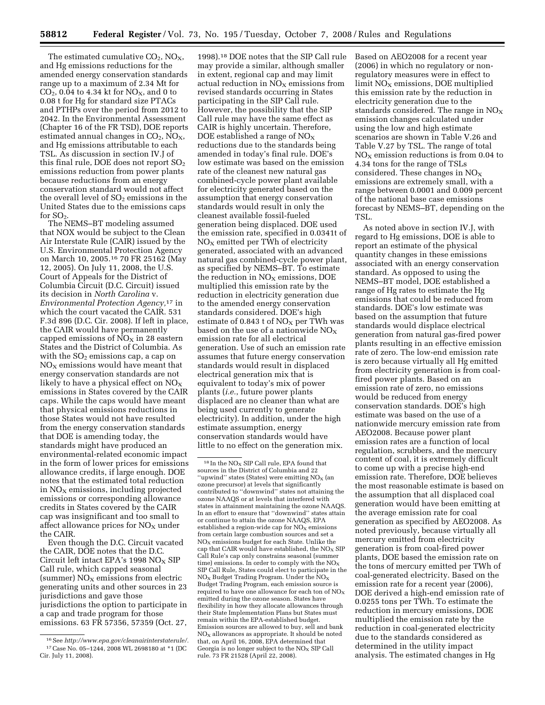The estimated cumulative  $CO<sub>2</sub>$ ,  $NO<sub>X</sub>$ , and Hg emissions reductions for the amended energy conservation standards range up to a maximum of 2.34 Mt for  $CO_2$ , 0.04 to 4.34 kt for NO<sub>X</sub>, and 0 to 0.08 t for Hg for standard size PTACs and PTHPs over the period from 2012 to 2042. In the Environmental Assessment (Chapter 16 of the FR TSD), DOE reports estimated annual changes in  $CO<sub>2</sub>$ ,  $NO<sub>X</sub>$ , and Hg emissions attributable to each TSL. As discussion in section IV.J of this final rule, DOE does not report  $SO<sub>2</sub>$ emissions reduction from power plants because reductions from an energy conservation standard would not affect the overall level of  $SO<sub>2</sub>$  emissions in the United States due to the emissions caps for  $SO<sub>2</sub>$ .

The NEMS–BT modeling assumed that NOX would be subject to the Clean Air Interstate Rule (CAIR) issued by the U.S. Environmental Protection Agency on March 10, 2005.16 70 FR 25162 (May 12, 2005). On July 11, 2008, the U.S. Court of Appeals for the District of Columbia Circuit (D.C. Circuit) issued its decision in *North Carolina* v. *Environmental Protection Agency,*17 in which the court vacated the CAIR. 531 F.3d 896 (D.C. Cir. 2008). If left in place, the CAIR would have permanently capped emissions of  $\overline{NO_X}$  in 28 eastern States and the District of Columbia. As with the  $SO<sub>2</sub>$  emissions cap, a cap on  $NO<sub>x</sub>$  emissions would have meant that energy conservation standards are not likely to have a physical effect on  $NO_X$ emissions in States covered by the CAIR caps. While the caps would have meant that physical emissions reductions in those States would not have resulted from the energy conservation standards that DOE is amending today, the standards might have produced an environmental-related economic impact in the form of lower prices for emissions allowance credits, if large enough. DOE notes that the estimated total reduction in  $NO<sub>x</sub>$  emissions, including projected emissions or corresponding allowance credits in States covered by the CAIR cap was insignificant and too small to affect allowance prices for  $NO<sub>x</sub>$  under the CAIR.

Even though the D.C. Circuit vacated the CAIR, DOE notes that the D.C. Circuit left intact EPA's 1998  $NO<sub>x</sub>$  SIP Call rule, which capped seasonal (summer)  $NO<sub>X</sub>$  emissions from electric generating units and other sources in 23 jurisdictions and gave those jurisdictions the option to participate in a cap and trade program for those emissions. 63 FR 57356, 57359 (Oct. 27,

1998).18 DOE notes that the SIP Call rule may provide a similar, although smaller in extent, regional cap and may limit actual reduction in  $NO<sub>x</sub>$  emissions from revised standards occurring in States participating in the SIP Call rule. However, the possibility that the SIP Call rule may have the same effect as CAIR is highly uncertain. Therefore, DOE established a range of  $NO<sub>x</sub>$ reductions due to the standards being amended in today's final rule. DOE's low estimate was based on the emission rate of the cleanest new natural gas combined-cycle power plant available for electricity generated based on the assumption that energy conservation standards would result in only the cleanest available fossil-fueled generation being displaced. DOE used the emission rate, specified in 0.0341t of  $NO<sub>X</sub>$  emitted per TWh of electricity generated, associated with an advanced natural gas combined-cycle power plant, as specified by NEMS–BT. To estimate the reduction in  $NO<sub>x</sub>$  emissions, DOE multiplied this emission rate by the reduction in electricity generation due to the amended energy conservation standards considered. DOE's high estimate of  $0.843$  t of  $NO<sub>X</sub>$  per TWh was based on the use of a nationwide  $\rm{NO_X}$ emission rate for all electrical generation. Use of such an emission rate assumes that future energy conservation standards would result in displaced electrical generation mix that is equivalent to today's mix of power plants (*i.e.*, future power plants displaced are no cleaner than what are being used currently to generate electricity). In addition, under the high estimate assumption, energy conservation standards would have little to no effect on the generation mix.

Based on AEO2008 for a recent year (2006) in which no regulatory or nonregulatory measures were in effect to  $limit NO<sub>X</sub> emissions, DOE multiplied$ this emission rate by the reduction in electricity generation due to the standards considered. The range in  $NO<sub>x</sub>$ emission changes calculated under using the low and high estimate scenarios are shown in Table V.26 and Table V.27 by TSL. The range of total  $NO<sub>x</sub>$  emission reductions is from 0.04 to 4.34 tons for the range of TSLs considered. These changes in  $NO<sub>x</sub>$ emissions are extremely small, with a range between 0.0001 and 0.009 percent of the national base case emissions forecast by NEMS–BT, depending on the TSL.

As noted above in section IV.J, with regard to Hg emissions, DOE is able to report an estimate of the physical quantity changes in these emissions associated with an energy conservation standard. As opposed to using the NEMS–BT model, DOE established a range of Hg rates to estimate the Hg emissions that could be reduced from standards. DOE's low estimate was based on the assumption that future standards would displace electrical generation from natural gas-fired power plants resulting in an effective emission rate of zero. The low-end emission rate is zero because virtually all Hg emitted from electricity generation is from coalfired power plants. Based on an emission rate of zero, no emissions would be reduced from energy conservation standards. DOE's high estimate was based on the use of a nationwide mercury emission rate from AEO2008. Because power plant emission rates are a function of local regulation, scrubbers, and the mercury content of coal, it is extremely difficult to come up with a precise high-end emission rate. Therefore, DOE believes the most reasonable estimate is based on the assumption that all displaced coal generation would have been emitting at the average emission rate for coal generation as specified by AEO2008. As noted previously, because virtually all mercury emitted from electricity generation is from coal-fired power plants, DOE based the emission rate on the tons of mercury emitted per TWh of coal-generated electricity. Based on the emission rate for a recent year (2006), DOE derived a high-end emission rate of 0.0255 tons per TWh. To estimate the reduction in mercury emissions, DOE multiplied the emission rate by the reduction in coal-generated electricity due to the standards considered as determined in the utility impact analysis. The estimated changes in Hg

<sup>16</sup>See *http://www.epa.gov/cleanairinterstaterule/.*  17Case No. 05–1244, 2008 WL 2698180 at \*1 (DC Cir. July 11, 2008).

 $18$  In the NO<sub>x</sub> SIP Call rule, EPA found that sources in the District of Columbia and 22 "upwind" states (States) were emitting  $NO<sub>x</sub>$  (an ozone precursor) at levels that significantly contributed to ''downwind'' states not attaining the ozone NAAQS or at levels that interfered with states in attainment maintaining the ozone NAAQS. In an effort to ensure that ''downwind'' states attain or continue to attain the ozone NAAQS, EPA established a region-wide cap for  $NO<sub>x</sub>$  emissions from certain large combustion sources and set a  $NO<sub>x</sub>$  emissions budget for each State. Unlike the cap that CAIR would have established, the  $NO_X$  SIP Call Rule's cap only constrains seasonal (summer time) emissions. In order to comply with the  $NO<sub>x</sub>$ SIP Call Rule, States could elect to participate in the  $NO<sub>x</sub>$  Budget Trading Program. Under the  $NO<sub>x</sub>$ Budget Trading Program, each emission source is required to have one allowance for each ton of  $NO<sub>x</sub>$ emitted during the ozone season. States have flexibility in how they allocate allowances through their State Implementation Plans but States must remain within the EPA-established budget. Emission sources are allowed to buy, sell and bank  $NO<sub>x</sub>$  allowances as appropriate. It should be noted that, on April 16, 2008, EPA determined that Georgia is no longer subject to the  $NO<sub>x</sub>$  SIP Call rule. 73 FR 21528 (April 22, 2008).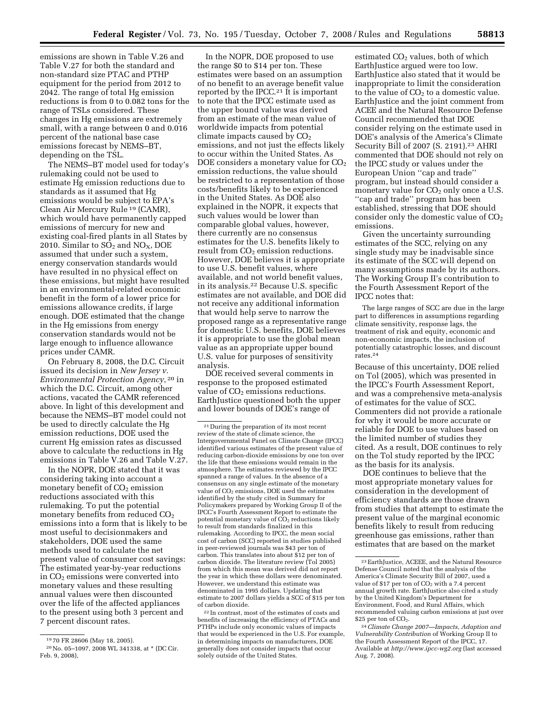emissions are shown in Table V.26 and Table V.27 for both the standard and non-standard size PTAC and PTHP equipment for the period from 2012 to 2042. The range of total Hg emission reductions is from 0 to 0.082 tons for the range of TSLs considered. These changes in Hg emissions are extremely small, with a range between 0 and 0.016 percent of the national base case emissions forecast by NEMS–BT, depending on the TSL.

The NEMS–BT model used for today's rulemaking could not be used to estimate Hg emission reductions due to standards as it assumed that Hg emissions would be subject to EPA's Clean Air Mercury Rule 19 (CAMR), which would have permanently capped emissions of mercury for new and existing coal-fired plants in all States by 2010. Similar to  $SO_2$  and  $NO_X$ , DOE assumed that under such a system, energy conservation standards would have resulted in no physical effect on these emissions, but might have resulted in an environmental-related economic benefit in the form of a lower price for emissions allowance credits, if large enough. DOE estimated that the change in the Hg emissions from energy conservation standards would not be large enough to influence allowance prices under CAMR.

On February 8, 2008, the D.C. Circuit issued its decision in *New Jersey v. Environmental Protection Agency*, 20 in which the D.C. Circuit, among other actions, vacated the CAMR referenced above. In light of this development and because the NEMS–BT model could not be used to directly calculate the Hg emission reductions, DOE used the current Hg emission rates as discussed above to calculate the reductions in Hg emissions in Table V.26 and Table V.27.

In the NOPR, DOE stated that it was considering taking into account a monetary benefit of  $CO<sub>2</sub>$  emission reductions associated with this rulemaking. To put the potential monetary benefits from reduced  $CO<sub>2</sub>$ emissions into a form that is likely to be most useful to decisionmakers and stakeholders, DOE used the same methods used to calculate the net present value of consumer cost savings: The estimated year-by-year reductions in  $CO<sub>2</sub>$  emissions were converted into monetary values and these resulting annual values were then discounted over the life of the affected appliances to the present using both 3 percent and 7 percent discount rates.

In the NOPR, DOE proposed to use the range \$0 to \$14 per ton. These estimates were based on an assumption of no benefit to an average benefit value reported by the IPCC.<sup>21</sup> It is important to note that the IPCC estimate used as the upper bound value was derived from an estimate of the mean value of worldwide impacts from potential climate impacts caused by  $CO<sub>2</sub>$ emissions, and not just the effects likely to occur within the United States. As DOE considers a monetary value for  $CO<sub>2</sub>$ emission reductions, the value should be restricted to a representation of those costs/benefits likely to be experienced in the United States. As DOE also explained in the NOPR, it expects that such values would be lower than comparable global values, however, there currently are no consensus estimates for the U.S. benefits likely to result from  $CO<sub>2</sub>$  emission reductions. However, DOE believes it is appropriate to use U.S. benefit values, where available, and not world benefit values, in its analysis.22 Because U.S. specific estimates are not available, and DOE did not receive any additional information that would help serve to narrow the proposed range as a representative range for domestic U.S. benefits, DOE believes it is appropriate to use the global mean value as an appropriate upper bound U.S. value for purposes of sensitivity analysis.

DOE received several comments in response to the proposed estimated value of  $CO<sub>2</sub>$  emissions reductions. EarthJustice questioned both the upper and lower bounds of DOE's range of

22 In contrast, most of the estimates of costs and benefits of increasing the efficiency of PTACs and PTHPs include only economic values of impacts that would be experienced in the U.S. For example, in determining impacts on manufacturers, DOE generally does not consider impacts that occur solely outside of the United States.

estimated CO<sub>2</sub> values, both of which EarthJustice argued were too low. EarthJustice also stated that it would be inappropriate to limit the consideration to the value of  $CO<sub>2</sub>$  to a domestic value. EarthJustice and the joint comment from ACEE and the Natural Resource Defense Council recommended that DOE consider relying on the estimate used in DOE's analysis of the America's Climate Security Bill of 2007 (S. 2191).23 AHRI commented that DOE should not rely on the IPCC study or values under the European Union ''cap and trade'' program, but instead should consider a monetary value for CO<sub>2</sub> only once a U.S. ''cap and trade'' program has been established, stressing that DOE should consider only the domestic value of  $CO<sub>2</sub>$ emissions.

Given the uncertainty surrounding estimates of the SCC, relying on any single study may be inadvisable since its estimate of the SCC will depend on many assumptions made by its authors. The Working Group II's contribution to the Fourth Assessment Report of the IPCC notes that:

The large ranges of SCC are due in the large part to differences in assumptions regarding climate sensitivity, response lags, the treatment of risk and equity, economic and non-economic impacts, the inclusion of potentially catastrophic losses, and discount rates.24

Because of this uncertainty, DOE relied on Tol (2005), which was presented in the IPCC's Fourth Assessment Report, and was a comprehensive meta-analysis of estimates for the value of SCC. Commenters did not provide a rationale for why it would be more accurate or reliable for DOE to use values based on the limited number of studies they cited. As a result, DOE continues to rely on the Tol study reported by the IPCC as the basis for its analysis.

DOE continues to believe that the most appropriate monetary values for consideration in the development of efficiency standards are those drawn from studies that attempt to estimate the present value of the marginal economic benefits likely to result from reducing greenhouse gas emissions, rather than estimates that are based on the market

<sup>19</sup> 70 FR 28606 (May 18, 2005).

<sup>20</sup>No. 05–1097, 2008 WL 341338, at \* (DC Cir. Feb. 9, 2008),

<sup>21</sup> During the preparation of its most recent review of the state of climate science, the Intergovernmental Panel on Climate Change (IPCC) identified various estimates of the present value of reducing carbon-dioxide emissions by one ton over the life that these emissions would remain in the atmosphere. The estimates reviewed by the IPCC spanned a range of values. In the absence of a consensus on any single estimate of the monetary value of CO<sub>2</sub> emissions, DOE used the estimates identified by the study cited in Summary for Policymakers prepared by Working Group II of the IPCC's Fourth Assessment Report to estimate the potential monetary value of  $CO<sub>2</sub>$  reductions likely to result from standards finalized in this rulemaking. According to IPCC, the mean social cost of carbon (SCC) reported in studies published in peer-reviewed journals was \$43 per ton of carbon. This translates into about \$12 per ton of carbon dioxide. The literature review (Tol 2005) from which this mean was derived did not report the year in which these dollars were denominated. However, we understand this estimate was denominated in 1995 dollars. Updating that estimate to 2007 dollars yields a SCC of \$15 per ton of carbon dioxide.

<sup>23</sup>EarthJustice, ACEEE, and the Natural Resource Defense Council noted that the analysis of the America's Climate Security Bill of 2007, used a value of \$17 per ton of  $\mathrm{CO}_2$  with a 7.4 percent annual growth rate. EarthJustice also cited a study by the United Kingdom's Department for Environment, Food, and Rural Affairs, which recommended valuing carbon emissions at just over \$25 per ton of CO<sub>2</sub>.

<sup>24</sup>*Climate Change 2007—Impacts, Adaption and Vulnerability Contribution* of Working Group II to the Fourth Assessment Report of the IPCC, 17. Available at *http://www.ipcc-wg2.org* (last accessed Aug. 7, 2008).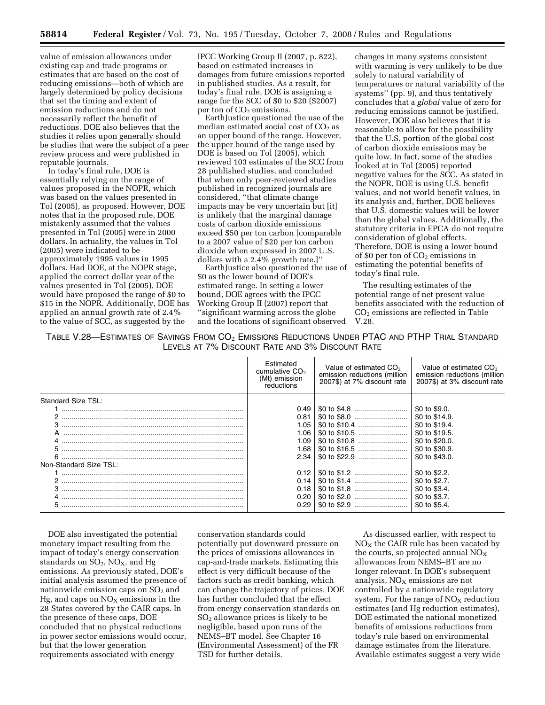value of emission allowances under existing cap and trade programs or estimates that are based on the cost of reducing emissions—both of which are largely determined by policy decisions that set the timing and extent of emission reductions and do not necessarily reflect the benefit of reductions. DOE also believes that the studies it relies upon generally should be studies that were the subject of a peer review process and were published in reputable journals.

In today's final rule, DOE is essentially relying on the range of values proposed in the NOPR, which was based on the values presented in Tol (2005), as proposed. However, DOE notes that in the proposed rule, DOE mistakenly assumed that the values presented in Tol (2005) were in 2000 dollars. In actuality, the values in Tol (2005) were indicated to be approximately 1995 values in 1995 dollars. Had DOE, at the NOPR stage, applied the correct dollar year of the values presented in Tol (2005), DOE would have proposed the range of \$0 to \$15 in the NOPR. Additionally, DOE has applied an annual growth rate of 2.4% to the value of SCC, as suggested by the

IPCC Working Group II (2007, p. 822), based on estimated increases in damages from future emissions reported in published studies. As a result, for today's final rule, DOE is assigning a range for the SCC of \$0 to \$20 (\$2007) per ton of CO<sub>2</sub> emissions.

EarthJustice questioned the use of the median estimated social cost of  $CO<sub>2</sub>$  as an upper bound of the range. However, the upper bound of the range used by DOE is based on Tol (2005), which reviewed 103 estimates of the SCC from 28 published studies, and concluded that when only peer-reviewed studies published in recognized journals are considered, ''that climate change impacts may be very uncertain but [it] is unlikely that the marginal damage costs of carbon dioxide emissions exceed \$50 per ton carbon [comparable to a 2007 value of \$20 per ton carbon dioxide when expressed in 2007 U.S. dollars with a 2.4% growth rate.]''

EarthJustice also questioned the use of \$0 as the lower bound of DOE's estimated range. In setting a lower bound, DOE agrees with the IPCC Working Group II (2007) report that ''significant warming across the globe and the locations of significant observed

changes in many systems consistent with warming is very unlikely to be due solely to natural variability of temperatures or natural variability of the systems'' (pp. 9), and thus tentatively concludes that a *global* value of zero for reducing emissions cannot be justified. However, DOE also believes that it is reasonable to allow for the possibility that the U.S. portion of the global cost of carbon dioxide emissions may be quite low. In fact, some of the studies looked at in Tol (2005) reported negative values for the SCC. As stated in the NOPR, DOE is using U.S. benefit values, and not world benefit values, in its analysis and, further, DOE believes that U.S. domestic values will be lower than the global values. Additionally, the statutory criteria in EPCA do not require consideration of global effects. Therefore, DOE is using a lower bound of \$0 per ton of  $CO<sub>2</sub>$  emissions in estimating the potential benefits of today's final rule.

The resulting estimates of the potential range of net present value benefits associated with the reduction of CO2 emissions are reflected in Table V.28.

| TABLE V.28—ESTIMATES OF SAVINGS FROM $\mathsf{CO}_{2}$ EMISSIONS REDUCTIONS UNDER PTAC AND PTHP TRIAL STANDARD |  |
|----------------------------------------------------------------------------------------------------------------|--|
| LEVELS AT 7% DISCOUNT RATE AND 3% DISCOUNT RATE                                                                |  |

|                        | Estimated<br>cumulative $CO2$<br>(Mt) emission<br>reductions | Value of estimated $CO2$<br>emission reductions (million<br>2007\$) at 7% discount rate | Value of estimated $CO2$<br>emission reductions (million<br>2007\$) at 3% discount rate |
|------------------------|--------------------------------------------------------------|-----------------------------------------------------------------------------------------|-----------------------------------------------------------------------------------------|
| Standard Size TSL:     |                                                              |                                                                                         |                                                                                         |
|                        | 0.49                                                         |                                                                                         | \$0 to \$9.0.                                                                           |
|                        | 0.81                                                         |                                                                                         | \$0 to \$14.9.                                                                          |
| з                      | 1.05                                                         |                                                                                         | \$0 to \$19.4.                                                                          |
|                        | 1.06                                                         |                                                                                         | \$0 to \$19.5.                                                                          |
|                        | 1.09                                                         |                                                                                         | \$0 to \$20.0.                                                                          |
|                        | 1.68                                                         |                                                                                         | \$0 to \$30.9.                                                                          |
|                        | 2.34                                                         |                                                                                         | \$0 to \$43.0.                                                                          |
| Non-Standard Size TSL: |                                                              |                                                                                         |                                                                                         |
|                        | 0.12                                                         |                                                                                         | \$0 to \$2.2.                                                                           |
|                        | 0.14                                                         |                                                                                         | \$0 to \$2.7.                                                                           |
|                        | 0.18                                                         |                                                                                         | \$0 to \$3.4.                                                                           |
|                        | 0.20                                                         |                                                                                         | \$0 to \$3.7.                                                                           |
| 5                      | 0.29                                                         |                                                                                         | \$0 to \$5.4.                                                                           |
|                        |                                                              |                                                                                         |                                                                                         |

DOE also investigated the potential monetary impact resulting from the impact of today's energy conservation standards on  $SO_2$ ,  $NO_X$ , and Hg emissions. As previously stated, DOE's initial analysis assumed the presence of nationwide emission caps on  $SO<sub>2</sub>$  and  $Hg$ , and caps on  $NO<sub>x</sub>$  emissions in the 28 States covered by the CAIR caps. In the presence of these caps, DOE concluded that no physical reductions in power sector emissions would occur, but that the lower generation requirements associated with energy

conservation standards could potentially put downward pressure on the prices of emissions allowances in cap-and-trade markets. Estimating this effect is very difficult because of the factors such as credit banking, which can change the trajectory of prices. DOE has further concluded that the effect from energy conservation standards on  $SO<sub>2</sub>$  allowance prices is likely to be negligible, based upon runs of the NEMS–BT model. See Chapter 16 (Environmental Assessment) of the FR TSD for further details.

As discussed earlier, with respect to  $NO<sub>x</sub>$  the CAIR rule has been vacated by the courts, so projected annual  $NO<sub>x</sub>$ allowances from NEMS–BT are no longer relevant. In DOE's subsequent analysis,  $NO<sub>X</sub>$  emissions are not controlled by a nationwide regulatory system. For the range of  $NO<sub>x</sub>$  reduction estimates (and Hg reduction estimates), DOE estimated the national monetized benefits of emissions reductions from today's rule based on environmental damage estimates from the literature. Available estimates suggest a very wide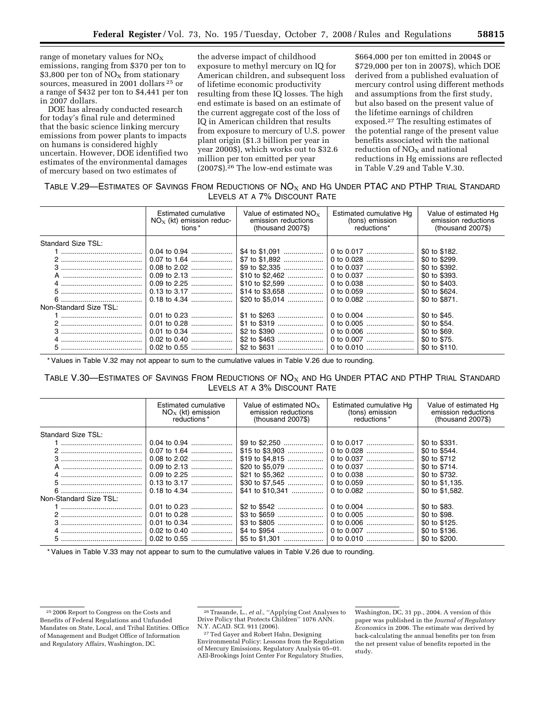range of monetary values for  $NO<sub>x</sub>$ emissions, ranging from \$370 per ton to \$3,800 per ton of  $NO<sub>x</sub>$  from stationary sources, measured in 2001 dollars 25 or a range of \$432 per ton to \$4,441 per ton in 2007 dollars.

DOE has already conducted research for today's final rule and determined that the basic science linking mercury emissions from power plants to impacts on humans is considered highly uncertain. However, DOE identified two estimates of the environmental damages of mercury based on two estimates of

the adverse impact of childhood exposure to methyl mercury on IQ for American children, and subsequent loss of lifetime economic productivity resulting from these IQ losses. The high end estimate is based on an estimate of the current aggregate cost of the loss of IQ in American children that results from exposure to mercury of U.S. power plant origin (\$1.3 billion per year in year 2000\$), which works out to \$32.6 million per ton emitted per year (2007\$).26 The low-end estimate was

\$664,000 per ton emitted in 2004\$ or \$729,000 per ton in 2007\$), which DOE derived from a published evaluation of mercury control using different methods and assumptions from the first study, but also based on the present value of the lifetime earnings of children exposed.27 The resulting estimates of the potential range of the present value benefits associated with the national reduction of  $NO<sub>x</sub>$  and national reductions in Hg emissions are reflected in Table V.29 and Table V.30.

TABLE V.29-ESTIMATES OF SAVINGS FROM REDUCTIONS OF  $NO_X$  and HG UNDER PTAC AND PTHP TRIAL STANDARD LEVELS AT A 7% DISCOUNT RATE

|                        | Estimated cumulative<br>$NOx$ (kt) emission reduc-<br>tions * | Value of estimated $NO_{x}$<br>emission reductions<br>$(housand 2007\$ | Estimated cumulative Hg<br>(tons) emission<br>reductions* | Value of estimated Hg<br>emission reductions<br>$(housand 2007\$ |
|------------------------|---------------------------------------------------------------|------------------------------------------------------------------------|-----------------------------------------------------------|------------------------------------------------------------------|
| Standard Size TSL:     |                                                               |                                                                        |                                                           |                                                                  |
|                        |                                                               |                                                                        |                                                           | \$0 to \$182.                                                    |
|                        |                                                               |                                                                        |                                                           | \$0 to \$299.                                                    |
|                        |                                                               |                                                                        |                                                           | \$0 to \$392.                                                    |
|                        |                                                               |                                                                        |                                                           | \$0 to \$393.                                                    |
|                        |                                                               |                                                                        |                                                           | \$0 to \$403.                                                    |
|                        |                                                               |                                                                        |                                                           | \$0 to \$624.                                                    |
|                        |                                                               |                                                                        |                                                           | \$0 to \$871.                                                    |
| Non-Standard Size TSL: |                                                               |                                                                        |                                                           |                                                                  |
|                        |                                                               |                                                                        |                                                           | \$0 to \$45.                                                     |
|                        |                                                               |                                                                        | 0 to 0.005                                                | \$0 to \$54.                                                     |
|                        |                                                               |                                                                        |                                                           | \$0 to \$69.                                                     |
|                        | 0.02 to 0.40                                                  |                                                                        |                                                           | \$0 to \$75.                                                     |
|                        |                                                               |                                                                        | 0 to 0.010                                                | \$0 to \$110.                                                    |

\* Values in Table V.32 may not appear to sum to the cumulative values in Table V.26 due to rounding.

# TABLE V.30—ESTIMATES OF SAVINGS FROM REDUCTIONS OF  $NO<sub>X</sub>$  and HG UNDER PTAC and PTHP TRIAL STANDARD LEVELS AT A 3% DISCOUNT RATE

|                        | Estimated cumulative<br>$NO_x$ (kt) emission<br>reductions* | Value of estimated $NO_x$<br>emission reductions<br>$(housand 2007\$ | Estimated cumulative Ha<br>(tons) emission<br>reductions* | Value of estimated Ha<br>emission reductions<br>$(housand 2007\$ |
|------------------------|-------------------------------------------------------------|----------------------------------------------------------------------|-----------------------------------------------------------|------------------------------------------------------------------|
| Standard Size TSL:     |                                                             |                                                                      |                                                           |                                                                  |
|                        |                                                             |                                                                      |                                                           | \$0 to \$331.                                                    |
|                        |                                                             | \$15 to \$3,903                                                      |                                                           | \$0 to \$544.                                                    |
|                        | 0.08 to 2.02                                                | \$19 to $$4,815$                                                     |                                                           | \$0 to \$712                                                     |
|                        |                                                             | \$20 to \$5,079                                                      |                                                           | \$0 to \$714.                                                    |
|                        |                                                             | \$21 to \$5.362                                                      |                                                           | \$0 to \$732.                                                    |
|                        |                                                             |                                                                      | 0 to 0.059                                                | \$0 to \$1.135.                                                  |
|                        |                                                             | \$41 to \$10.341                                                     |                                                           | \$0 to \$1,582.                                                  |
| Non-Standard Size TSL: |                                                             |                                                                      |                                                           |                                                                  |
|                        |                                                             |                                                                      |                                                           | \$0 to \$83.                                                     |
|                        |                                                             |                                                                      |                                                           | \$0 to \$98.                                                     |
|                        |                                                             |                                                                      |                                                           | \$0 to \$125.                                                    |
|                        |                                                             |                                                                      |                                                           | \$0 to \$136.                                                    |
|                        | $0.02$ to $0.55$                                            |                                                                      |                                                           | \$0 to \$200.                                                    |

\* Values in Table V.33 may not appear to sum to the cumulative values in Table V.26 due to rounding.

<sup>25</sup> 2006 Report to Congress on the Costs and Benefits of Federal Regulations and Unfunded Mandates on State, Local, and Tribal Entities. Office of Management and Budget Office of Information and Regulatory Affairs, Washington, DC.

<sup>26</sup>Trasande, L., *et al.*, ''Applying Cost Analyses to Drive Policy that Protects Children'' 1076 ANN. N.Y. ACAD. SCI. 911 (2006).

<sup>27</sup>Ted Gayer and Robert Hahn, Designing Environmental Policy: Lessons from the Regulation of Mercury Emissions, Regulatory Analysis 05–01. AEI-Brookings Joint Center For Regulatory Studies,

Washington, DC, 31 pp., 2004. A version of this paper was published in the *Journal of Regulatory Economics* in 2006. The estimate was derived by back-calculating the annual benefits per ton from the net present value of benefits reported in the study.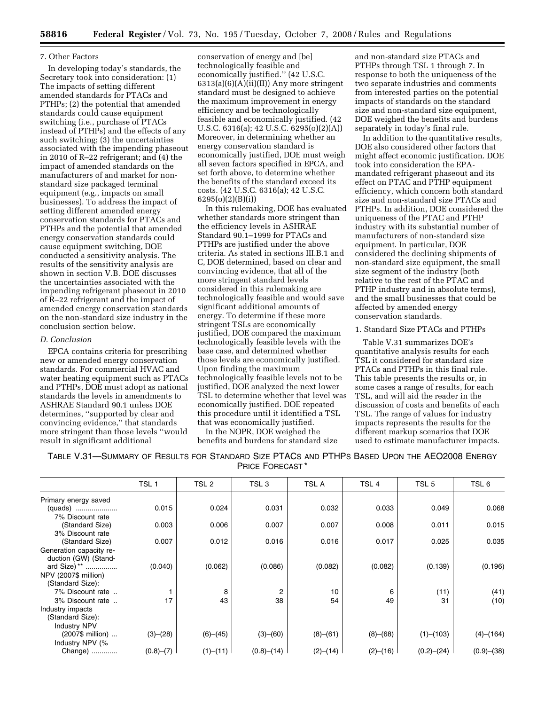### 7. Other Factors

In developing today's standards, the Secretary took into consideration: (1) The impacts of setting different amended standards for PTACs and PTHPs; (2) the potential that amended standards could cause equipment switching (i.e., purchase of PTACs instead of PTHPs) and the effects of any such switching; (3) the uncertainties associated with the impending phaseout in 2010 of R–22 refrigerant; and (4) the impact of amended standards on the manufacturers of and market for nonstandard size packaged terminal equipment (e.g., impacts on small businesses). To address the impact of setting different amended energy conservation standards for PTACs and PTHPs and the potential that amended energy conservation standards could cause equipment switching, DOE conducted a sensitivity analysis. The results of the sensitivity analysis are shown in section V.B. DOE discusses the uncertainties associated with the impending refrigerant phaseout in 2010 of R–22 refrigerant and the impact of amended energy conservation standards on the non-standard size industry in the conclusion section below.

#### *D. Conclusion*

EPCA contains criteria for prescribing new or amended energy conservation standards. For commercial HVAC and water heating equipment such as PTACs and PTHPs, DOE must adopt as national standards the levels in amendments to ASHRAE Standard 90.1 unless DOE determines, ''supported by clear and convincing evidence,'' that standards more stringent than those levels ''would result in significant additional

conservation of energy and [be] technologically feasible and economically justified.'' (42 U.S.C.  $6313(a)(6)(A)(ii)(II)$  Any more stringent standard must be designed to achieve the maximum improvement in energy efficiency and be technologically feasible and economically justified. (42 U.S.C. 6316(a); 42 U.S.C. 6295(o)(2)(A)) Moreover, in determining whether an energy conservation standard is economically justified, DOE must weigh all seven factors specified in EPCA, and set forth above, to determine whether the benefits of the standard exceed its costs. (42 U.S.C. 6316(a); 42 U.S.C. 6295(o)(2)(B)(i))

In this rulemaking, DOE has evaluated whether standards more stringent than the efficiency levels in ASHRAE Standard 90.1–1999 for PTACs and PTHPs are justified under the above criteria. As stated in sections III.B.1 and C, DOE determined, based on clear and convincing evidence, that all of the more stringent standard levels considered in this rulemaking are technologically feasible and would save significant additional amounts of energy. To determine if these more stringent TSLs are economically justified, DOE compared the maximum technologically feasible levels with the base case, and determined whether those levels are economically justified. Upon finding the maximum technologically feasible levels not to be justified, DOE analyzed the next lower TSL to determine whether that level was economically justified. DOE repeated this procedure until it identified a TSL that was economically justified.

In the NOPR, DOE weighed the benefits and burdens for standard size

and non-standard size PTACs and PTHPs through TSL 1 through 7. In response to both the uniqueness of the two separate industries and comments from interested parties on the potential impacts of standards on the standard size and non-standard size equipment, DOE weighed the benefits and burdens separately in today's final rule.

In addition to the quantitative results, DOE also considered other factors that might affect economic justification. DOE took into consideration the EPAmandated refrigerant phaseout and its effect on PTAC and PTHP equipment efficiency, which concern both standard size and non-standard size PTACs and PTHPs. In addition, DOE considered the uniqueness of the PTAC and PTHP industry with its substantial number of manufacturers of non-standard size equipment. In particular, DOE considered the declining shipments of non-standard size equipment, the small size segment of the industry (both relative to the rest of the PTAC and PTHP industry and in absolute terms), and the small businesses that could be affected by amended energy conservation standards.

# 1. Standard Size PTACs and PTHPs

Table V.31 summarizes DOE's quantitative analysis results for each TSL it considered for standard size PTACs and PTHPs in this final rule. This table presents the results or, in some cases a range of results, for each TSL, and will aid the reader in the discussion of costs and benefits of each TSL. The range of values for industry impacts represents the results for the different markup scenarios that DOE used to estimate manufacturer impacts.

TABLE V.31—SUMMARY OF RESULTS FOR STANDARD SIZE PTACS AND PTHPS BASED UPON THE AEO2008 ENERGY PRICE FORECAST \*

|                         | TSL <sub>1</sub> | TSL <sub>2</sub> | TSL <sub>3</sub> | TSL A    | TSL <sub>4</sub> | TSL <sub>5</sub> | TSL <sub>6</sub> |
|-------------------------|------------------|------------------|------------------|----------|------------------|------------------|------------------|
| Primary energy saved    |                  |                  |                  |          |                  |                  |                  |
|                         | 0.015            | 0.024            | 0.031            | 0.032    | 0.033            | 0.049            | 0.068            |
| 7% Discount rate        |                  |                  |                  |          |                  |                  |                  |
| (Standard Size)         | 0.003            | 0.006            | 0.007            | 0.007    | 0.008            | 0.011            | 0.015            |
| 3% Discount rate        |                  |                  |                  |          |                  |                  |                  |
| (Standard Size)         | 0.007            | 0.012            | 0.016            | 0.016    | 0.017            | 0.025            | 0.035            |
| Generation capacity re- |                  |                  |                  |          |                  |                  |                  |
| duction (GW) (Stand-    |                  |                  |                  |          |                  |                  |                  |
| ard Size) **            | (0.040)          | (0.062)          | (0.086)          | (0.082)  | (0.082)          | (0.139)          | (0.196)          |
| NPV (2007\$ million)    |                  |                  |                  |          |                  |                  |                  |
| (Standard Size):        |                  |                  |                  |          |                  |                  |                  |
| 7% Discount rate        |                  | 8                | 2                | 10       | 6                | (11)             | (41)             |
| 3% Discount rate        | 17               | 43               | 38               | 54       | 49               | 31               | (10)             |
| Industry impacts        |                  |                  |                  |          |                  |                  |                  |
| (Standard Size):        |                  |                  |                  |          |                  |                  |                  |
| <b>Industry NPV</b>     |                  |                  |                  |          |                  |                  |                  |
| (2007\$ million)        | (3)–(28)         | (6)–(45)         | (3)–(60)         | (8)–(61) | (8)–(68)         | (1)–(103)        | $(4)$ – $(164)$  |
| Industry NPV (%         |                  |                  |                  |          |                  |                  |                  |
| Change)                 | (0.8)–(7)        | (1)–(11)         | (0.8)–(14)       | (2)–(14) | (2)–(16)         | (0.2)–(24)       | (0.9)–(38)       |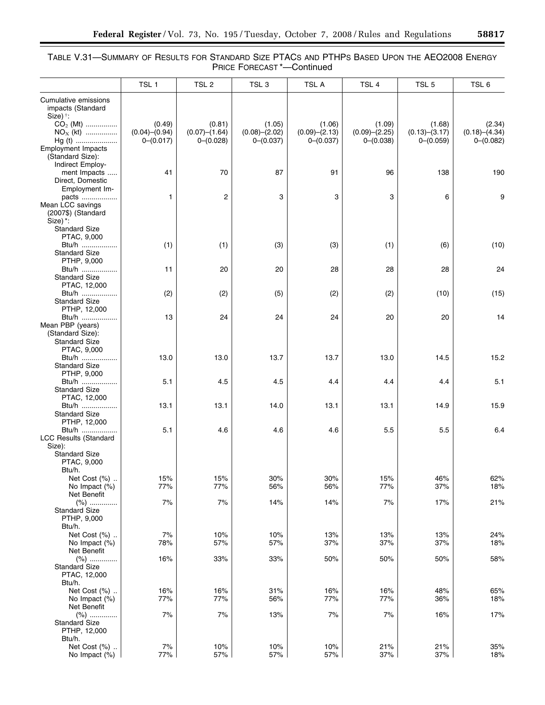# TABLE V.31—SUMMARY OF RESULTS FOR STANDARD SIZE PTACS AND PTHPS BASED UPON THE AEO2008 ENERGY PRICE FORECAST \*—Continued

|                                                                                   | TSL <sub>1</sub>                           | TSL <sub>2</sub>                       | TSL <sub>3</sub>                       | TSL A                                  | TSL 4                                  | TSL <sub>5</sub>                           | TSL 6                                  |
|-----------------------------------------------------------------------------------|--------------------------------------------|----------------------------------------|----------------------------------------|----------------------------------------|----------------------------------------|--------------------------------------------|----------------------------------------|
| Cumulative emissions<br>impacts (Standard<br>Size) †:                             |                                            |                                        |                                        |                                        |                                        |                                            |                                        |
| $CO2$ (Mt)<br>$NOx$ (kt)<br>$Hg(t)$                                               | (0.49)<br>$(0.04) - (0.94)$<br>$0-(0.017)$ | (0.81)<br>(0.07)–(1.64)<br>$0-(0.028)$ | (1.05)<br>(0.08)–(2.02)<br>$0-(0.037)$ | (1.06)<br>(0.09)–(2.13)<br>$0-(0.037)$ | (1.09)<br>(0.09)–(2.25)<br>$0-(0.038)$ | (1.68)<br>$(0.13) - (3.17)$<br>$0-(0.059)$ | (2.34)<br>(0.18)–(4.34)<br>$0-(0.082)$ |
| <b>Employment Impacts</b><br>(Standard Size):<br>Indirect Employ-<br>ment Impacts | 41                                         | 70                                     | 87                                     | 91                                     | 96                                     | 138                                        | 190                                    |
| Direct, Domestic<br>Employment Im-                                                |                                            |                                        |                                        |                                        |                                        |                                            |                                        |
| pacts<br>Mean LCC savings<br>(2007\$) (Standard<br>Size) *:                       | 1                                          | 2                                      | 3                                      | 3                                      | 3                                      | 6                                          | 9                                      |
| <b>Standard Size</b><br>PTAC, 9,000<br>Btu/h<br><b>Standard Size</b>              | (1)                                        | (1)                                    | (3)                                    | (3)                                    | (1)                                    | (6)                                        | (10)                                   |
| PTHP, 9,000<br>Btu/h<br><b>Standard Size</b>                                      | 11                                         | 20                                     | 20                                     | 28                                     | 28                                     | 28                                         | 24                                     |
| PTAC, 12,000<br>Btu/h<br><b>Standard Size</b>                                     | (2)                                        | (2)                                    | (5)                                    | (2)                                    | (2)                                    | (10)                                       | (15)                                   |
| PTHP, 12,000<br>Btu/h<br>Mean PBP (years)                                         | 13                                         | 24                                     | 24                                     | 24                                     | 20                                     | 20                                         | 14                                     |
| (Standard Size):<br><b>Standard Size</b><br>PTAC, 9,000                           |                                            |                                        |                                        |                                        |                                        |                                            |                                        |
| Btu/h<br><b>Standard Size</b><br>PTHP, 9,000                                      | 13.0                                       | 13.0                                   | 13.7                                   | 13.7                                   | 13.0                                   | 14.5                                       | 15.2                                   |
| Btu/h<br><b>Standard Size</b><br>PTAC, 12,000                                     | 5.1                                        | 4.5                                    | 4.5                                    | 4.4                                    | 4.4                                    | 4.4                                        | 5.1                                    |
| Btu/h<br><b>Standard Size</b><br>PTHP, 12,000                                     | 13.1                                       | 13.1                                   | 14.0                                   | 13.1                                   | 13.1                                   | 14.9                                       | 15.9                                   |
| Btu/h<br><b>LCC Results (Standard</b><br>Size):                                   | 5.1                                        | 4.6                                    | 4.6                                    | 4.6                                    | 5.5                                    | 5.5                                        | 6.4                                    |
| <b>Standard Size</b><br>PTAC, 9,000<br>Btu/h.                                     |                                            |                                        |                                        |                                        |                                        |                                            |                                        |
| Net Cost (%)<br>No Impact (%)<br>Net Benefit                                      | 15%<br>77%                                 | 15%<br>77%                             | 30%<br>56%                             | $30\%$<br>56%                          | 15%<br>77%                             | 46%<br>37%                                 | 62%<br>18%                             |
| $(%)$<br><b>Standard Size</b><br>PTHP, 9,000<br>Btu/h.                            | 7%                                         | 7%                                     | 14%                                    | 14%                                    | 7%                                     | 17%                                        | 21%                                    |
| Net Cost (%)<br>No Impact (%)<br>Net Benefit                                      | 7%<br>78%                                  | 10%<br>57%                             | 10%<br>57%                             | 13%<br>37%                             | 13%<br>37%                             | 13%<br>37%                                 | 24%<br>18%                             |
| $(%)$<br><b>Standard Size</b><br>PTAC, 12,000<br>Btu/h.                           | 16%                                        | 33%                                    | 33%                                    | 50%                                    | 50%                                    | 50%                                        | 58%                                    |
| Net Cost (%)<br>No Impact (%)<br>Net Benefit                                      | 16%<br>77%                                 | 16%<br>77%                             | 31%<br>56%                             | 16%<br>77%                             | 16%<br>77%                             | 48%<br>36%                                 | 65%<br>18%                             |
| $(\%)$<br><b>Standard Size</b><br>PTHP, 12,000<br>Btu/h.                          | 7%                                         | 7%                                     | 13%                                    | 7%                                     | 7%                                     | 16%                                        | 17%                                    |
| Net Cost (%)<br>No Impact (%)                                                     | 7%<br>77%                                  | 10%<br>57%                             | 10%<br>57%                             | 10%<br>57%                             | 21%<br>37%                             | 21%<br>$37\%$                              | 35%<br>18%                             |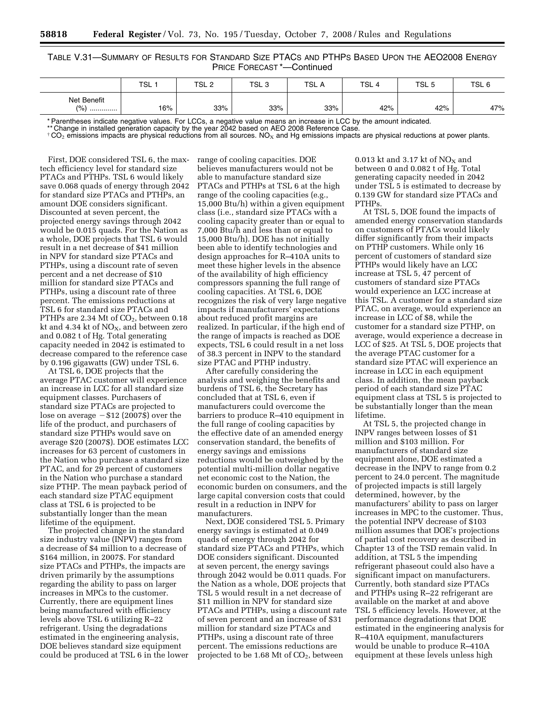TABLE V.31—SUMMARY OF RESULTS FOR STANDARD SIZE PTACS AND PTHPS BASED UPON THE AEO2008 ENERGY PRICE FORECAST \*—Continued

|                         | TSL | TSL <sub>2</sub> | TSL 5 | TSL A | TSL | TSL <sub>t</sub> | TSL . |
|-------------------------|-----|------------------|-------|-------|-----|------------------|-------|
| Net Benefit<br>(% )<br> | 16% | 33%              | 33%   | 33%   | 42% | 42%              | 47%   |

\* Parentheses indicate negative values. For LCCs, a negative value means an increase in LCC by the amount indicated.

\*\* Change in installed generation capacity by the year 2042 based on AEO 2008 Reference Case.

 $\pm$  CO<sub>2</sub> emissions impacts are physical reductions from all sources. NO<sub>x</sub> and Hg emissions impacts are physical reductions at power plants.

First, DOE considered TSL 6, the maxtech efficiency level for standard size PTACs and PTHPs. TSL 6 would likely save 0.068 quads of energy through 2042 for standard size PTACs and PTHPs, an amount DOE considers significant. Discounted at seven percent, the projected energy savings through 2042 would be 0.015 quads. For the Nation as a whole, DOE projects that TSL 6 would result in a net decrease of \$41 million in NPV for standard size PTACs and PTHPs, using a discount rate of seven percent and a net decrease of \$10 million for standard size PTACs and PTHPs, using a discount rate of three percent. The emissions reductions at TSL 6 for standard size PTACs and PTHPs are 2.34 Mt of  $CO<sub>2</sub>$ , between 0.18 kt and 4.34 kt of  $NO<sub>x</sub>$ , and between zero and 0.082 t of Hg. Total generating capacity needed in 2042 is estimated to decrease compared to the reference case by 0.196 gigawatts (GW) under TSL 6.

At TSL 6, DOE projects that the average PTAC customer will experience an increase in LCC for all standard size equipment classes. Purchasers of standard size PTACs are projected to lose on average  $- $12$  (2007\$) over the life of the product, and purchasers of standard size PTHPs would save on average \$20 (2007\$). DOE estimates LCC increases for 63 percent of customers in the Nation who purchase a standard size PTAC, and for 29 percent of customers in the Nation who purchase a standard size PTHP. The mean payback period of each standard size PTAC equipment class at TSL 6 is projected to be substantially longer than the mean lifetime of the equipment.

The projected change in the standard size industry value (INPV) ranges from a decrease of \$4 million to a decrease of \$164 million, in 2007\$. For standard size PTACs and PTHPs, the impacts are driven primarily by the assumptions regarding the ability to pass on larger increases in MPCs to the customer. Currently, there are equipment lines being manufactured with efficiency levels above TSL 6 utilizing R–22 refrigerant. Using the degradations estimated in the engineering analysis, DOE believes standard size equipment could be produced at TSL 6 in the lower

range of cooling capacities. DOE believes manufacturers would not be able to manufacture standard size PTACs and PTHPs at TSL 6 at the high range of the cooling capacities (e.g., 15,000 Btu/h) within a given equipment class (i.e., standard size PTACs with a cooling capacity greater than or equal to 7,000 Btu/h and less than or equal to 15,000 Btu/h). DOE has not initially been able to identify technologies and design approaches for R–410A units to meet these higher levels in the absence of the availability of high efficiency compressors spanning the full range of cooling capacities. At TSL 6, DOE recognizes the risk of very large negative impacts if manufacturers' expectations about reduced profit margins are realized. In particular, if the high end of the range of impacts is reached as DOE expects, TSL 6 could result in a net loss of 38.3 percent in INPV to the standard size PTAC and PTHP industry.

After carefully considering the analysis and weighing the benefits and burdens of TSL 6, the Secretary has concluded that at TSL 6, even if manufacturers could overcome the barriers to produce R–410 equipment in the full range of cooling capacities by the effective date of an amended energy conservation standard, the benefits of energy savings and emissions reductions would be outweighed by the potential multi-million dollar negative net economic cost to the Nation, the economic burden on consumers, and the large capital conversion costs that could result in a reduction in INPV for manufacturers.

Next, DOE considered TSL 5. Primary energy savings is estimated at 0.049 quads of energy through 2042 for standard size PTACs and PTHPs, which DOE considers significant. Discounted at seven percent, the energy savings through 2042 would be 0.011 quads. For the Nation as a whole, DOE projects that TSL 5 would result in a net decrease of \$11 million in NPV for standard size PTACs and PTHPs, using a discount rate of seven percent and an increase of \$31 million for standard size PTACs and PTHPs, using a discount rate of three percent. The emissions reductions are projected to be  $1.68$  Mt of  $CO<sub>2</sub>$ , between

0.013 kt and 3.17 kt of  $NO<sub>X</sub>$  and between 0 and 0.082 t of Hg. Total generating capacity needed in 2042 under TSL 5 is estimated to decrease by 0.139 GW for standard size PTACs and PTHPs.

At TSL 5, DOE found the impacts of amended energy conservation standards on customers of PTACs would likely differ significantly from their impacts on PTHP customers. While only 16 percent of customers of standard size PTHPs would likely have an LCC increase at TSL 5, 47 percent of customers of standard size PTACs would experience an LCC increase at this TSL. A customer for a standard size PTAC, on average, would experience an increase in LCC of \$8, while the customer for a standard size PTHP, on average, would experience a decrease in LCC of \$25. At TSL 5, DOE projects that the average PTAC customer for a standard size PTAC will experience an increase in LCC in each equipment class. In addition, the mean payback period of each standard size PTAC equipment class at TSL 5 is projected to be substantially longer than the mean lifetime.

At TSL 5, the projected change in INPV ranges between losses of \$1 million and \$103 million. For manufacturers of standard size equipment alone, DOE estimated a decrease in the INPV to range from 0.2 percent to 24.0 percent. The magnitude of projected impacts is still largely determined, however, by the manufacturers' ability to pass on larger increases in MPC to the customer. Thus, the potential INPV decrease of \$103 million assumes that DOE's projections of partial cost recovery as described in Chapter 13 of the TSD remain valid. In addition, at TSL 5 the impending refrigerant phaseout could also have a significant impact on manufacturers. Currently, both standard size PTACs and PTHPs using R–22 refrigerant are available on the market at and above TSL 5 efficiency levels. However, at the performance degradations that DOE estimated in the engineering analysis for R–410A equipment, manufacturers would be unable to produce R–410A equipment at these levels unless high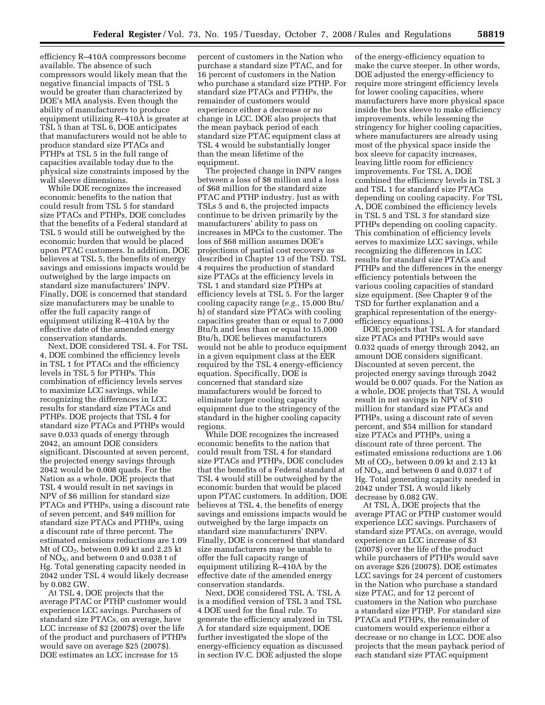efficiency R–410A compressors become available. The absence of such compressors would likely mean that the negative financial impacts of TSL 5 would be greater than characterized by DOE's MIA analysis. Even though the ability of manufacturers to produce equipment utilizing R–410A is greater at TSL 5 than at TSL 6, DOE anticipates that manufacturers would not be able to produce standard size PTACs and PTHPs at TSL 5 in the full range of capacities available today due to the physical size constraints imposed by the wall sleeve dimensions.

While DOE recognizes the increased economic benefits to the nation that could result from TSL 5 for standard size PTACs and PTHPs, DOE concludes that the benefits of a Federal standard at TSL 5 would still be outweighed by the economic burden that would be placed upon PTAC customers. In addition, DOE believes at TSL 5, the benefits of energy savings and emissions impacts would be outweighed by the large impacts on standard size manufacturers' INPV. Finally, DOE is concerned that standard size manufacturers may be unable to offer the full capacity range of equipment utilizing R–410A by the effective date of the amended energy conservation standards.

Next, DOE considered TSL 4. For TSL 4, DOE combined the efficiency levels in TSL 1 for PTACs and the efficiency levels in TSL 5 for PTHPs. This combination of efficiency levels serves to maximize LCC savings, while recognizing the differences in LCC results for standard size PTACs and PTHPs. DOE projects that TSL 4 for standard size PTACs and PTHPs would save 0.033 quads of energy through 2042, an amount DOE considers significant. Discounted at seven percent, the projected energy savings through 2042 would be 0.008 quads. For the Nation as a whole, DOE projects that TSL 4 would result in net savings in NPV of \$6 million for standard size PTACs and PTHPs, using a discount rate of seven percent, and \$49 million for standard size PTACs and PTHPs, using a discount rate of three percent. The estimated emissions reductions are 1.09 Mt of  $CO<sub>2</sub>$ , between 0.09 kt and 2.25 kt of  $NO<sub>X</sub>$ , and between 0 and 0.038 t of Hg. Total generating capacity needed in 2042 under TSL 4 would likely decrease by 0.082 GW.

At TSL 4, DOE projects that the average PTAC or PTHP customer would experience LCC savings. Purchasers of standard size PTACs, on average, have LCC increase of \$2 (2007\$) over the life of the product and purchasers of PTHPs would save on average \$25 (2007\$). DOE estimates an LCC increase for 15

percent of customers in the Nation who purchase a standard size PTAC, and for 16 percent of customers in the Nation who purchase a standard size PTHP. For standard size PTACs and PTHPs, the remainder of customers would experience either a decrease or no change in LCC. DOE also projects that the mean payback period of each standard size PTAC equipment class at TSL 4 would be substantially longer than the mean lifetime of the equipment.

The projected change in INPV ranges between a loss of \$8 million and a loss of \$68 million for the standard size PTAC and PTHP industry. Just as with TSLs 5 and 6, the projected impacts continue to be driven primarily by the manufacturers' ability to pass on increases in MPCs to the customer. The loss of \$68 million assumes DOE's projections of partial cost recovery as described in Chapter 13 of the TSD. TSL 4 requires the production of standard size PTACs at the efficiency levels in TSL 1 and standard size PTHPs at efficiency levels at TSL 5. For the larger cooling capacity range (*e.g.*, 15,000 Btu/ h) of standard size PTACs with cooling capacities greater than or equal to 7,000 Btu/h and less than or equal to 15,000 Btu/h, DOE believes manufacturers would not be able to produce equipment in a given equipment class at the EER required by the TSL 4 energy-efficiency equation. Specifically, DOE is concerned that standard size manufacturers would be forced to eliminate larger cooling capacity equipment due to the stringency of the standard in the higher cooling capacity regions.

While DOE recognizes the increased economic benefits to the nation that could result from TSL 4 for standard size PTACs and PTHPs, DOE concludes that the benefits of a Federal standard at TSL 4 would still be outweighed by the economic burden that would be placed upon PTAC customers. In addition, DOE believes at TSL 4, the benefits of energy savings and emissions impacts would be outweighed by the large impacts on standard size manufacturers' INPV. Finally, DOE is concerned that standard size manufacturers may be unable to offer the full capacity range of equipment utilizing R–410A by the effective date of the amended energy conservation standards.

Next, DOE considered TSL A. TSL A is a modified version of TSL 3 and TSL 4 DOE used for the final rule. To generate the efficiency analyzed in TSL A for standard size equipment, DOE further investigated the slope of the energy-efficiency equation as discussed in section IV.C. DOE adjusted the slope

of the energy-efficiency equation to make the curve steeper. In other words, DOE adjusted the energy-efficiency to require more stringent efficiency levels for lower cooling capacities, where manufacturers have more physical space inside the box sleeve to make efficiency improvements, while lessening the stringency for higher cooling capacities, where manufacturers are already using most of the physical space inside the box sleeve for capacity increases, leaving little room for efficiency improvements. For TSL A, DOE combined the efficiency levels in TSL 3 and TSL 1 for standard size PTACs depending on cooling capacity. For TSL A, DOE combined the efficiency levels in TSL 5 and TSL 3 for standard size PTHPs depending on cooling capacity. This combination of efficiency levels serves to maximize LCC savings, while recognizing the differences in LCC results for standard size PTACs and PTHPs and the differences in the energy efficiency potentials between the various cooling capacities of standard size equipment. (See Chapter 9 of the TSD for further explanation and a graphical representation of the energyefficiency equations.)

DOE projects that TSL A for standard size PTACs and PTHPs would save 0.032 quads of energy through 2042, an amount DOE considers significant. Discounted at seven percent, the projected energy savings through 2042 would be 0.007 quads. For the Nation as a whole, DOE projects that TSL A would result in net savings in NPV of \$10 million for standard size PTACs and PTHPs, using a discount rate of seven percent, and \$54 million for standard size PTACs and PTHPs, using a discount rate of three percent. The estimated emissions reductions are 1.06 Mt of  $CO<sub>2</sub>$ , between 0.09 kt and 2.13 kt of NO<sub>X</sub>, and between 0 and 0.037 t of Hg. Total generating capacity needed in 2042 under TSL A would likely decrease by 0.082 GW.

At TSL A, DOE projects that the average PTAC or PTHP customer would experience LCC savings. Purchasers of standard size PTACs, on average, would experience an LCC increase of \$3 (2007\$) over the life of the product while purchasers of PTHPs would save on average \$26 (2007\$). DOE estimates LCC savings for 24 percent of customers in the Nation who purchase a standard size PTAC, and for 12 percent of customers in the Nation who purchase a standard size PTHP. For standard size PTACs and PTHPs, the remainder of customers would experience either a decrease or no change in LCC. DOE also projects that the mean payback period of each standard size PTAC equipment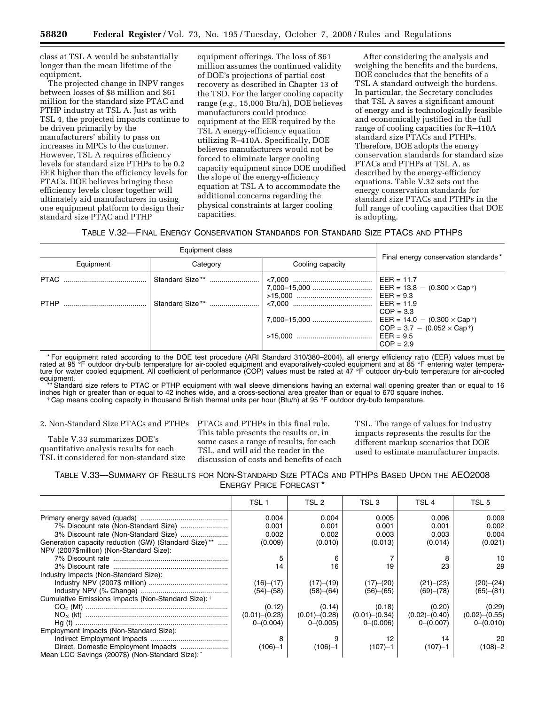class at TSL A would be substantially longer than the mean lifetime of the equipment.

The projected change in INPV ranges between losses of \$8 million and \$61 million for the standard size PTAC and PTHP industry at TSL A. Just as with TSL 4, the projected impacts continue to be driven primarily by the manufacturers' ability to pass on increases in MPCs to the customer. However, TSL A requires efficiency levels for standard size PTHPs to be 0.2 EER higher than the efficiency levels for PTACs. DOE believes bringing these efficiency levels closer together will ultimately aid manufacturers in using one equipment platform to design their standard size PTAC and PTHP

equipment offerings. The loss of \$61 million assumes the continued validity of DOE's projections of partial cost recovery as described in Chapter 13 of the TSD. For the larger cooling capacity range (*e.g.*, 15,000 Btu/h), DOE believes manufacturers could produce equipment at the EER required by the TSL A energy-efficiency equation utilizing R–410A. Specifically, DOE believes manufacturers would not be forced to eliminate larger cooling capacity equipment since DOE modified the slope of the energy-efficiency equation at TSL A to accommodate the additional concerns regarding the physical constraints at larger cooling capacities.

After considering the analysis and weighing the benefits and the burdens, DOE concludes that the benefits of a TSL A standard outweigh the burdens. In particular, the Secretary concludes that TSL A saves a significant amount of energy and is technologically feasible and economically justified in the full range of cooling capacities for R–410A standard size PTACs and PTHPs. Therefore, DOE adopts the energy conservation standards for standard size PTACs and PTHPs at TSL A, as described by the energy-efficiency equations. Table V.32 sets out the energy conservation standards for standard size PTACs and PTHPs in the full range of cooling capacities that DOE is adopting.

TABLE V.32—FINAL ENERGY CONSERVATION STANDARDS FOR STANDARD SIZE PTACS AND PTHPS

| Equipment | Category | Cooling capacity | Final energy conservation standards*                                                    |
|-----------|----------|------------------|-----------------------------------------------------------------------------------------|
|           |          |                  | $COP = 3.3$<br>$COP = 3.7 - (0.052 \times Cap^{\dagger})$<br>$EER = 9.5$<br>$COP = 2.9$ |

\* For equipment rated according to the DOE test procedure (ARI Standard 310/380–2004), all energy efficiency ratio (EER) values must be rated at 95 <sup>o</sup>F outdoor dry-bulb temperature for air-cooled equipment and evaporatively-cooled equipment and at 85 °F entering water temperature for water cooled equipment. All coefficient of performance (COP) values must be rated at 47 °F outdoor dry-bulb temperature for air-cooled equipment.

\*\* Standard size refers to PTAC or PTHP equipment with wall sleeve dimensions having an external wall opening greater than or equal to 16 inches high or greater than or equal to 42 inches wide, and a cross-sectional area greater than or equal to 670 square inches.<br>Cap means cooling capacity in thousand British thermal units per hour (Btu/h) at 95 °F outdoor

2. Non-Standard Size PTACs and PTHPs PTACs and PTHPs in this final rule.

Table V.33 summarizes DOE's quantitative analysis results for each TSL it considered for non-standard size This table presents the results or, in some cases a range of results, for each TSL, and will aid the reader in the discussion of costs and benefits of each

TSL. The range of values for industry impacts represents the results for the different markup scenarios that DOE used to estimate manufacturer impacts.

| TABLE V.33—SUMMARY OF RESULTS FOR NON-STANDARD SIZE PTACS AND PTHPS BASED UPON THE AEO2008 |  |
|--------------------------------------------------------------------------------------------|--|
| <b>ENERGY PRICE FORECAST*</b>                                                              |  |

|                                                      | TSL 1              | TSL 2              | TSL 3              | TSL 4              | TSL 5              |
|------------------------------------------------------|--------------------|--------------------|--------------------|--------------------|--------------------|
|                                                      | 0.004              | 0.004              | 0.005              | 0.006              | 0.009              |
|                                                      | 0.001              | 0.001              | 0.001              | 0.001              | 0.002              |
|                                                      | 0.002              | 0.002              | 0.003              | 0.003              | 0.004              |
| Generation capacity reduction (GW) (Standard Size)** | (0.009)            | (0.010)            | (0.013)            | (0.014)            | (0.021)            |
| NPV (2007\$million) (Non-Standard Size):             |                    |                    |                    |                    |                    |
|                                                      |                    |                    |                    |                    | 10                 |
|                                                      | 14                 | 16                 | 19                 | 23                 | 29                 |
| Industry Impacts (Non-Standard Size):                |                    |                    |                    |                    |                    |
|                                                      | (16)–(17)          | (17)–(19)          | (17)–(20)          | (21)–(23)          | (20)–(24)          |
|                                                      | (54)–(58)          | (58)–(64)          | (56)–(65)          | (69)–(78)          | (65)–(81)          |
| Cumulative Emissions Impacts (Non-Standard Size): †  |                    |                    |                    |                    |                    |
|                                                      | (0.12)             | (0.14)             | (0.18)             | (0.20)             | (0.29)             |
|                                                      | $(0.01)$ $-(0.23)$ | $(0.01)$ $-(0.28)$ | $(0.01)$ $-(0.34)$ | $(0.02)$ $-(0.40)$ | $(0.02)$ $-(0.55)$ |
|                                                      | $0-(0.004)$        | $0 - (0.005)$      | $0 - (0.006)$      | $0 - (0.007)$      | $0 - (0.010)$      |
| Employment Impacts (Non-Standard Size):              |                    |                    |                    |                    |                    |
|                                                      | 8                  |                    | 12                 | 14                 | 20                 |
|                                                      | $(106)-1$          | $(106)-1$          | $(107) - 1$        | (107)–1            | $(108)-2$          |
| Mean LCC Savings (2007\$) (Non-Standard Size): *     |                    |                    |                    |                    |                    |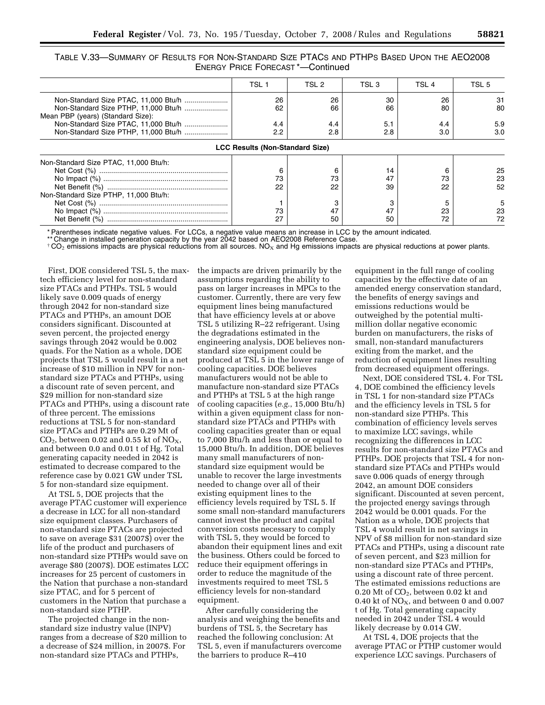| Table V.33—Summary of Results for Non-Standard Size PTACs and PTHPs Based Upon the AEO2008 |  |
|--------------------------------------------------------------------------------------------|--|
| <b>ENERGY PRICE FORECAST *- Continued</b>                                                  |  |

|                                       | TSL 1                                  | TSL 2 | TSL 3 | TSL <sub>4</sub> | TSL 5 |
|---------------------------------------|----------------------------------------|-------|-------|------------------|-------|
|                                       | 26                                     | 26    | 30    | 26               | 31    |
|                                       | 62                                     | 66    | 66    | 80               | 80    |
| Mean PBP (years) (Standard Size):     |                                        |       |       |                  |       |
|                                       | 4.4                                    | 4.4   | 5.1   | 4.4              | 5.9   |
|                                       | 2.2                                    | 2.8   | 2.8   | 3.0              | 3.0   |
|                                       | <b>LCC Results (Non-Standard Size)</b> |       |       |                  |       |
| Non-Standard Size PTAC, 11,000 Btu/h: |                                        |       |       |                  |       |
|                                       | ิค                                     |       | 14    |                  | 25    |
|                                       | 73                                     | 73    | 47    | 73               | 23    |
|                                       | 22                                     | 22    | 39    | 22               | 52    |
| Non-Standard Size PTHP, 11,000 Btu/h: |                                        |       |       |                  |       |
|                                       |                                        |       | з     |                  | 5     |
|                                       | 73                                     | 47    | 47    | 23               | 23    |
|                                       | 27                                     | 50    | 50    | 72               | 72    |

\* Parentheses indicate negative values. For LCCs, a negative value means an increase in LCC by the amount indicated.

\*\* Change in installed generation capacity by the year 2042 based on AEO2008 Reference Case.

 $\pm$  CO<sub>2</sub> emissions impacts are physical reductions from all sources. NO<sub>X</sub> and Hg emissions impacts are physical reductions at power plants.

First, DOE considered TSL 5, the maxtech efficiency level for non-standard size PTACs and PTHPs. TSL 5 would likely save 0.009 quads of energy through 2042 for non-standard size PTACs and PTHPs, an amount DOE considers significant. Discounted at seven percent, the projected energy savings through 2042 would be 0.002 quads. For the Nation as a whole, DOE projects that TSL 5 would result in a net increase of \$10 million in NPV for nonstandard size PTACs and PTHPs, using a discount rate of seven percent, and \$29 million for non-standard size PTACs and PTHPs, using a discount rate of three percent. The emissions reductions at TSL 5 for non-standard size PTACs and PTHPs are 0.29 Mt of  $CO<sub>2</sub>$ , between 0.02 and 0.55 kt of  $NO<sub>X</sub>$ , and between 0.0 and 0.01 t of Hg. Total generating capacity needed in 2042 is estimated to decrease compared to the reference case by 0.021 GW under TSL 5 for non-standard size equipment.

At TSL 5, DOE projects that the average PTAC customer will experience a decrease in LCC for all non-standard size equipment classes. Purchasers of non-standard size PTACs are projected to save on average \$31 (2007\$) over the life of the product and purchasers of non-standard size PTHPs would save on average \$80 (2007\$). DOE estimates LCC increases for 25 percent of customers in the Nation that purchase a non-standard size PTAC, and for 5 percent of customers in the Nation that purchase a non-standard size PTHP.

The projected change in the nonstandard size industry value (INPV) ranges from a decrease of \$20 million to a decrease of \$24 million, in 2007\$. For non-standard size PTACs and PTHPs,

the impacts are driven primarily by the assumptions regarding the ability to pass on larger increases in MPCs to the customer. Currently, there are very few equipment lines being manufactured that have efficiency levels at or above TSL 5 utilizing R–22 refrigerant. Using the degradations estimated in the engineering analysis, DOE believes nonstandard size equipment could be produced at TSL 5 in the lower range of cooling capacities. DOE believes manufacturers would not be able to manufacture non-standard size PTACs and PTHPs at TSL 5 at the high range of cooling capacities (*e.g.*, 15,000 Btu/h) within a given equipment class for nonstandard size PTACs and PTHPs with cooling capacities greater than or equal to 7,000 Btu/h and less than or equal to 15,000 Btu/h. In addition, DOE believes many small manufacturers of nonstandard size equipment would be unable to recover the large investments needed to change over all of their existing equipment lines to the efficiency levels required by TSL 5. If some small non-standard manufacturers cannot invest the product and capital conversion costs necessary to comply with TSL 5, they would be forced to abandon their equipment lines and exit the business. Others could be forced to reduce their equipment offerings in order to reduce the magnitude of the investments required to meet TSL 5 efficiency levels for non-standard equipment.

After carefully considering the analysis and weighing the benefits and burdens of TSL 5, the Secretary has reached the following conclusion: At TSL 5, even if manufacturers overcome the barriers to produce R–410

equipment in the full range of cooling capacities by the effective date of an amended energy conservation standard, the benefits of energy savings and emissions reductions would be outweighed by the potential multimillion dollar negative economic burden on manufacturers, the risks of small, non-standard manufacturers exiting from the market, and the reduction of equipment lines resulting from decreased equipment offerings.

Next, DOE considered TSL 4. For TSL 4, DOE combined the efficiency levels in TSL 1 for non-standard size PTACs and the efficiency levels in TSL 5 for non-standard size PTHPs. This combination of efficiency levels serves to maximize LCC savings, while recognizing the differences in LCC results for non-standard size PTACs and PTHPs. DOE projects that TSL 4 for nonstandard size PTACs and PTHPs would save 0.006 quads of energy through 2042, an amount DOE considers significant. Discounted at seven percent, the projected energy savings through 2042 would be 0.001 quads. For the Nation as a whole, DOE projects that TSL 4 would result in net savings in NPV of \$8 million for non-standard size PTACs and PTHPs, using a discount rate of seven percent, and \$23 million for non-standard size PTACs and PTHPs, using a discount rate of three percent. The estimated emissions reductions are 0.20 Mt of  $CO<sub>2</sub>$ , between 0.02 kt and 0.40 kt of  $NO<sub>X</sub>$ , and between 0 and 0.007 t of Hg. Total generating capacity needed in 2042 under TSL 4 would likely decrease by 0.014 GW.

At TSL 4, DOE projects that the average PTAC or PTHP customer would experience LCC savings. Purchasers of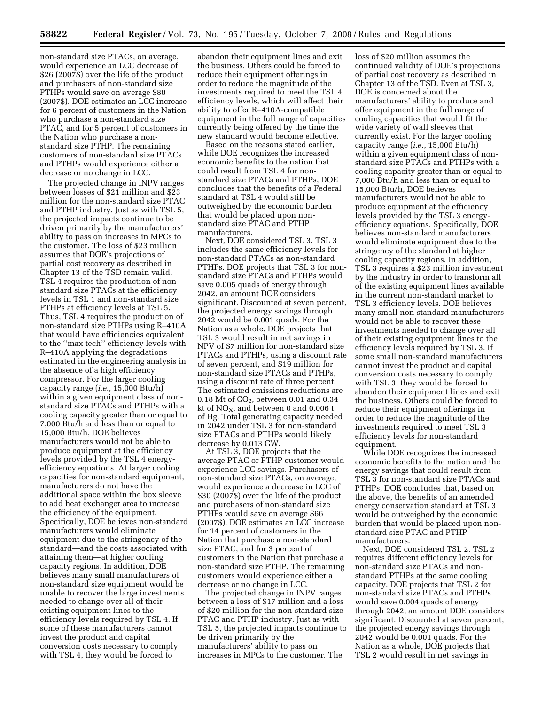non-standard size PTACs, on average, would experience an LCC decrease of \$26 (2007\$) over the life of the product and purchasers of non-standard size PTHPs would save on average \$80 (2007\$). DOE estimates an LCC increase for 6 percent of customers in the Nation who purchase a non-standard size PTAC, and for 5 percent of customers in the Nation who purchase a nonstandard size PTHP. The remaining customers of non-standard size PTACs and PTHPs would experience either a decrease or no change in LCC.

The projected change in INPV ranges between losses of \$21 million and \$23 million for the non-standard size PTAC and PTHP industry. Just as with TSL 5, the projected impacts continue to be driven primarily by the manufacturers' ability to pass on increases in MPCs to the customer. The loss of \$23 million assumes that DOE's projections of partial cost recovery as described in Chapter 13 of the TSD remain valid. TSL 4 requires the production of nonstandard size PTACs at the efficiency levels in TSL 1 and non-standard size PTHPs at efficiency levels at TSL 5. Thus, TSL 4 requires the production of non-standard size PTHPs using R–410A that would have efficiencies equivalent to the ''max tech'' efficiency levels with R–410A applying the degradations estimated in the engineering analysis in the absence of a high efficiency compressor. For the larger cooling capacity range (*i.e.*, 15,000 Btu/h) within a given equipment class of nonstandard size PTACs and PTHPs with a cooling capacity greater than or equal to 7,000 Btu/h and less than or equal to 15,000 Btu/h, DOE believes manufacturers would not be able to produce equipment at the efficiency levels provided by the TSL 4 energyefficiency equations. At larger cooling capacities for non-standard equipment, manufacturers do not have the additional space within the box sleeve to add heat exchanger area to increase the efficiency of the equipment. Specifically, DOE believes non-standard manufacturers would eliminate equipment due to the stringency of the standard—and the costs associated with attaining them—at higher cooling capacity regions. In addition, DOE believes many small manufacturers of non-standard size equipment would be unable to recover the large investments needed to change over all of their existing equipment lines to the efficiency levels required by TSL 4. If some of these manufacturers cannot invest the product and capital conversion costs necessary to comply with TSL 4, they would be forced to

abandon their equipment lines and exit the business. Others could be forced to reduce their equipment offerings in order to reduce the magnitude of the investments required to meet the TSL 4 efficiency levels, which will affect their ability to offer R–410A-compatible equipment in the full range of capacities currently being offered by the time the new standard would become effective.

Based on the reasons stated earlier, while DOE recognizes the increased economic benefits to the nation that could result from TSL 4 for nonstandard size PTACs and PTHPs, DOE concludes that the benefits of a Federal standard at TSL 4 would still be outweighed by the economic burden that would be placed upon nonstandard size PTAC and PTHP manufacturers.

Next, DOE considered TSL 3. TSL 3 includes the same efficiency levels for non-standard PTACs as non-standard PTHPs. DOE projects that TSL 3 for nonstandard size PTACs and PTHPs would save 0.005 quads of energy through 2042, an amount DOE considers significant. Discounted at seven percent, the projected energy savings through 2042 would be 0.001 quads. For the Nation as a whole, DOE projects that TSL 3 would result in net savings in NPV of \$7 million for non-standard size PTACs and PTHPs, using a discount rate of seven percent, and \$19 million for non-standard size PTACs and PTHPs, using a discount rate of three percent. The estimated emissions reductions are  $0.18$  Mt of  $CO<sub>2</sub>$ , between  $0.01$  and  $0.34$ kt of  $NO<sub>X</sub>$ , and between 0 and 0.006 t of Hg. Total generating capacity needed in 2042 under TSL 3 for non-standard size PTACs and PTHPs would likely decrease by 0.013 GW.

At TSL 3, DOE projects that the average PTAC or PTHP customer would experience LCC savings. Purchasers of non-standard size PTACs, on average, would experience a decrease in LCC of \$30 (2007\$) over the life of the product and purchasers of non-standard size PTHPs would save on average \$66 (2007\$). DOE estimates an LCC increase for 14 percent of customers in the Nation that purchase a non-standard size PTAC, and for 3 percent of customers in the Nation that purchase a non-standard size PTHP. The remaining customers would experience either a decrease or no change in LCC.

The projected change in INPV ranges between a loss of \$17 million and a loss of \$20 million for the non-standard size PTAC and PTHP industry. Just as with TSL 5, the projected impacts continue to be driven primarily by the manufacturers' ability to pass on increases in MPCs to the customer. The

loss of \$20 million assumes the continued validity of DOE's projections of partial cost recovery as described in Chapter 13 of the TSD. Even at TSL 3, DOE is concerned about the manufacturers' ability to produce and offer equipment in the full range of cooling capacities that would fit the wide variety of wall sleeves that currently exist. For the larger cooling capacity range (*i.e.*, 15,000 Btu/h) within a given equipment class of nonstandard size PTACs and PTHPs with a cooling capacity greater than or equal to 7,000 Btu/h and less than or equal to 15,000 Btu/h, DOE believes manufacturers would not be able to produce equipment at the efficiency levels provided by the TSL 3 energyefficiency equations. Specifically, DOE believes non-standard manufacturers would eliminate equipment due to the stringency of the standard at higher cooling capacity regions. In addition, TSL 3 requires a \$23 million investment by the industry in order to transform all of the existing equipment lines available in the current non-standard market to TSL 3 efficiency levels. DOE believes many small non-standard manufacturers would not be able to recover these investments needed to change over all of their existing equipment lines to the efficiency levels required by TSL 3. If some small non-standard manufacturers cannot invest the product and capital conversion costs necessary to comply with TSL 3, they would be forced to abandon their equipment lines and exit the business. Others could be forced to reduce their equipment offerings in order to reduce the magnitude of the investments required to meet TSL 3 efficiency levels for non-standard equipment.

While DOE recognizes the increased economic benefits to the nation and the energy savings that could result from TSL 3 for non-standard size PTACs and PTHPs, DOE concludes that, based on the above, the benefits of an amended energy conservation standard at TSL 3 would be outweighed by the economic burden that would be placed upon nonstandard size PTAC and PTHP manufacturers.

Next, DOE considered TSL 2. TSL 2 requires different efficiency levels for non-standard size PTACs and nonstandard PTHPs at the same cooling capacity. DOE projects that TSL 2 for non-standard size PTACs and PTHPs would save 0.004 quads of energy through 2042, an amount DOE considers significant. Discounted at seven percent, the projected energy savings through 2042 would be 0.001 quads. For the Nation as a whole, DOE projects that TSL 2 would result in net savings in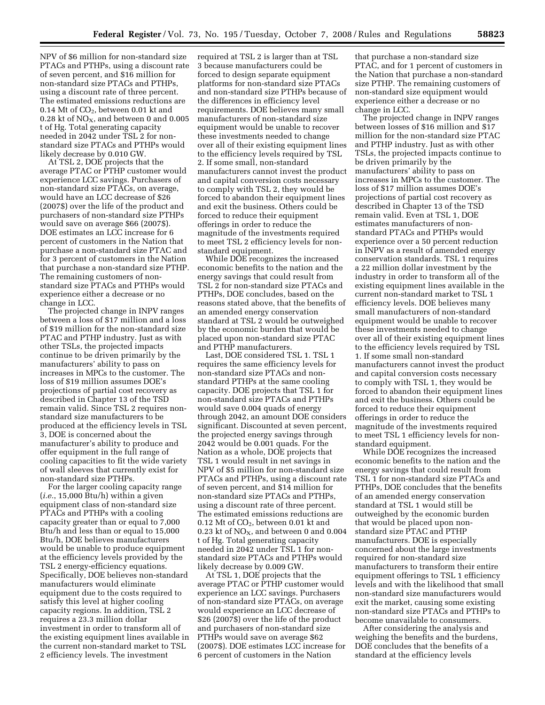NPV of \$6 million for non-standard size PTACs and PTHPs, using a discount rate of seven percent, and \$16 million for non-standard size PTACs and PTHPs, using a discount rate of three percent. The estimated emissions reductions are 0.14 Mt of  $CO<sub>2</sub>$ , between 0.01 kt and 0.28 kt of  $NO<sub>X</sub>$ , and between 0 and 0.005 t of Hg. Total generating capacity needed in 2042 under TSL 2 for nonstandard size PTACs and PTHPs would likely decrease by 0.010 GW.

At TSL 2, DOE projects that the average PTAC or PTHP customer would experience LCC savings. Purchasers of non-standard size PTACs, on average, would have an LCC decrease of \$26 (2007\$) over the life of the product and purchasers of non-standard size PTHPs would save on average \$66 (2007\$). DOE estimates an LCC increase for 6 percent of customers in the Nation that purchase a non-standard size PTAC and for 3 percent of customers in the Nation that purchase a non-standard size PTHP. The remaining customers of nonstandard size PTACs and PTHPs would experience either a decrease or no change in LCC.

The projected change in INPV ranges between a loss of \$17 million and a loss of \$19 million for the non-standard size PTAC and PTHP industry. Just as with other TSLs, the projected impacts continue to be driven primarily by the manufacturers' ability to pass on increases in MPCs to the customer. The loss of \$19 million assumes DOE's projections of partial cost recovery as described in Chapter 13 of the TSD remain valid. Since TSL 2 requires nonstandard size manufacturers to be produced at the efficiency levels in TSL 3, DOE is concerned about the manufacturer's ability to produce and offer equipment in the full range of cooling capacities to fit the wide variety of wall sleeves that currently exist for non-standard size PTHPs.

For the larger cooling capacity range (*i.e.*, 15,000 Btu/h) within a given equipment class of non-standard size PTACs and PTHPs with a cooling capacity greater than or equal to 7,000 Btu/h and less than or equal to 15,000 Btu/h, DOE believes manufacturers would be unable to produce equipment at the efficiency levels provided by the TSL 2 energy-efficiency equations. Specifically, DOE believes non-standard manufacturers would eliminate equipment due to the costs required to satisfy this level at higher cooling capacity regions. In addition, TSL 2 requires a 23.3 million dollar investment in order to transform all of the existing equipment lines available in the current non-standard market to TSL 2 efficiency levels. The investment

required at TSL 2 is larger than at TSL 3 because manufacturers could be forced to design separate equipment platforms for non-standard size PTACs and non-standard size PTHPs because of the differences in efficiency level requirements. DOE believes many small manufacturers of non-standard size equipment would be unable to recover these investments needed to change over all of their existing equipment lines to the efficiency levels required by TSL 2. If some small, non-standard manufacturers cannot invest the product and capital conversion costs necessary to comply with TSL 2, they would be forced to abandon their equipment lines and exit the business. Others could be forced to reduce their equipment offerings in order to reduce the magnitude of the investments required to meet TSL 2 efficiency levels for nonstandard equipment.

While DOE recognizes the increased economic benefits to the nation and the energy savings that could result from TSL 2 for non-standard size PTACs and PTHPs, DOE concludes, based on the reasons stated above, that the benefits of an amended energy conservation standard at TSL 2 would be outweighed by the economic burden that would be placed upon non-standard size PTAC and PTHP manufacturers.

Last, DOE considered TSL 1. TSL 1 requires the same efficiency levels for non-standard size PTACs and nonstandard PTHPs at the same cooling capacity. DOE projects that TSL 1 for non-standard size PTACs and PTHPs would save 0.004 quads of energy through 2042, an amount DOE considers significant. Discounted at seven percent, the projected energy savings through 2042 would be 0.001 quads. For the Nation as a whole, DOE projects that TSL 1 would result in net savings in NPV of \$5 million for non-standard size PTACs and PTHPs, using a discount rate of seven percent, and \$14 million for non-standard size PTACs and PTHPs, using a discount rate of three percent. The estimated emissions reductions are 0.12 Mt of  $CO<sub>2</sub>$ , between 0.01 kt and 0.23 kt of  $NO<sub>X</sub>$ , and between 0 and 0.004 t of Hg. Total generating capacity needed in 2042 under TSL 1 for nonstandard size PTACs and PTHPs would likely decrease by 0.009 GW.

At TSL 1, DOE projects that the average PTAC or PTHP customer would experience an LCC savings. Purchasers of non-standard size PTACs, on average would experience an LCC decrease of \$26 (2007\$) over the life of the product and purchasers of non-standard size PTHPs would save on average \$62 (2007\$). DOE estimates LCC increase for 6 percent of customers in the Nation

that purchase a non-standard size PTAC, and for 1 percent of customers in the Nation that purchase a non-standard size PTHP. The remaining customers of non-standard size equipment would experience either a decrease or no change in LCC.

The projected change in INPV ranges between losses of \$16 million and \$17 million for the non-standard size PTAC and PTHP industry. Just as with other TSLs, the projected impacts continue to be driven primarily by the manufacturers' ability to pass on increases in MPCs to the customer. The loss of \$17 million assumes DOE's projections of partial cost recovery as described in Chapter 13 of the TSD remain valid. Even at TSL 1, DOE estimates manufacturers of nonstandard PTACs and PTHPs would experience over a 50 percent reduction in INPV as a result of amended energy conservation standards. TSL 1 requires a 22 million dollar investment by the industry in order to transform all of the existing equipment lines available in the current non-standard market to TSL 1 efficiency levels. DOE believes many small manufacturers of non-standard equipment would be unable to recover these investments needed to change over all of their existing equipment lines to the efficiency levels required by TSL 1. If some small non-standard manufacturers cannot invest the product and capital conversion costs necessary to comply with TSL 1, they would be forced to abandon their equipment lines and exit the business. Others could be forced to reduce their equipment offerings in order to reduce the magnitude of the investments required to meet TSL 1 efficiency levels for nonstandard equipment.

While DOE recognizes the increased economic benefits to the nation and the energy savings that could result from TSL 1 for non-standard size PTACs and PTHPs, DOE concludes that the benefits of an amended energy conservation standard at TSL 1 would still be outweighed by the economic burden that would be placed upon nonstandard size PTAC and PTHP manufacturers. DOE is especially concerned about the large investments required for non-standard size manufacturers to transform their entire equipment offerings to TSL 1 efficiency levels and with the likelihood that small non-standard size manufacturers would exit the market, causing some existing non-standard size PTACs and PTHPs to become unavailable to consumers.

After considering the analysis and weighing the benefits and the burdens, DOE concludes that the benefits of a standard at the efficiency levels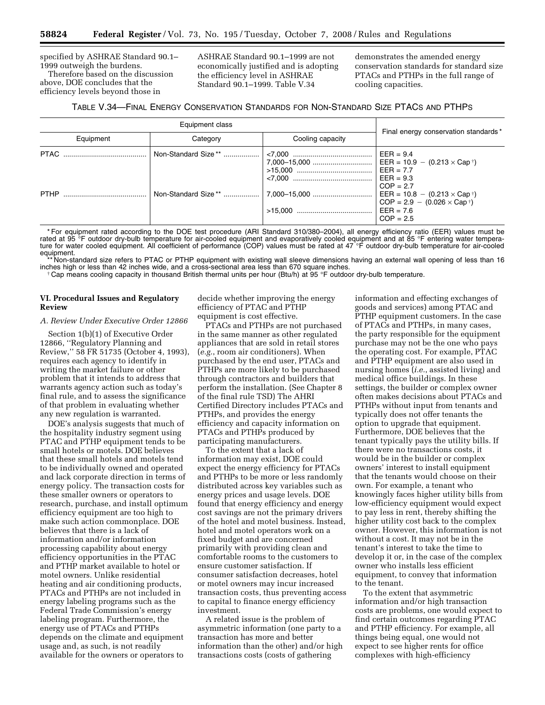specified by ASHRAE Standard 90.1– 1999 outweigh the burdens. Therefore based on the discussion above, DOE concludes that the

efficiency levels beyond those in

ASHRAE Standard 90.1–1999 are not economically justified and is adopting the efficiency level in ASHRAE Standard 90.1–1999. Table V.34

demonstrates the amended energy conservation standards for standard size PTACs and PTHPs in the full range of cooling capacities.

| TABLE V.34—FINAL ENERGY CONSERVATION STANDARDS FOR NON-STANDARD SIZE PTACS AND PTHPS |  |
|--------------------------------------------------------------------------------------|--|
|--------------------------------------------------------------------------------------|--|

| Equipment class |          |                  |                                                                                                                                                                                                                                              |  |
|-----------------|----------|------------------|----------------------------------------------------------------------------------------------------------------------------------------------------------------------------------------------------------------------------------------------|--|
| Equipment       | Category | Cooling capacity | Final energy conservation standards*                                                                                                                                                                                                         |  |
|                 |          |                  | $EER = 9.4$<br>EER = $10.9 - (0.213 \times Cap^{\dagger})$<br>$EER = 7.7$<br>$EER = 9.3$<br>$COP = 2.7$<br>$\vert$ EER = 10.8 - (0.213 $\times$ Cap $\uparrow$ )<br>$COP = 2.9 - (0.026 \times Cap^{\dagger})$<br>$EER = 7.6$<br>$COP = 2.5$ |  |

\* For equipment rated according to the DOE test procedure (ARI Standard 310/380–2004), all energy efficiency ratio (EER) values must be rated at 95 °F outdoor dry-bulb temperature for air-cooled equipment and evaporatively cooled equipment and at 85 °F entering water tempera-<br>ture for water cooled equipment. All coefficient of performance (COP) values must equipment.

\*\* Non-standard size refers to PTAC or PTHP equipment with existing wall sleeve dimensions having an external wall opening of less than 16 inches high or less than 42 inches wide, and a cross-sectional area less than 670 square inches.<br>† Cap means cooling capacity in thousand British thermal units per hour (Btu/h) at 95 °F outdoor dry-bulb temperature.

## **VI. Procedural Issues and Regulatory Review**

*A. Review Under Executive Order 12866* 

Section 1(b)(1) of Executive Order 12866, ''Regulatory Planning and Review,'' 58 FR 51735 (October 4, 1993), requires each agency to identify in writing the market failure or other problem that it intends to address that warrants agency action such as today's final rule, and to assess the significance of that problem in evaluating whether any new regulation is warranted.

DOE's analysis suggests that much of the hospitality industry segment using PTAC and PTHP equipment tends to be small hotels or motels. DOE believes that these small hotels and motels tend to be individually owned and operated and lack corporate direction in terms of energy policy. The transaction costs for these smaller owners or operators to research, purchase, and install optimum efficiency equipment are too high to make such action commonplace. DOE believes that there is a lack of information and/or information processing capability about energy efficiency opportunities in the PTAC and PTHP market available to hotel or motel owners. Unlike residential heating and air conditioning products, PTACs and PTHPs are not included in energy labeling programs such as the Federal Trade Commission's energy labeling program. Furthermore, the energy use of PTACs and PTHPs depends on the climate and equipment usage and, as such, is not readily available for the owners or operators to

decide whether improving the energy efficiency of PTAC and PTHP equipment is cost effective.

PTACs and PTHPs are not purchased in the same manner as other regulated appliances that are sold in retail stores (*e.g.*, room air conditioners). When purchased by the end user, PTACs and PTHPs are more likely to be purchased through contractors and builders that perform the installation. (See Chapter 8 of the final rule TSD) The AHRI Certified Directory includes PTACs and PTHPs, and provides the energy efficiency and capacity information on PTACs and PTHPs produced by participating manufacturers.

To the extent that a lack of information may exist, DOE could expect the energy efficiency for PTACs and PTHPs to be more or less randomly distributed across key variables such as energy prices and usage levels. DOE found that energy efficiency and energy cost savings are not the primary drivers of the hotel and motel business. Instead, hotel and motel operators work on a fixed budget and are concerned primarily with providing clean and comfortable rooms to the customers to ensure customer satisfaction. If consumer satisfaction decreases, hotel or motel owners may incur increased transaction costs, thus preventing access to capital to finance energy efficiency investment.

A related issue is the problem of asymmetric information (one party to a transaction has more and better information than the other) and/or high transactions costs (costs of gathering

information and effecting exchanges of goods and services) among PTAC and PTHP equipment customers. In the case of PTACs and PTHPs, in many cases, the party responsible for the equipment purchase may not be the one who pays the operating cost. For example, PTAC and PTHP equipment are also used in nursing homes (*i.e.*, assisted living) and medical office buildings. In these settings, the builder or complex owner often makes decisions about PTACs and PTHPs without input from tenants and typically does not offer tenants the option to upgrade that equipment. Furthermore, DOE believes that the tenant typically pays the utility bills. If there were no transactions costs, it would be in the builder or complex owners' interest to install equipment that the tenants would choose on their own. For example, a tenant who knowingly faces higher utility bills from low-efficiency equipment would expect to pay less in rent, thereby shifting the higher utility cost back to the complex owner. However, this information is not without a cost. It may not be in the tenant's interest to take the time to develop it or, in the case of the complex owner who installs less efficient equipment, to convey that information to the tenant.

To the extent that asymmetric information and/or high transaction costs are problems, one would expect to find certain outcomes regarding PTAC and PTHP efficiency. For example, all things being equal, one would not expect to see higher rents for office complexes with high-efficiency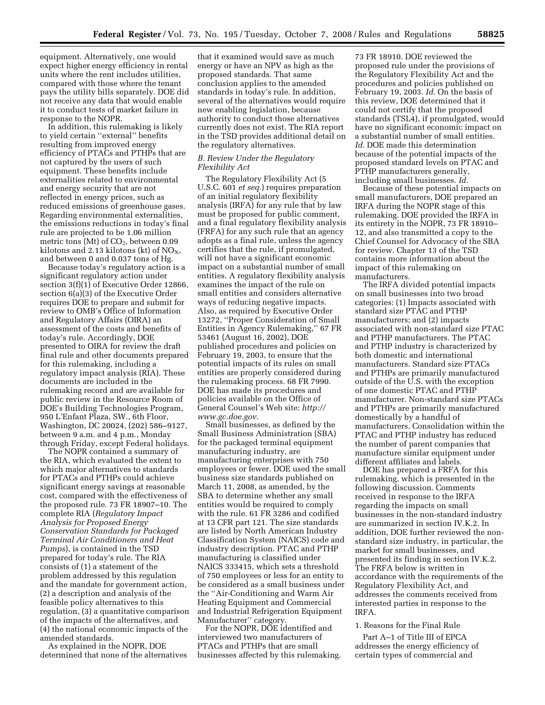equipment. Alternatively, one would expect higher energy efficiency in rental units where the rent includes utilities, compared with those where the tenant pays the utility bills separately. DOE did not receive any data that would enable it to conduct tests of market failure in response to the NOPR.

In addition, this rulemaking is likely to yield certain ''external'' benefits resulting from improved energy efficiency of PTACs and PTHPs that are not captured by the users of such equipment. These benefits include externalities related to environmental and energy security that are not reflected in energy prices, such as reduced emissions of greenhouse gases. Regarding environmental externalities, the emissions reductions in today's final rule are projected to be 1.06 million metric tons (Mt) of  $CO<sub>2</sub>$ , between 0.09 kilotons and 2.13 kilotons (kt) of  $NO<sub>X</sub>$ , and between 0 and 0.037 tons of Hg.

Because today's regulatory action is a significant regulatory action under section 3(f)(1) of Executive Order 12866, section 6(a)(3) of the Executive Order requires DOE to prepare and submit for review to OMB's Office of Information and Regulatory Affairs (OIRA) an assessment of the costs and benefits of today's rule. Accordingly, DOE presented to OIRA for review the draft final rule and other documents prepared for this rulemaking, including a regulatory impact analysis (RIA). These documents are included in the rulemaking record and are available for public review in the Resource Room of DOE's Building Technologies Program, 950 L'Enfant Plaza, SW., 6th Floor, Washington, DC 20024, (202) 586–9127, between 9 a.m. and 4 p.m., Monday through Friday, except Federal holidays.

The NOPR contained a summary of the RIA, which evaluated the extent to which major alternatives to standards for PTACs and PTHPs could achieve significant energy savings at reasonable cost, compared with the effectiveness of the proposed rule. 73 FR 18907–10. The complete RIA (*Regulatory Impact Analysis for Proposed Energy Conservation Standards for Packaged Terminal Air Conditioners and Heat Pumps*), is contained in the TSD prepared for today's rule. The RIA consists of (1) a statement of the problem addressed by this regulation and the mandate for government action, (2) a description and analysis of the feasible policy alternatives to this regulation, (3) a quantitative comparison of the impacts of the alternatives, and (4) the national economic impacts of the amended standards.

As explained in the NOPR, DOE determined that none of the alternatives

that it examined would save as much energy or have an NPV as high as the proposed standards. That same conclusion applies to the amended standards in today's rule. In addition, several of the alternatives would require new enabling legislation, because authority to conduct those alternatives currently does not exist. The RIA report in the TSD provides additional detail on the regulatory alternatives.

# *B. Review Under the Regulatory Flexibility Act*

The Regulatory Flexibility Act (5 U.S.C. 601 *et seq.*) requires preparation of an initial regulatory flexibility analysis (IRFA) for any rule that by law must be proposed for public comment, and a final regulatory flexibility analysis (FRFA) for any such rule that an agency adopts as a final rule, unless the agency certifies that the rule, if promulgated, will not have a significant economic impact on a substantial number of small entities. A regulatory flexibility analysis examines the impact of the rule on small entities and considers alternative ways of reducing negative impacts. Also, as required by Executive Order 13272, ''Proper Consideration of Small Entities in Agency Rulemaking,'' 67 FR 53461 (August 16, 2002), DOE published procedures and policies on February 19, 2003, to ensure that the potential impacts of its rules on small entities are properly considered during the rulemaking process. 68 FR 7990. DOE has made its procedures and policies available on the Office of General Counsel's Web site: *http:// www.gc.doe.gov*.

Small businesses, as defined by the Small Business Administration (SBA) for the packaged terminal equipment manufacturing industry, are manufacturing enterprises with 750 employees or fewer. DOE used the small business size standards published on March 11, 2008, as amended, by the SBA to determine whether any small entities would be required to comply with the rule. 61 FR 3286 and codified at 13 CFR part 121. The size standards are listed by North American Industry Classification System (NAICS) code and industry description. PTAC and PTHP manufacturing is classified under NAICS 333415, which sets a threshold of 750 employees or less for an entity to be considered as a small business under the ''Air-Conditioning and Warm Air Heating Equipment and Commercial and Industrial Refrigeration Equipment Manufacturer'' category.

For the NOPR, DOE identified and interviewed two manufacturers of PTACs and PTHPs that are small businesses affected by this rulemaking.

73 FR 18910. DOE reviewed the proposed rule under the provisions of the Regulatory Flexibility Act and the procedures and policies published on February 19, 2003. *Id.* On the basis of this review, DOE determined that it could not certify that the proposed standards (TSL4), if promulgated, would have no significant economic impact on a substantial number of small entities. *Id.* DOE made this determination because of the potential impacts of the proposed standard levels on PTAC and PTHP manufacturers generally, including small businesses. *Id.* 

Because of these potential impacts on small manufacturers, DOE prepared an IRFA during the NOPR stage of this rulemaking. DOE provided the IRFA in its entirety in the NOPR, 73 FR 18910– 12, and also transmitted a copy to the Chief Counsel for Advocacy of the SBA for review. Chapter 13 of the TSD contains more information about the impact of this rulemaking on manufacturers.

The IRFA divided potential impacts on small businesses into two broad categories: (1) Impacts associated with standard size PTAC and PTHP manufacturers; and (2) impacts associated with non-standard size PTAC and PTHP manufacturers. The PTAC and PTHP industry is characterized by both domestic and international manufacturers. Standard size PTACs and PTHPs are primarily manufactured outside of the U.S. with the exception of one domestic PTAC and PTHP manufacturer. Non-standard size PTACs and PTHPs are primarily manufactured domestically by a handful of manufacturers. Consolidation within the PTAC and PTHP industry has reduced the number of parent companies that manufacture similar equipment under different affiliates and labels.

DOE has prepared a FRFA for this rulemaking, which is presented in the following discussion. Comments received in response to the IRFA regarding the impacts on small businesses in the non-standard industry are summarized in section IV.K.2. In addition, DOE further reviewed the nonstandard size industry, in particular, the market for small businesses, and presented its finding in section IV.K.2. The FRFA below is written in accordance with the requirements of the Regulatory Flexibility Act, and addresses the comments received from interested parties in response to the IRFA.

# 1. Reasons for the Final Rule

Part A–1 of Title III of EPCA addresses the energy efficiency of certain types of commercial and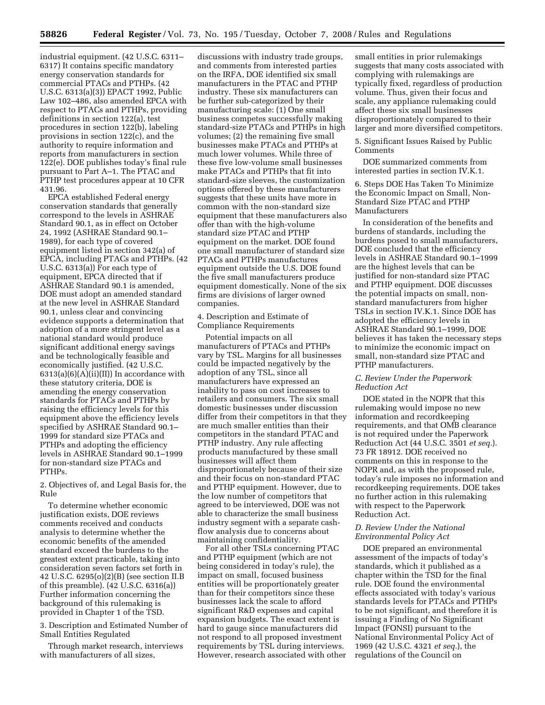industrial equipment. (42 U.S.C. 6311– 6317) It contains specific mandatory energy conservation standards for commercial PTACs and PTHPs. (42 U.S.C. 6313(a)(3)) EPACT 1992, Public Law 102–486, also amended EPCA with respect to PTACs and PTHPs, providing definitions in section 122(a), test procedures in section 122(b), labeling provisions in section 122(c), and the authority to require information and reports from manufacturers in section 122(e). DOE publishes today's final rule pursuant to Part A–1. The PTAC and PTHP test procedures appear at 10 CFR 431.96.

EPCA established Federal energy conservation standards that generally correspond to the levels in ASHRAE Standard 90.1, as in effect on October 24, 1992 (ASHRAE Standard 90.1– 1989), for each type of covered equipment listed in section 342(a) of EPCA, including PTACs and PTHPs. (42 U.S.C. 6313(a)) For each type of equipment, EPCA directed that if ASHRAE Standard 90.1 is amended, DOE must adopt an amended standard at the new level in ASHRAE Standard 90.1, unless clear and convincing evidence supports a determination that adoption of a more stringent level as a national standard would produce significant additional energy savings and be technologically feasible and economically justified. (42 U.S.C.  $6313(a)(6)(A)(ii)(II)$  In accordance with these statutory criteria, DOE is amending the energy conservation standards for PTACs and PTHPs by raising the efficiency levels for this equipment above the efficiency levels specified by ASHRAE Standard 90.1– 1999 for standard size PTACs and PTHPs and adopting the efficiency levels in ASHRAE Standard 90.1–1999 for non-standard size PTACs and PTHPs.

2. Objectives of, and Legal Basis for, the Rule

To determine whether economic justification exists, DOE reviews comments received and conducts analysis to determine whether the economic benefits of the amended standard exceed the burdens to the greatest extent practicable, taking into consideration seven factors set forth in 42 U.S.C. 6295(o)(2)(B) (see section II.B of this preamble). (42 U.S.C. 6316(a)) Further information concerning the background of this rulemaking is provided in Chapter 1 of the TSD.

3. Description and Estimated Number of Small Entities Regulated

Through market research, interviews with manufacturers of all sizes,

discussions with industry trade groups, and comments from interested parties on the IRFA, DOE identified six small manufacturers in the PTAC and PTHP industry. These six manufacturers can be further sub-categorized by their manufacturing scale: (1) One small business competes successfully making standard-size PTACs and PTHPs in high volumes; (2) the remaining five small businesses make PTACs and PTHPs at much lower volumes. While three of these five low-volume small businesses make PTACs and PTHPs that fit into standard-size sleeves, the customization options offered by these manufacturers suggests that these units have more in common with the non-standard size equipment that these manufacturers also offer than with the high-volume standard size PTAC and PTHP equipment on the market. DOE found one small manufacturer of standard size PTACs and PTHPs manufactures equipment outside the U.S. DOE found the five small manufacturers produce equipment domestically. None of the six firms are divisions of larger owned companies.

4. Description and Estimate of Compliance Requirements

Potential impacts on all manufacturers of PTACs and PTHPs vary by TSL. Margins for all businesses could be impacted negatively by the adoption of any TSL, since all manufacturers have expressed an inability to pass on cost increases to retailers and consumers. The six small domestic businesses under discussion differ from their competitors in that they are much smaller entities than their competitors in the standard PTAC and PTHP industry. Any rule affecting products manufactured by these small businesses will affect them disproportionately because of their size and their focus on non-standard PTAC and PTHP equipment. However, due to the low number of competitors that agreed to be interviewed, DOE was not able to characterize the small business industry segment with a separate cashflow analysis due to concerns about maintaining confidentiality.

For all other TSLs concerning PTAC and PTHP equipment (which are not being considered in today's rule), the impact on small, focused business entities will be proportionately greater than for their competitors since these businesses lack the scale to afford significant R&D expenses and capital expansion budgets. The exact extent is hard to gauge since manufacturers did not respond to all proposed investment requirements by TSL during interviews. However, research associated with other small entities in prior rulemakings suggests that many costs associated with complying with rulemakings are typically fixed, regardless of production volume. Thus, given their focus and scale, any appliance rulemaking could affect these six small businesses disproportionately compared to their larger and more diversified competitors.

5. Significant Issues Raised by Public Comments

DOE summarized comments from interested parties in section IV.K.1.

6. Steps DOE Has Taken To Minimize the Economic Impact on Small, Non-Standard Size PTAC and PTHP Manufacturers

In consideration of the benefits and burdens of standards, including the burdens posed to small manufacturers, DOE concluded that the efficiency levels in ASHRAE Standard 90.1–1999 are the highest levels that can be justified for non-standard size PTAC and PTHP equipment. DOE discusses the potential impacts on small, nonstandard manufacturers from higher TSLs in section IV.K.1. Since DOE has adopted the efficiency levels in ASHRAE Standard 90.1–1999, DOE believes it has taken the necessary steps to minimize the economic impact on small, non-standard size PTAC and PTHP manufacturers.

## *C. Review Under the Paperwork Reduction Act*

DOE stated in the NOPR that this rulemaking would impose no new information and recordkeeping requirements, and that OMB clearance is not required under the Paperwork Reduction Act (44 U.S.C. 3501 *et seq.*). 73 FR 18912. DOE received no comments on this in response to the NOPR and, as with the proposed rule, today's rule imposes no information and recordkeeping requirements. DOE takes no further action in this rulemaking with respect to the Paperwork Reduction Act.

# *D. Review Under the National Environmental Policy Act*

DOE prepared an environmental assessment of the impacts of today's standards, which it published as a chapter within the TSD for the final rule. DOE found the environmental effects associated with today's various standards levels for PTACs and PTHPs to be not significant, and therefore it is issuing a Finding of No Significant Impact (FONSI) pursuant to the National Environmental Policy Act of 1969 (42 U.S.C. 4321 *et seq.*), the regulations of the Council on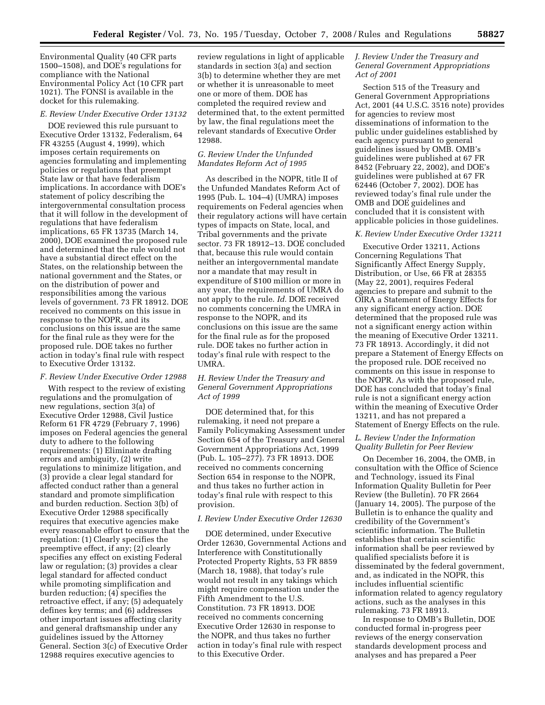Environmental Quality (40 CFR parts 1500–1508), and DOE's regulations for compliance with the National Environmental Policy Act (10 CFR part 1021). The FONSI is available in the docket for this rulemaking.

## *E. Review Under Executive Order 13132*

DOE reviewed this rule pursuant to Executive Order 13132, Federalism, 64 FR 43255 (August 4, 1999), which imposes certain requirements on agencies formulating and implementing policies or regulations that preempt State law or that have federalism implications. In accordance with DOE's statement of policy describing the intergovernmental consultation process that it will follow in the development of regulations that have federalism implications, 65 FR 13735 (March 14, 2000), DOE examined the proposed rule and determined that the rule would not have a substantial direct effect on the States, on the relationship between the national government and the States, or on the distribution of power and responsibilities among the various levels of government. 73 FR 18912. DOE received no comments on this issue in response to the NOPR, and its conclusions on this issue are the same for the final rule as they were for the proposed rule. DOE takes no further action in today's final rule with respect to Executive Order 13132.

### *F. Review Under Executive Order 12988*

With respect to the review of existing regulations and the promulgation of new regulations, section 3(a) of Executive Order 12988, Civil Justice Reform 61 FR 4729 (February 7, 1996) imposes on Federal agencies the general duty to adhere to the following requirements: (1) Eliminate drafting errors and ambiguity, (2) write regulations to minimize litigation, and (3) provide a clear legal standard for affected conduct rather than a general standard and promote simplification and burden reduction. Section 3(b) of Executive Order 12988 specifically requires that executive agencies make every reasonable effort to ensure that the regulation: (1) Clearly specifies the preemptive effect, if any; (2) clearly specifies any effect on existing Federal law or regulation; (3) provides a clear legal standard for affected conduct while promoting simplification and burden reduction; (4) specifies the retroactive effect, if any; (5) adequately defines key terms; and (6) addresses other important issues affecting clarity and general draftsmanship under any guidelines issued by the Attorney General. Section 3(c) of Executive Order 12988 requires executive agencies to

review regulations in light of applicable standards in section 3(a) and section 3(b) to determine whether they are met or whether it is unreasonable to meet one or more of them. DOE has completed the required review and determined that, to the extent permitted by law, the final regulations meet the relevant standards of Executive Order 12988.

## *G. Review Under the Unfunded Mandates Reform Act of 1995*

As described in the NOPR, title II of the Unfunded Mandates Reform Act of 1995 (Pub. L. 104–4) (UMRA) imposes requirements on Federal agencies when their regulatory actions will have certain types of impacts on State, local, and Tribal governments and the private sector. 73 FR 18912–13. DOE concluded that, because this rule would contain neither an intergovernmental mandate nor a mandate that may result in expenditure of \$100 million or more in any year, the requirements of UMRA do not apply to the rule. *Id.* DOE received no comments concerning the UMRA in response to the NOPR, and its conclusions on this issue are the same for the final rule as for the proposed rule. DOE takes no further action in today's final rule with respect to the UMRA.

# *H. Review Under the Treasury and General Government Appropriations Act of 1999*

DOE determined that, for this rulemaking, it need not prepare a Family Policymaking Assessment under Section 654 of the Treasury and General Government Appropriations Act, 1999 (Pub. L. 105–277). 73 FR 18913. DOE received no comments concerning Section 654 in response to the NOPR, and thus takes no further action in today's final rule with respect to this provision.

### *I. Review Under Executive Order 12630*

DOE determined, under Executive Order 12630, Governmental Actions and Interference with Constitutionally Protected Property Rights, 53 FR 8859 (March 18, 1988), that today's rule would not result in any takings which might require compensation under the Fifth Amendment to the U.S. Constitution. 73 FR 18913. DOE received no comments concerning Executive Order 12630 in response to the NOPR, and thus takes no further action in today's final rule with respect to this Executive Order.

# *J. Review Under the Treasury and General Government Appropriations Act of 2001*

Section 515 of the Treasury and General Government Appropriations Act, 2001 (44 U.S.C. 3516 note) provides for agencies to review most disseminations of information to the public under guidelines established by each agency pursuant to general guidelines issued by OMB. OMB's guidelines were published at 67 FR 8452 (February 22, 2002), and DOE's guidelines were published at 67 FR 62446 (October 7, 2002). DOE has reviewed today's final rule under the OMB and DOE guidelines and concluded that it is consistent with applicable policies in those guidelines.

## *K. Review Under Executive Order 13211*

Executive Order 13211, Actions Concerning Regulations That Significantly Affect Energy Supply, Distribution, or Use, 66 FR at 28355 (May 22, 2001), requires Federal agencies to prepare and submit to the OIRA a Statement of Energy Effects for any significant energy action. DOE determined that the proposed rule was not a significant energy action within the meaning of Executive Order 13211. 73 FR 18913. Accordingly, it did not prepare a Statement of Energy Effects on the proposed rule. DOE received no comments on this issue in response to the NOPR. As with the proposed rule, DOE has concluded that today's final rule is not a significant energy action within the meaning of Executive Order 13211, and has not prepared a Statement of Energy Effects on the rule.

# *L. Review Under the Information Quality Bulletin for Peer Review*

On December 16, 2004, the OMB, in consultation with the Office of Science and Technology, issued its Final Information Quality Bulletin for Peer Review (the Bulletin). 70 FR 2664 (January 14, 2005). The purpose of the Bulletin is to enhance the quality and credibility of the Government's scientific information. The Bulletin establishes that certain scientific information shall be peer reviewed by qualified specialists before it is disseminated by the federal government, and, as indicated in the NOPR, this includes influential scientific information related to agency regulatory actions, such as the analyses in this rulemaking. 73 FR 18913.

In response to OMB's Bulletin, DOE conducted formal in-progress peer reviews of the energy conservation standards development process and analyses and has prepared a Peer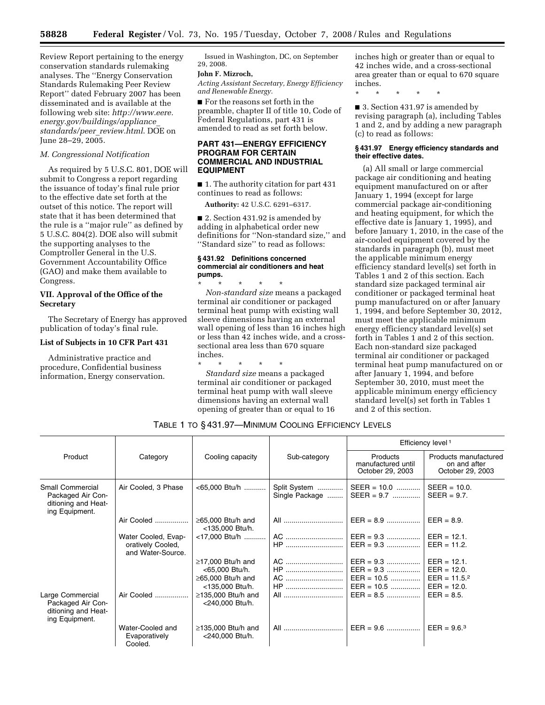Review Report pertaining to the energy conservation standards rulemaking analyses. The ''Energy Conservation Standards Rulemaking Peer Review Report'' dated February 2007 has been disseminated and is available at the following web site: *http://www.eere. energy.gov/buildings/appliance*\_ *standards/peer*\_*review.html*. DOE on June 28–29, 2005.

#### *M. Congressional Notification*

As required by 5 U.S.C. 801, DOE will submit to Congress a report regarding the issuance of today's final rule prior to the effective date set forth at the outset of this notice. The report will state that it has been determined that the rule is a ''major rule'' as defined by 5 U.S.C. 804(2). DOE also will submit the supporting analyses to the Comptroller General in the U.S. Government Accountability Office (GAO) and make them available to Congress.

# **VII. Approval of the Office of the Secretary**

The Secretary of Energy has approved publication of today's final rule.

#### **List of Subjects in 10 CFR Part 431**

Administrative practice and procedure, Confidential business information, Energy conservation.

Issued in Washington, DC, on September 29, 2008.

# **John F. Mizroch,**

*Acting Assistant Secretary, Energy Efficiency and Renewable Energy.* 

■ For the reasons set forth in the preamble, chapter II of title 10, Code of Federal Regulations, part 431 is amended to read as set forth below.

# **PART 431—ENERGY EFFICIENCY PROGRAM FOR CERTAIN COMMERCIAL AND INDUSTRIAL EQUIPMENT**

■ 1. The authority citation for part 431 continues to read as follows:

**Authority:** 42 U.S.C. 6291–6317.

■ 2. Section 431.92 is amended by adding in alphabetical order new definitions for ''Non-standard size,'' and "Standard size" to read as follows:

## **§ 431.92 Definitions concerned commercial air conditioners and heat pumps.**

\* \* \* \* \* *Non-standard size* means a packaged terminal air conditioner or packaged terminal heat pump with existing wall sleeve dimensions having an external wall opening of less than 16 inches high or less than 42 inches wide, and a crosssectional area less than 670 square inches.

\* \* \* \* \* *Standard size* means a packaged terminal air conditioner or packaged terminal heat pump with wall sleeve dimensions having an external wall opening of greater than or equal to 16 inches high or greater than or equal to 42 inches wide, and a cross-sectional area greater than or equal to 670 square inches.

\* \* \* \* \*

■ 3. Section 431.97 is amended by revising paragraph (a), including Tables 1 and 2, and by adding a new paragraph (c) to read as follows:

#### **§ 431.97 Energy efficiency standards and their effective dates.**

(a) All small or large commercial package air conditioning and heating equipment manufactured on or after January 1, 1994 (except for large commercial package air-conditioning and heating equipment, for which the effective date is January 1, 1995), and before January 1, 2010, in the case of the air-cooled equipment covered by the standards in paragraph (b), must meet the applicable minimum energy efficiency standard level(s) set forth in Tables 1 and 2 of this section. Each standard size packaged terminal air conditioner or packaged terminal heat pump manufactured on or after January 1, 1994, and before September 30, 2012, must meet the applicable minimum energy efficiency standard level(s) set forth in Tables 1 and 2 of this section. Each non-standard size packaged terminal air conditioner or packaged terminal heat pump manufactured on or after January 1, 1994, and before September 30, 2010, must meet the applicable minimum energy efficiency standard level(s) set forth in Tables 1 and 2 of this section.

TABLE 1 TO § 431.97—MINIMUM COOLING EFFICIENCY LEVELS

|                                                                                | Category                                                      | Cooling capacity                                                                        | Sub-category                   | Efficiency level <sup>1</sup>                                                                             |                                                           |
|--------------------------------------------------------------------------------|---------------------------------------------------------------|-----------------------------------------------------------------------------------------|--------------------------------|-----------------------------------------------------------------------------------------------------------|-----------------------------------------------------------|
| Product                                                                        |                                                               |                                                                                         |                                | Products<br>manufactured until<br>October 29, 2003                                                        | Products manufactured<br>on and after<br>October 29, 2003 |
| Small Commercial<br>Packaged Air Con-<br>ditioning and Heat-<br>ing Equipment. | Air Cooled, 3 Phase                                           | <65,000 Btu/h                                                                           | Split System<br>Single Package | $SEER = 10.0$<br>$SEER = 9.7$                                                                             | $SEER = 10.0$ .<br>$SEER = 9.7$ .                         |
|                                                                                | Air Cooled                                                    | $\geq$ 65,000 Btu/h and<br><135,000 Btu/h.                                              | All                            |                                                                                                           | $EER = 8.9.$                                              |
|                                                                                | Water Cooled, Evap-<br>oratively Cooled,<br>and Water-Source. | <17,000 Btu/h                                                                           | $HP$                           | AC    EER = 9.3    EER = 12.1.<br>$EER = 9.3$                                                             | $EER = 11.2$ .                                            |
|                                                                                |                                                               | $\geq$ 17,000 Btu/h and<br><65,000 Btu/h.<br>$\geq$ 65,000 Btu/h and<br><135,000 Btu/h. | HP<br>HP                       | $AC$   EER = 9.3   EER = 12.1.<br>$EER = 9.3$   EER = 12.0.<br>EER = 10.5    EER = 11.5.2<br>$EER = 10.5$ | $EER = 12.0.$                                             |
| Large Commercial<br>Packaged Air Con-<br>ditioning and Heat-<br>ing Equipment. | Air Cooled                                                    | $\geq$ 135,000 Btu/h and<br><240,000 Btu/h.                                             | All                            | $EER = 8.5$                                                                                               | $EER = 8.5.$                                              |
|                                                                                | Water-Cooled and<br>Evaporatively<br>Cooled.                  | $\geq$ 135,000 Btu/h and<br><240,000 Btu/h.                                             | All                            | $EER = 9.6$                                                                                               | $EER = 9.6$ <sup>3</sup>                                  |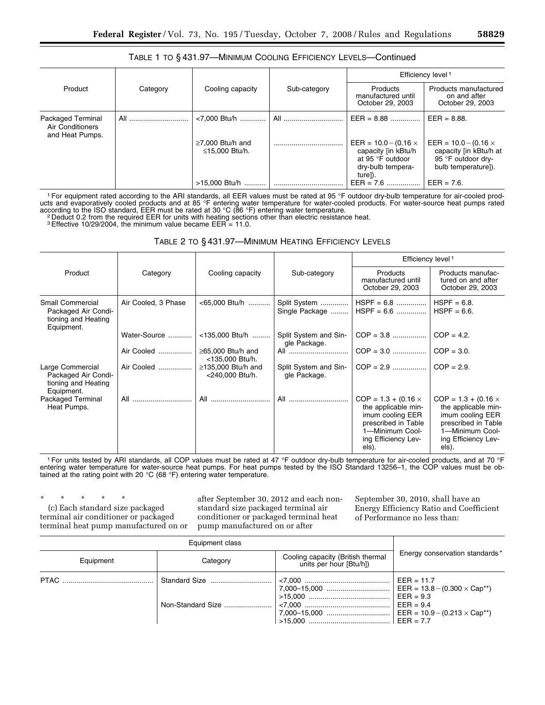# TABLE 1 TO § 431.97—MINIMUM COOLING EFFICIENCY LEVELS—Continued

|                                                          |          |                                          |              | Efficiency level 1                                                                                     |                                                                                                    |
|----------------------------------------------------------|----------|------------------------------------------|--------------|--------------------------------------------------------------------------------------------------------|----------------------------------------------------------------------------------------------------|
| Product                                                  | Category | Cooling capacity                         | Sub-category | Products<br>manufactured until<br>October 29, 2003                                                     | Products manufactured<br>on and after<br>October 29, 2003                                          |
| Packaged Terminal<br>Air Conditioners<br>and Heat Pumps. | All      | <7.000 Btu/h                             | All          | $EER = 8.88$                                                                                           | $EER = 8.88$ .                                                                                     |
|                                                          |          | $\geq$ 7,000 Btu/h and<br>≤15.000 Btu/h. |              | EER = $10.0 - (0.16 \times$<br>capacity [in kBtu/h<br>at 95 °F outdoor<br>dry-bulb tempera-<br>ture]). | $EER = 10.0 - (0.16 \times$<br>capacity [in kBtu/h at<br>95 °F outdoor dry-<br>bulb temperature]). |
|                                                          |          | >15,000 Btu/h                            |              | $EER = 7.6$                                                                                            | $EER = 7.6$ .                                                                                      |

<sup>1</sup> For equipment rated according to the ARI standards, all EER values must be rated at 95 °F outdoor dry-bulb temperature for air-cooled products and evaporatively cooled products and at 85 °F entering water temperature for water-cooled products. For water-source heat pumps rated

according to the ISO standard, EER must be rated at 30 °C (86 °F) entering water temperature.<br><sup>2</sup> Deduct 0.2 from the required EER for units with heating sections other than electric resistance heat.

<sup>3</sup>Effective 10/29/2004, the minimum value became EER = 11.0.

## TABLE 2 TO § 431.97—MINIMUM HEATING EFFICIENCY LEVELS

|                                                                              |                     |                                             |                                       |                                                                                                                                                 | Efficiency level <sup>1</sup>                                                                                                                   |  |
|------------------------------------------------------------------------------|---------------------|---------------------------------------------|---------------------------------------|-------------------------------------------------------------------------------------------------------------------------------------------------|-------------------------------------------------------------------------------------------------------------------------------------------------|--|
| Product                                                                      | Category            | Cooling capacity                            | Sub-category                          | <b>Products</b><br>manufactured until<br>October 29, 2003                                                                                       | Products manufac-<br>tured on and after<br>October 29, 2003                                                                                     |  |
| Small Commercial<br>Packaged Air Condi-<br>tioning and Heating<br>Equipment. | Air Cooled, 3 Phase | <65,000 Btu/h                               | Split System<br>Single Package        | $HSPF = 6.8$<br>$HSPF = 6.6$                                                                                                                    | HSPF = $6.8$ .<br>$HSPF = 6.6$ .                                                                                                                |  |
|                                                                              | Water-Source        | <135,000 Btu/h                              | Split System and Sin-<br>gle Package. |                                                                                                                                                 | $COP = 4.2$ .                                                                                                                                   |  |
|                                                                              | Air Cooled          | $\geq$ 65,000 Btu/h and<br><135,000 Btu/h.  | All                                   |                                                                                                                                                 | $COP = 3.0.$                                                                                                                                    |  |
| Large Commercial<br>Packaged Air Condi-<br>tioning and Heating<br>Equipment. | Air Cooled          | $\geq$ 135,000 Btu/h and<br><240,000 Btu/h. | Split System and Sin-<br>gle Package. | $COP = 2.9$                                                                                                                                     | $COP = 2.9$                                                                                                                                     |  |
| Packaged Terminal<br>Heat Pumps.                                             | All                 | All                                         | All                                   | $COP = 1.3 + (0.16 \times$<br>the applicable min-<br>imum cooling EER<br>prescribed in Table<br>1-Minimum Cool-<br>ing Efficiency Lev-<br>els). | $COP = 1.3 + (0.16 \times$<br>the applicable min-<br>imum cooling EER<br>prescribed in Table<br>1-Minimum Cool-<br>ing Efficiency Lev-<br>els). |  |

<sup>1</sup> For units tested by ARI standards, all COP values must be rated at 47 °F outdoor dry-bulb temperature for air-cooled products, and at 70 °F entering water temperature for water-source heat pumps. For heat pumps tested by the ISO Standard 13256–1, the COP values must be obtained at the rating point with 20 °C (68 °F) entering water temperature.

\* \* \* \* \*

(c) Each standard size packaged terminal air conditioner or packaged terminal heat pump manufactured on or

after September 30, 2012 and each nonstandard size packaged terminal air conditioner or packaged terminal heat pump manufactured on or after

September 30, 2010, shall have an Energy Efficiency Ratio and Coefficient of Performance no less than:

| Equipment class |                   |                                                              |                                            |  |
|-----------------|-------------------|--------------------------------------------------------------|--------------------------------------------|--|
| Equipment       | Category          | Cooling capacity (British thermal<br>units per hour [Btu/h]) | Energy conservation standards*             |  |
|                 | Non-Standard Size |                                                              | $EER = 11.7$<br>$EER = 9.3$<br>$EER = 9.4$ |  |